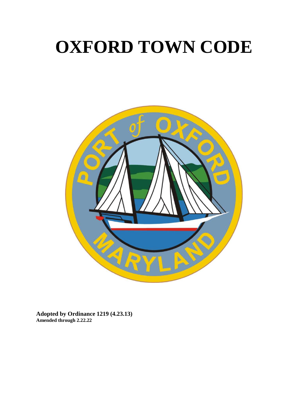# **OXFORD TOWN CODE**



**Adopted by Ordinance 1219 (4.23.13) Amended through 2.22.22**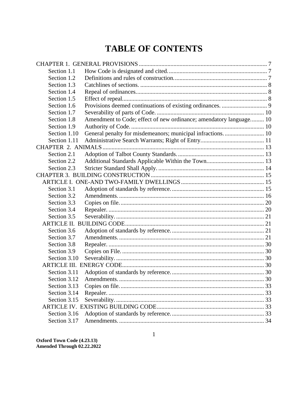# **TABLE OF CONTENTS**

| Section 1.1                                                        |  |  |
|--------------------------------------------------------------------|--|--|
| Section 1.2                                                        |  |  |
|                                                                    |  |  |
|                                                                    |  |  |
|                                                                    |  |  |
|                                                                    |  |  |
|                                                                    |  |  |
| Amendment to Code; effect of new ordinance; amendatory language 10 |  |  |
|                                                                    |  |  |
| General penalty for misdemeanors; municipal infractions 10         |  |  |
|                                                                    |  |  |
|                                                                    |  |  |
|                                                                    |  |  |
|                                                                    |  |  |
|                                                                    |  |  |
|                                                                    |  |  |
|                                                                    |  |  |
|                                                                    |  |  |
|                                                                    |  |  |
|                                                                    |  |  |
| Section 3.4                                                        |  |  |
|                                                                    |  |  |
|                                                                    |  |  |
|                                                                    |  |  |
|                                                                    |  |  |
|                                                                    |  |  |
|                                                                    |  |  |
|                                                                    |  |  |
|                                                                    |  |  |
|                                                                    |  |  |
|                                                                    |  |  |
|                                                                    |  |  |
|                                                                    |  |  |
| Section 3.15                                                       |  |  |
|                                                                    |  |  |
|                                                                    |  |  |
|                                                                    |  |  |
|                                                                    |  |  |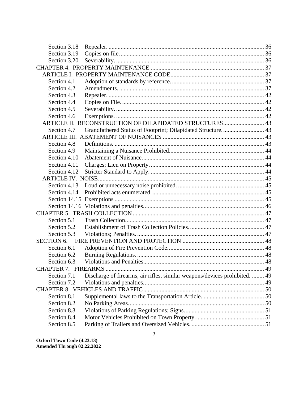| Section 3.18      |                                                                            |  |
|-------------------|----------------------------------------------------------------------------|--|
| Section 3.19      |                                                                            |  |
| Section 3.20      |                                                                            |  |
|                   |                                                                            |  |
|                   |                                                                            |  |
| Section 4.1       |                                                                            |  |
| Section 4.2       |                                                                            |  |
| Section 4.3       |                                                                            |  |
| Section 4.4       |                                                                            |  |
| Section 4.5       |                                                                            |  |
| Section 4.6       |                                                                            |  |
|                   | ARTICLE II. RECONSTRUCTION OF DILAPIDATED STRUCTURES 43                    |  |
| Section 4.7       | Grandfathered Status of Footprint; Dilapidated Structure 43                |  |
|                   |                                                                            |  |
| Section 4.8       |                                                                            |  |
| Section 4.9       |                                                                            |  |
| Section 4.10      |                                                                            |  |
| Section 4.11      |                                                                            |  |
| Section 4.12      |                                                                            |  |
|                   |                                                                            |  |
| Section 4.13      |                                                                            |  |
| Section 4.14      |                                                                            |  |
|                   |                                                                            |  |
|                   |                                                                            |  |
|                   |                                                                            |  |
| Section 5.1       |                                                                            |  |
| Section 5.2       |                                                                            |  |
| Section 5.3       |                                                                            |  |
| <b>SECTION 6.</b> |                                                                            |  |
| Section 6.1       |                                                                            |  |
| Section 6.2       |                                                                            |  |
| Section 6.3       |                                                                            |  |
|                   |                                                                            |  |
| Section 7.1       | Discharge of firearms, air rifles, similar weapons/devices prohibited.  49 |  |
| Section 7.2       |                                                                            |  |
|                   |                                                                            |  |
| Section 8.1       |                                                                            |  |
| Section 8.2       |                                                                            |  |
| Section 8.3       |                                                                            |  |
| Section 8.4       |                                                                            |  |
| Section 8.5       |                                                                            |  |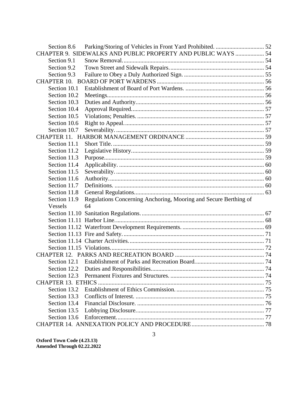| Section 8.6  |                                                                  |  |
|--------------|------------------------------------------------------------------|--|
|              | CHAPTER 9. SIDEWALKS AND PUBLIC PROPERTY AND PUBLIC WAYS  54     |  |
| Section 9.1  |                                                                  |  |
| Section 9.2  |                                                                  |  |
| Section 9.3  |                                                                  |  |
|              |                                                                  |  |
| Section 10.1 |                                                                  |  |
| Section 10.2 |                                                                  |  |
| Section 10.3 |                                                                  |  |
| Section 10.4 |                                                                  |  |
| Section 10.5 |                                                                  |  |
| Section 10.6 |                                                                  |  |
| Section 10.7 |                                                                  |  |
|              |                                                                  |  |
| Section 11.1 |                                                                  |  |
| Section 11.2 |                                                                  |  |
| Section 11.3 |                                                                  |  |
| Section 11.4 |                                                                  |  |
| Section 11.5 |                                                                  |  |
| Section 11.6 |                                                                  |  |
| Section 11.7 |                                                                  |  |
| Section 11.8 |                                                                  |  |
| Section 11.9 | Regulations Concerning Anchoring, Mooring and Secure Berthing of |  |
| Vessels      | 64                                                               |  |
|              |                                                                  |  |
|              |                                                                  |  |
|              |                                                                  |  |
|              |                                                                  |  |
|              |                                                                  |  |
|              |                                                                  |  |
|              |                                                                  |  |
| Section 12.1 |                                                                  |  |
|              |                                                                  |  |
|              |                                                                  |  |
|              |                                                                  |  |
| Section 13.2 |                                                                  |  |
| Section 13.3 |                                                                  |  |
| Section 13.4 |                                                                  |  |
| Section 13.5 |                                                                  |  |
| Section 13.6 |                                                                  |  |
|              |                                                                  |  |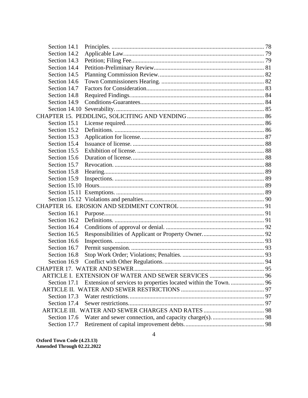| Section 14.1 |                                                                  |  |
|--------------|------------------------------------------------------------------|--|
| Section 14.2 |                                                                  |  |
| Section 14.3 |                                                                  |  |
| Section 14.4 |                                                                  |  |
| Section 14.5 |                                                                  |  |
| Section 14.6 |                                                                  |  |
| Section 14.7 |                                                                  |  |
| Section 14.8 |                                                                  |  |
| Section 14.9 |                                                                  |  |
|              |                                                                  |  |
|              |                                                                  |  |
| Section 15.1 |                                                                  |  |
| Section 15.2 |                                                                  |  |
| Section 15.3 |                                                                  |  |
| Section 15.4 |                                                                  |  |
| Section 15.5 |                                                                  |  |
| Section 15.6 |                                                                  |  |
| Section 15.7 |                                                                  |  |
| Section 15.8 |                                                                  |  |
| Section 15.9 |                                                                  |  |
|              |                                                                  |  |
|              |                                                                  |  |
|              |                                                                  |  |
|              |                                                                  |  |
| Section 16.1 |                                                                  |  |
| Section 16.2 |                                                                  |  |
| Section 16.4 |                                                                  |  |
| Section 16.5 |                                                                  |  |
| Section 16.6 |                                                                  |  |
| Section 16.7 |                                                                  |  |
| Section 16.8 |                                                                  |  |
| Section 16.9 |                                                                  |  |
|              | <b>CHAPTER 17. WATER AND SEWER.</b>                              |  |
|              |                                                                  |  |
| Section 17.1 | Extension of services to properties located within the Town.  96 |  |
|              |                                                                  |  |
| Section 17.3 |                                                                  |  |
| Section 17.4 |                                                                  |  |
|              |                                                                  |  |
| Section 17.6 |                                                                  |  |
| Section 17.7 |                                                                  |  |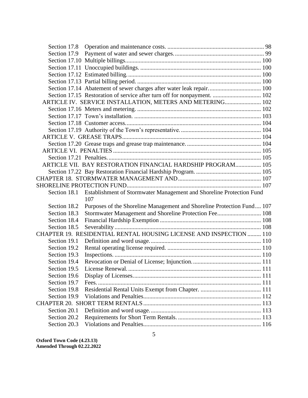| Section 17.14 Abatement of sewer charges after water leak repair 100<br>Section 17.15 Restoration of service after turn off for nonpayment.  102<br>ARTICLE IV. SERVICE INSTALLATION, METERS AND METERING 102<br>ARTICLE VII. BAY RESTORATION FINANCIAL HARDSHIP PROGRAM 105<br>Establishment of Stormwater Management and Shoreline Protection Fund<br>Section 18.1<br>107<br>Section 18.2<br>Purposes of the Shoreline Management and Shoreline Protection Fund 107<br>Stormwater Management and Shoreline Protection Fee 108<br>Section 18.3<br>Section 18.4<br>Section 18.5<br>CHAPTER 19. RESIDENTIAL RENTAL HOUSING LICENSE AND INSPECTION  110<br>Section 19.1<br>Section 19.2<br>Section 19.3<br>Section 19.4<br>License Renewal<br>Section 19.5<br>Section 19.6<br>Section 19.7<br>Section 19.8<br>Section 19.9<br>Section 20.1<br>Section 20.2<br>Section 20.3 |  |  |
|--------------------------------------------------------------------------------------------------------------------------------------------------------------------------------------------------------------------------------------------------------------------------------------------------------------------------------------------------------------------------------------------------------------------------------------------------------------------------------------------------------------------------------------------------------------------------------------------------------------------------------------------------------------------------------------------------------------------------------------------------------------------------------------------------------------------------------------------------------------------------|--|--|
|                                                                                                                                                                                                                                                                                                                                                                                                                                                                                                                                                                                                                                                                                                                                                                                                                                                                          |  |  |
|                                                                                                                                                                                                                                                                                                                                                                                                                                                                                                                                                                                                                                                                                                                                                                                                                                                                          |  |  |
|                                                                                                                                                                                                                                                                                                                                                                                                                                                                                                                                                                                                                                                                                                                                                                                                                                                                          |  |  |
|                                                                                                                                                                                                                                                                                                                                                                                                                                                                                                                                                                                                                                                                                                                                                                                                                                                                          |  |  |
|                                                                                                                                                                                                                                                                                                                                                                                                                                                                                                                                                                                                                                                                                                                                                                                                                                                                          |  |  |
|                                                                                                                                                                                                                                                                                                                                                                                                                                                                                                                                                                                                                                                                                                                                                                                                                                                                          |  |  |
|                                                                                                                                                                                                                                                                                                                                                                                                                                                                                                                                                                                                                                                                                                                                                                                                                                                                          |  |  |
|                                                                                                                                                                                                                                                                                                                                                                                                                                                                                                                                                                                                                                                                                                                                                                                                                                                                          |  |  |
|                                                                                                                                                                                                                                                                                                                                                                                                                                                                                                                                                                                                                                                                                                                                                                                                                                                                          |  |  |
|                                                                                                                                                                                                                                                                                                                                                                                                                                                                                                                                                                                                                                                                                                                                                                                                                                                                          |  |  |
|                                                                                                                                                                                                                                                                                                                                                                                                                                                                                                                                                                                                                                                                                                                                                                                                                                                                          |  |  |
|                                                                                                                                                                                                                                                                                                                                                                                                                                                                                                                                                                                                                                                                                                                                                                                                                                                                          |  |  |
|                                                                                                                                                                                                                                                                                                                                                                                                                                                                                                                                                                                                                                                                                                                                                                                                                                                                          |  |  |
|                                                                                                                                                                                                                                                                                                                                                                                                                                                                                                                                                                                                                                                                                                                                                                                                                                                                          |  |  |
|                                                                                                                                                                                                                                                                                                                                                                                                                                                                                                                                                                                                                                                                                                                                                                                                                                                                          |  |  |
|                                                                                                                                                                                                                                                                                                                                                                                                                                                                                                                                                                                                                                                                                                                                                                                                                                                                          |  |  |
|                                                                                                                                                                                                                                                                                                                                                                                                                                                                                                                                                                                                                                                                                                                                                                                                                                                                          |  |  |
|                                                                                                                                                                                                                                                                                                                                                                                                                                                                                                                                                                                                                                                                                                                                                                                                                                                                          |  |  |
|                                                                                                                                                                                                                                                                                                                                                                                                                                                                                                                                                                                                                                                                                                                                                                                                                                                                          |  |  |
|                                                                                                                                                                                                                                                                                                                                                                                                                                                                                                                                                                                                                                                                                                                                                                                                                                                                          |  |  |
|                                                                                                                                                                                                                                                                                                                                                                                                                                                                                                                                                                                                                                                                                                                                                                                                                                                                          |  |  |
|                                                                                                                                                                                                                                                                                                                                                                                                                                                                                                                                                                                                                                                                                                                                                                                                                                                                          |  |  |
|                                                                                                                                                                                                                                                                                                                                                                                                                                                                                                                                                                                                                                                                                                                                                                                                                                                                          |  |  |
|                                                                                                                                                                                                                                                                                                                                                                                                                                                                                                                                                                                                                                                                                                                                                                                                                                                                          |  |  |
|                                                                                                                                                                                                                                                                                                                                                                                                                                                                                                                                                                                                                                                                                                                                                                                                                                                                          |  |  |
|                                                                                                                                                                                                                                                                                                                                                                                                                                                                                                                                                                                                                                                                                                                                                                                                                                                                          |  |  |
|                                                                                                                                                                                                                                                                                                                                                                                                                                                                                                                                                                                                                                                                                                                                                                                                                                                                          |  |  |
|                                                                                                                                                                                                                                                                                                                                                                                                                                                                                                                                                                                                                                                                                                                                                                                                                                                                          |  |  |
|                                                                                                                                                                                                                                                                                                                                                                                                                                                                                                                                                                                                                                                                                                                                                                                                                                                                          |  |  |
|                                                                                                                                                                                                                                                                                                                                                                                                                                                                                                                                                                                                                                                                                                                                                                                                                                                                          |  |  |
|                                                                                                                                                                                                                                                                                                                                                                                                                                                                                                                                                                                                                                                                                                                                                                                                                                                                          |  |  |
|                                                                                                                                                                                                                                                                                                                                                                                                                                                                                                                                                                                                                                                                                                                                                                                                                                                                          |  |  |
|                                                                                                                                                                                                                                                                                                                                                                                                                                                                                                                                                                                                                                                                                                                                                                                                                                                                          |  |  |
|                                                                                                                                                                                                                                                                                                                                                                                                                                                                                                                                                                                                                                                                                                                                                                                                                                                                          |  |  |
|                                                                                                                                                                                                                                                                                                                                                                                                                                                                                                                                                                                                                                                                                                                                                                                                                                                                          |  |  |
|                                                                                                                                                                                                                                                                                                                                                                                                                                                                                                                                                                                                                                                                                                                                                                                                                                                                          |  |  |
|                                                                                                                                                                                                                                                                                                                                                                                                                                                                                                                                                                                                                                                                                                                                                                                                                                                                          |  |  |
|                                                                                                                                                                                                                                                                                                                                                                                                                                                                                                                                                                                                                                                                                                                                                                                                                                                                          |  |  |
|                                                                                                                                                                                                                                                                                                                                                                                                                                                                                                                                                                                                                                                                                                                                                                                                                                                                          |  |  |
|                                                                                                                                                                                                                                                                                                                                                                                                                                                                                                                                                                                                                                                                                                                                                                                                                                                                          |  |  |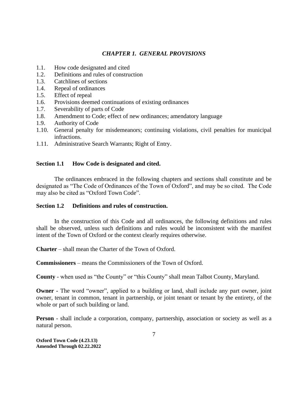# *CHAPTER 1. GENERAL PROVISIONS*

- <span id="page-7-0"></span>1.1. How code designated and cited
- 1.2. Definitions and rules of construction
- 1.3. Catchlines of sections
- 1.4. Repeal of ordinances
- 1.5. Effect of repeal
- 1.6. Provisions deemed continuations of existing ordinances
- 1.7. Severability of parts of Code
- 1.8. Amendment to Code; effect of new ordinances; amendatory language
- 1.9. Authority of Code
- 1.10. General penalty for misdemeanors; continuing violations, civil penalties for municipal infractions.
- 1.11. Administrative Search Warrants; Right of Entry.

# <span id="page-7-1"></span>**Section 1.1 How Code is designated and cited.**

The ordinances embraced in the following chapters and sections shall constitute and be designated as "The Code of Ordinances of the Town of Oxford", and may be so cited. The Code may also be cited as "Oxford Town Code".

# <span id="page-7-2"></span>**Section 1.2 Definitions and rules of construction.**

In the construction of this Code and all ordinances, the following definitions and rules shall be observed, unless such definitions and rules would be inconsistent with the manifest intent of the Town of Oxford or the context clearly requires otherwise.

**Charter** – shall mean the Charter of the Town of Oxford.

**Commissioners** – means the Commissioners of the Town of Oxford.

**County** - when used as "the County" or "this County" shall mean Talbot County, Maryland.

**Owner -** The word "owner", applied to a building or land, shall include any part owner, joint owner, tenant in common, tenant in partnership, or joint tenant or tenant by the entirety, of the whole or part of such building or land.

**Person** - shall include a corporation, company, partnership, association or society as well as a natural person.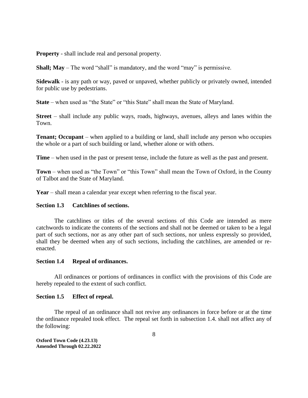**Property** - shall include real and personal property.

**Shall; May** – The word "shall" is mandatory, and the word "may" is permissive.

**Sidewalk** - is any path or way, paved or unpaved, whether publicly or privately owned, intended for public use by pedestrians.

**State** – when used as "the State" or "this State" shall mean the State of Maryland.

**Street** – shall include any public ways, roads, highways, avenues, alleys and lanes within the Town.

**Tenant; Occupant** – when applied to a building or land, shall include any person who occupies the whole or a part of such building or land, whether alone or with others.

**Time** – when used in the past or present tense, include the future as well as the past and present.

**Town** – when used as "the Town" or "this Town" shall mean the Town of Oxford, in the County of Talbot and the State of Maryland.

<span id="page-8-0"></span>**Year** – shall mean a calendar year except when referring to the fiscal year.

# **Section 1.3 Catchlines of sections.**

The catchlines or titles of the several sections of this Code are intended as mere catchwords to indicate the contents of the sections and shall not be deemed or taken to be a legal part of such sections, nor as any other part of such sections, nor unless expressly so provided, shall they be deemed when any of such sections, including the catchlines, are amended or reenacted.

# <span id="page-8-1"></span>**Section 1.4 Repeal of ordinances.**

All ordinances or portions of ordinances in conflict with the provisions of this Code are hereby repealed to the extent of such conflict.

# <span id="page-8-2"></span>**Section 1.5 Effect of repeal.**

The repeal of an ordinance shall not revive any ordinances in force before or at the time the ordinance repealed took effect. The repeal set forth in subsection 1.4. shall not affect any of the following: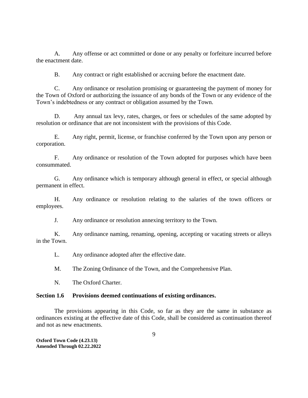A. Any offense or act committed or done or any penalty or forfeiture incurred before the enactment date.

B. Any contract or right established or accruing before the enactment date.

C. Any ordinance or resolution promising or guaranteeing the payment of money for the Town of Oxford or authorizing the issuance of any bonds of the Town or any evidence of the Town's indebtedness or any contract or obligation assumed by the Town.

D. Any annual tax levy, rates, charges, or fees or schedules of the same adopted by resolution or ordinance that are not inconsistent with the provisions of this Code.

E. Any right, permit, license, or franchise conferred by the Town upon any person or corporation.

F. Any ordinance or resolution of the Town adopted for purposes which have been consummated.

G. Any ordinance which is temporary although general in effect, or special although permanent in effect.

H. Any ordinance or resolution relating to the salaries of the town officers or employees.

J. Any ordinance or resolution annexing territory to the Town.

K. Any ordinance naming, renaming, opening, accepting or vacating streets or alleys in the Town.

L. Any ordinance adopted after the effective date.

M. The Zoning Ordinance of the Town, and the Comprehensive Plan.

N. The Oxford Charter.

#### <span id="page-9-0"></span>**Section 1.6 Provisions deemed continuations of existing ordinances.**

The provisions appearing in this Code, so far as they are the same in substance as ordinances existing at the effective date of this Code, shall be considered as continuation thereof and not as new enactments.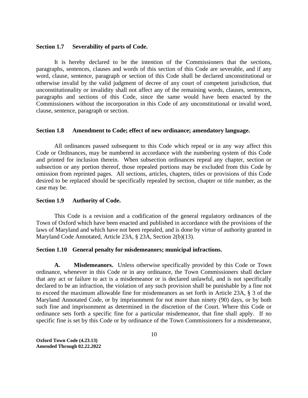#### <span id="page-10-0"></span>**Section 1.7 Severability of parts of Code.**

It is hereby declared to be the intention of the Commissioners that the sections, paragraphs, sentences, clauses and words of this section of this Code are severable, and if any word, clause, sentence, paragraph or section of this Code shall be declared unconstitutional or otherwise invalid by the valid judgment of decree of any court of competent jurisdiction, that unconstitutionality or invalidity shall not affect any of the remaining words, clauses, sentences, paragraphs and sections of this Code, since the same would have been enacted by the Commissioners without the incorporation in this Code of any unconstitutional or invalid word, clause, sentence, paragraph or section.

#### <span id="page-10-1"></span>**Section 1.8 Amendment to Code; effect of new ordinance; amendatory language.**

All ordinances passed subsequent to this Code which repeal or in any way affect this Code or Ordinances, may be numbered in accordance with the numbering system of this Code and printed for inclusion therein. When subsection ordinances repeal any chapter, section or subsection or any portion thereof, those repealed portions may be excluded from this Code by omission from reprinted pages. All sections, articles, chapters, titles or provisions of this Code desired to be replaced should be specifically repealed by section, chapter or title number, as the case may be.

#### <span id="page-10-2"></span>**Section 1.9 Authority of Code.**

This Code is a revision and a codification of the general regulatory ordinances of the Town of Oxford which have been enacted and published in accordance with the provisions of the laws of Maryland and which have not been repealed, and is done by virtue of authority granted in Maryland Code Annotated, Article 23A, § 23A, Section 2(b)(13).

#### <span id="page-10-3"></span>**Section 1.10 General penalty for misdemeanors; municipal infractions.**

**A. Misdemeanors.** Unless otherwise specifically provided by this Code or Town ordinance, whenever in this Code or in any ordinance, the Town Commissioners shall declare that any act or failure to act is a misdemeanor or is declared unlawful, and is not specifically declared to be an infraction, the violation of any such provision shall be punishable by a fine not to exceed the maximum allowable fine for misdemeanors as set forth in Article 23A, § 3 of the Maryland Annotated Code, or by imprisonment for not more than ninety (90) days, or by both such fine and imprisonment as determined in the discretion of the Court. Where this Code or ordinance sets forth a specific fine for a particular misdemeanor, that fine shall apply. If no specific fine is set by this Code or by ordinance of the Town Commissioners for a misdemeanor,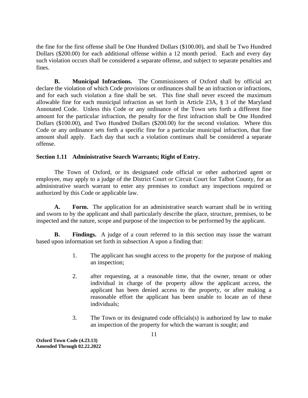the fine for the first offense shall be One Hundred Dollars (\$100.00), and shall be Two Hundred Dollars (\$200.00) for each additional offense within a 12 month period. Each and every day such violation occurs shall be considered a separate offense, and subject to separate penalties and fines.

**B. Municipal Infractions.** The Commissioners of Oxford shall by official act declare the violation of which Code provisions or ordinances shall be an infraction or infractions, and for each such violation a fine shall be set. This fine shall never exceed the maximum allowable fine for each municipal infraction as set forth in Article 23A, § 3 of the Maryland Annotated Code. Unless this Code or any ordinance of the Town sets forth a different fine amount for the particular infraction, the penalty for the first infraction shall be One Hundred Dollars (\$100.00), and Two Hundred Dollars (\$200.00) for the second violation. Where this Code or any ordinance sets forth a specific fine for a particular municipal infraction, that fine amount shall apply. Each day that such a violation continues shall be considered a separate offense.

# <span id="page-11-0"></span>**Section 1.11 Administrative Search Warrants; Right of Entry.**

The Town of Oxford, or its designated code official or other authorized agent or employee, may apply to a judge of the District Court or Circuit Court for Talbot County, for an administrative search warrant to enter any premises to conduct any inspections required or authorized by this Code or applicable law.

**A. Form.** The application for an administrative search warrant shall be in writing and sworn to by the applicant and shall particularly describe the place, structure, premises, to be inspected and the nature, scope and purpose of the inspection to be performed by the applicant.

**B. Findings.** A judge of a court referred to in this section may issue the warrant based upon information set forth in subsection A upon a finding that:

- 1. The applicant has sought access to the property for the purpose of making an inspection;
- 2. after requesting, at a reasonable time, that the owner, tenant or other individual in charge of the property allow the applicant access, the applicant has been denied access to the property, or after making a reasonable effort the applicant has been unable to locate an of these individuals;
- 3. The Town or its designated code officials(s) is authorized by law to make an inspection of the property for which the warrant is sought; and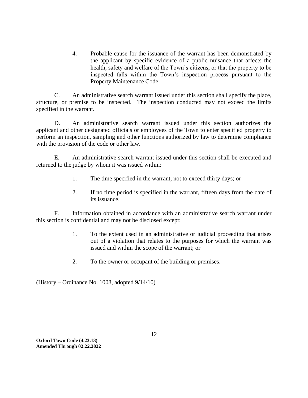4. Probable cause for the issuance of the warrant has been demonstrated by the applicant by specific evidence of a public nuisance that affects the health, safety and welfare of the Town's citizens, or that the property to be inspected falls within the Town's inspection process pursuant to the Property Maintenance Code.

C. An administrative search warrant issued under this section shall specify the place, structure, or premise to be inspected. The inspection conducted may not exceed the limits specified in the warrant.

D. An administrative search warrant issued under this section authorizes the applicant and other designated officials or employees of the Town to enter specified property to perform an inspection, sampling and other functions authorized by law to determine compliance with the provision of the code or other law.

E. An administrative search warrant issued under this section shall be executed and returned to the judge by whom it was issued within:

- 1. The time specified in the warrant, not to exceed thirty days; or
- 2. If no time period is specified in the warrant, fifteen days from the date of its issuance.

F. Information obtained in accordance with an administrative search warrant under this section is confidential and may not be disclosed except:

- 1. To the extent used in an administrative or judicial proceeding that arises out of a violation that relates to the purposes for which the warrant was issued and within the scope of the warrant; or
- 2. To the owner or occupant of the building or premises.

(History – Ordinance No. 1008, adopted 9/14/10)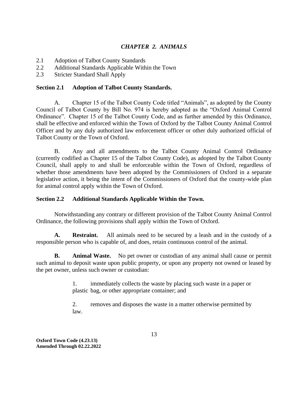# *CHAPTER 2. ANIMALS*

- <span id="page-13-0"></span>2.1 Adoption of Talbot County Standards
- 2.2 Additional Standards Applicable Within the Town
- <span id="page-13-1"></span>2.3 Stricter Standard Shall Apply

# **Section 2.1 Adoption of Talbot County Standards.**

A. Chapter 15 of the Talbot County Code titled "Animals", as adopted by the County Council of Talbot County by Bill No. 974 is hereby adopted as the "Oxford Animal Control Ordinance". Chapter 15 of the Talbot County Code, and as further amended by this Ordinance, shall be effective and enforced within the Town of Oxford by the Talbot County Animal Control Officer and by any duly authorized law enforcement officer or other duly authorized official of Talbot County or the Town of Oxford.

B. Any and all amendments to the Talbot County Animal Control Ordinance (currently codified as Chapter 15 of the Talbot County Code), as adopted by the Talbot County Council, shall apply to and shall be enforceable within the Town of Oxford, regardless of whether those amendments have been adopted by the Commissioners of Oxford in a separate legislative action, it being the intent of the Commissioners of Oxford that the county-wide plan for animal control apply within the Town of Oxford.

# <span id="page-13-2"></span>**Section 2.2 Additional Standards Applicable Within the Town.**

Notwithstanding any contrary or different provision of the Talbot County Animal Control Ordinance, the following provisions shall apply within the Town of Oxford.

**A. Restraint.** All animals need to be secured by a leash and in the custody of a responsible person who is capable of, and does, retain continuous control of the animal.

**B. Animal Waste.** No pet owner or custodian of any animal shall cause or permit such animal to deposit waste upon public property, or upon any property not owned or leased by the pet owner, unless such owner or custodian:

> 1. immediately collects the waste by placing such waste in a paper or plastic bag, or other appropriate container; and

> 2. removes and disposes the waste in a matter otherwise permitted by law.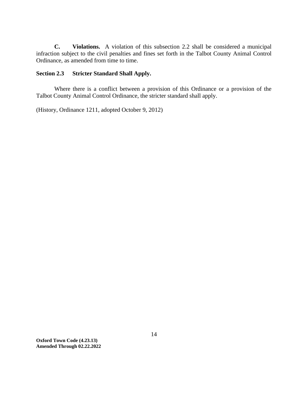**C. Violations.** A violation of this subsection 2.2 shall be considered a municipal infraction subject to the civil penalties and fines set forth in the Talbot County Animal Control Ordinance, as amended from time to time.

# <span id="page-14-0"></span>**Section 2.3 Stricter Standard Shall Apply.**

Where there is a conflict between a provision of this Ordinance or a provision of the Talbot County Animal Control Ordinance, the stricter standard shall apply.

(History, Ordinance 1211, adopted October 9, 2012)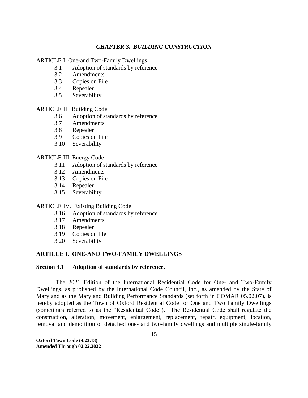# *CHAPTER 3. BUILDING CONSTRUCTION*

<span id="page-15-0"></span>ARTICLE I One-and Two-Family Dwellings

- 3.1 Adoption of standards by reference
- 3.2 Amendments
- 3.3 Copies on File
- 3.4 Repealer
- 3.5 Severability

# ARTICLE II Building Code

- 3.6 Adoption of standards by reference
- 3.7 Amendments
- 3.8 Repealer
- 3.9 Copies on File
- 3.10 Severability

#### ARTICLE III Energy Code

- 3.11 Adoption of standards by reference
- 3.12 Amendments
- 3.13 Copies on File
- 3.14 Repealer
- 3.15 Severability

#### ARTICLE IV. Existing Building Code

- 3.16 Adoption of standards by reference
- 3.17 Amendments
- 3.18 Repealer
- 3.19 Copies on file
- 3.20 Severability

#### <span id="page-15-1"></span>**ARTICLE I. ONE-AND TWO-FAMILY DWELLINGS**

# <span id="page-15-2"></span>**Section 3.1 Adoption of standards by reference.**

The 2021 Edition of the International Residential Code for One- and Two-Family Dwellings, as published by the International Code Council, Inc., as amended by the State of Maryland as the Maryland Building Performance Standards (set forth in COMAR 05.02.07), is hereby adopted as the Town of Oxford Residential Code for One and Two Family Dwellings (sometimes referred to as the "Residential Code"). The Residential Code shall regulate the construction, alteration, movement, enlargement, replacement, repair, equipment, location, removal and demolition of detached one- and two-family dwellings and multiple single-family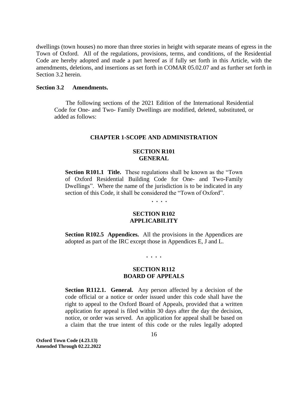dwellings (town houses) no more than three stories in height with separate means of egress in the Town of Oxford. All of the regulations, provisions, terms, and conditions, of the Residential Code are hereby adopted and made a part hereof as if fully set forth in this Article, with the amendments, deletions, and insertions as set forth in COMAR 05.02.07 and as further set forth in Section 3.2 herein.

#### <span id="page-16-0"></span>**Section 3.2 Amendments.**

The following sections of the 2021 Edition of the International Residential Code for One- and Two- Family Dwellings are modified, deleted, substituted, or added as follows:

#### **CHAPTER 1-SCOPE AND ADMINISTRATION**

# **SECTION R101 GENERAL**

**Section R101.1 Title.** These regulations shall be known as the "Town" of Oxford Residential Building Code for One- and Two-Family Dwellings". Where the name of the jurisdiction is to be indicated in any section of this Code, it shall be considered the "Town of Oxford".

**. . . .**

# **SECTION R102 APPLICABILITY**

**Section R102.5 Appendices.** All the provisions in the Appendices are adopted as part of the IRC except those in Appendices E, J and L.

#### **. . . .**

# **SECTION R112 BOARD OF APPEALS**

**Section R112.1. General.** Any person affected by a decision of the code official or a notice or order issued under this code shall have the right to appeal to the Oxford Board of Appeals, provided that a written application for appeal is filed within 30 days after the day the decision, notice, or order was served. An application for appeal shall be based on a claim that the true intent of this code or the rules legally adopted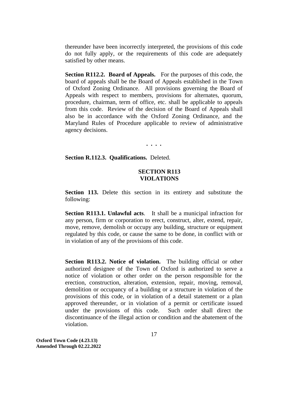thereunder have been incorrectly interpreted, the provisions of this code do not fully apply, or the requirements of this code are adequately satisfied by other means.

**Section R112.2. Board of Appeals.** For the purposes of this code, the board of appeals shall be the Board of Appeals established in the Town of Oxford Zoning Ordinance. All provisions governing the Board of Appeals with respect to members, provisions for alternates, quorum, procedure, chairman, term of office, etc. shall be applicable to appeals from this code. Review of the decision of the Board of Appeals shall also be in accordance with the Oxford Zoning Ordinance, and the Maryland Rules of Procedure applicable to review of administrative agency decisions.

**. . . .**

**Section R.112.3. Qualifications.** Deleted.

# **SECTION R113 VIOLATIONS**

**Section 113.** Delete this section in its entirety and substitute the following:

**Section R113.1. Unlawful acts**. It shall be a municipal infraction for any person, firm or corporation to erect, construct, alter, extend, repair, move, remove, demolish or occupy any building, structure or equipment regulated by this code, or cause the same to be done, in conflict with or in violation of any of the provisions of this code.

**Section R113.2. Notice of violation.** The building official or other authorized designee of the Town of Oxford is authorized to serve a notice of violation or other order on the person responsible for the erection, construction, alteration, extension, repair, moving, removal, demolition or occupancy of a building or a structure in violation of the provisions of this code, or in violation of a detail statement or a plan approved thereunder, or in violation of a permit or certificate issued under the provisions of this code. Such order shall direct the discontinuance of the illegal action or condition and the abatement of the violation.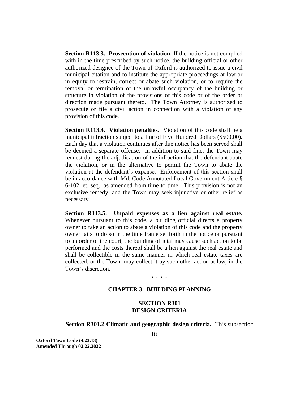**Section R113.3. Prosecution of violation.** If the notice is not complied with in the time prescribed by such notice, the building official or other authorized designee of the Town of Oxford is authorized to issue a civil municipal citation and to institute the appropriate proceedings at law or in equity to restrain, correct or abate such violation, or to require the removal or termination of the unlawful occupancy of the building or structure in violation of the provisions of this code or of the order or direction made pursuant thereto. The Town Attorney is authorized to prosecute or file a civil action in connection with a violation of any provision of this code.

**Section R113.4. Violation penalties.** Violation of this code shall be a municipal infraction subject to a fine of Five Hundred Dollars (\$500.00). Each day that a violation continues after due notice has been served shall be deemed a separate offense. In addition to said fine, the Town may request during the adjudication of the infraction that the defendant abate the violation, or in the alternative to permit the Town to abate the violation at the defendant's expense. Enforcement of this section shall be in accordance with Md. Code Annotated Local Government Article § 6-102, et. seq., as amended from time to time. This provision is not an exclusive remedy, and the Town may seek injunctive or other relief as necessary.

**Section R113.5. Unpaid expenses as a lien against real estate.**  Whenever pursuant to this code, a building official directs a property owner to take an action to abate a violation of this code and the property owner fails to do so in the time frame set forth in the notice or pursuant to an order of the court, the building official may cause such action to be performed and the costs thereof shall be a lien against the real estate and shall be collectible in the same manner in which real estate taxes are collected, or the Town may collect it by such other action at law, in the Town's discretion.

# **CHAPTER 3. BUILDING PLANNING**

**. . . .**

# **SECTION R301 DESIGN CRITERIA**

#### **Section R301.2 Climatic and geographic design criteria.** This subsection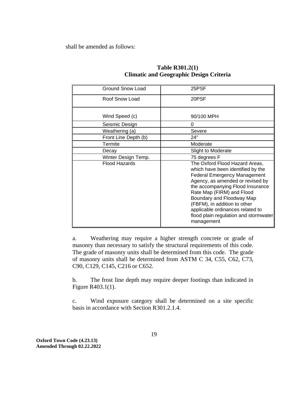shall be amended as follows:

| Ground Snow Load     | 25PSF                                                                                                                                                                                                                                                                                                                                                                   |
|----------------------|-------------------------------------------------------------------------------------------------------------------------------------------------------------------------------------------------------------------------------------------------------------------------------------------------------------------------------------------------------------------------|
| Roof Snow Load       | 20PSF                                                                                                                                                                                                                                                                                                                                                                   |
| Wind Speed (c)       | 90/100 MPH                                                                                                                                                                                                                                                                                                                                                              |
| Seismic Design       | 0                                                                                                                                                                                                                                                                                                                                                                       |
| Weathering (a)       | Severe                                                                                                                                                                                                                                                                                                                                                                  |
| Front Line Depth (b) | 24"                                                                                                                                                                                                                                                                                                                                                                     |
| Termite              | Moderate                                                                                                                                                                                                                                                                                                                                                                |
| Decay                | Slight to Moderate                                                                                                                                                                                                                                                                                                                                                      |
| Winter Design Temp.  | 75 degrees F                                                                                                                                                                                                                                                                                                                                                            |
| <b>Flood Hazards</b> | The Oxford Flood Hazard Areas,<br>which have been identified by the<br><b>Federal Emergency Management</b><br>Agency, as amended or revised by<br>the accompanying Flood Insurance<br>Rate Map (FIRM) and Flood<br>Boundary and Floodway Map<br>(FBFM), in addition to other<br>applicable ordinances related to<br>flood plain regulation and stormwater<br>management |

# **Table R301.2(1) Climatic and Geographic Design Criteria**

a. Weathering may require a higher strength concrete or grade of masonry than necessary to satisfy the structural requirements of this code. The grade of masonry units shall be determined from this code. The grade of masonry units shall be determined from ASTM C 34, C55, C62, C73, C90, C129, C145, C216 or C652.

b. The frost line depth may require deeper footings than indicated in Figure R403.1(1).

c. Wind exposure category shall be determined on a site specific basis in accordance with Section R301.2.1.4.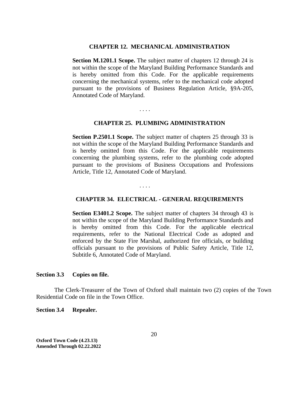#### **CHAPTER 12. MECHANICAL ADMINISTRATION**

**Section M.1201.1 Scope.** The subject matter of chapters 12 through 24 is not within the scope of the Maryland Building Performance Standards and is hereby omitted from this Code. For the applicable requirements concerning the mechanical systems, refer to the mechanical code adopted pursuant to the provisions of Business Regulation Article, §9A-205, Annotated Code of Maryland.

#### **CHAPTER 25. PLUMBING ADMINISTRATION**

**Section P.2501.1 Scope.** The subject matter of chapters 25 through 33 is not within the scope of the Maryland Building Performance Standards and is hereby omitted from this Code. For the applicable requirements concerning the plumbing systems, refer to the plumbing code adopted pursuant to the provisions of Business Occupations and Professions Article, Title 12, Annotated Code of Maryland.

. . . .

. . . .

# **CHAPTER 34. ELECTRICAL - GENERAL REQUIREMENTS**

**Section E3401.2 Scope.** The subject matter of chapters 34 through 43 is not within the scope of the Maryland Building Performance Standards and is hereby omitted from this Code. For the applicable electrical requirements, refer to the National Electrical Code as adopted and enforced by the State Fire Marshal, authorized fire officials, or building officials pursuant to the provisions of Public Safety Article, Title 12, Subtitle 6, Annotated Code of Maryland.

# <span id="page-20-0"></span>**Section 3.3 Copies on file.**

The Clerk-Treasurer of the Town of Oxford shall maintain two (2) copies of the Town Residential Code on file in the Town Office.

#### <span id="page-20-1"></span>**Section 3.4 Repealer.**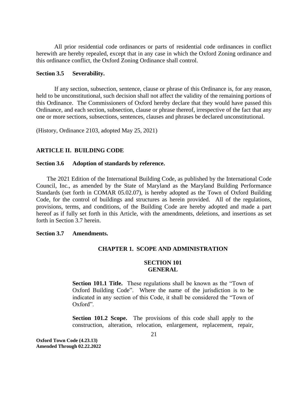All prior residential code ordinances or parts of residential code ordinances in conflict herewith are hereby repealed, except that in any case in which the Oxford Zoning ordinance and this ordinance conflict, the Oxford Zoning Ordinance shall control.

#### <span id="page-21-0"></span>**Section 3.5 Severability.**

If any section, subsection, sentence, clause or phrase of this Ordinance is, for any reason, held to be unconstitutional, such decision shall not affect the validity of the remaining portions of this Ordinance. The Commissioners of Oxford hereby declare that they would have passed this Ordinance, and each section, subsection, clause or phrase thereof, irrespective of the fact that any one or more sections, subsections, sentences, clauses and phrases be declared unconstitutional.

(History, Ordinance 2103, adopted May 25, 2021)

# <span id="page-21-1"></span>**ARTICLE II. BUILDING CODE**

#### <span id="page-21-2"></span>**Section 3.6 Adoption of standards by reference.**

The 2021 Edition of the International Building Code, as published by the International Code Council, Inc., as amended by the State of Maryland as the Maryland Building Performance Standards (set forth in COMAR 05.02.07), is hereby adopted as the Town of Oxford Building Code, for the control of buildings and structures as herein provided. All of the regulations, provisions, terms, and conditions, of the Building Code are hereby adopted and made a part hereof as if fully set forth in this Article, with the amendments, deletions, and insertions as set forth in Section 3.7 herein.

# <span id="page-21-3"></span>**Section 3.7 Amendments.**

# **CHAPTER 1. SCOPE AND ADMINISTRATION**

# **SECTION 101 GENERAL**

**Section 101.1 Title.** These regulations shall be known as the "Town of Oxford Building Code". Where the name of the jurisdiction is to be indicated in any section of this Code, it shall be considered the "Town of Oxford".

**Section 101.2 Scope.** The provisions of this code shall apply to the construction, alteration, relocation, enlargement, replacement, repair,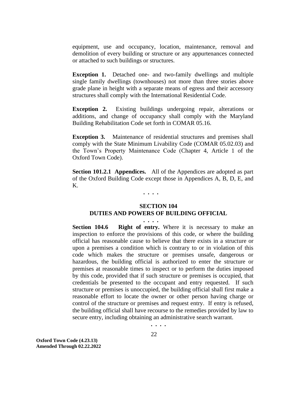equipment, use and occupancy, location, maintenance, removal and demolition of every building or structure or any appurtenances connected or attached to such buildings or structures.

**Exception 1.** Detached one- and two-family dwellings and multiple single family dwellings (townhouses) not more than three stories above grade plane in height with a separate means of egress and their accessory structures shall comply with the International Residential Code.

**Exception 2.** Existing buildings undergoing repair, alterations or additions, and change of occupancy shall comply with the Maryland Building Rehabilitation Code set forth in COMAR 05.16.

**Exception 3.** Maintenance of residential structures and premises shall comply with the State Minimum Livability Code (COMAR 05.02.03) and the Town's Property Maintenance Code (Chapter 4, Article 1 of the Oxford Town Code).

**Section 101.2.1 Appendices.** All of the Appendices are adopted as part of the Oxford Building Code except those in Appendices A, B, D, E, and K.

 **. . . .**

#### **SECTION 104 DUTIES AND POWERS OF BUILDING OFFICIAL**

 **. . . .**

**Section 104.6 Right of entry.** Where it is necessary to make an inspection to enforce the provisions of this code, or where the building official has reasonable cause to believe that there exists in a structure or upon a premises a condition which is contrary to or in violation of this code which makes the structure or premises unsafe, dangerous or hazardous, the building official is authorized to enter the structure or premises at reasonable times to inspect or to perform the duties imposed by this code, provided that if such structure or premises is occupied, that credentials be presented to the occupant and entry requested. If such structure or premises is unoccupied, the building official shall first make a reasonable effort to locate the owner or other person having charge or control of the structure or premises and request entry. If entry is refused, the building official shall have recourse to the remedies provided by law to secure entry, including obtaining an administrative search warrant.

**. . . .**

22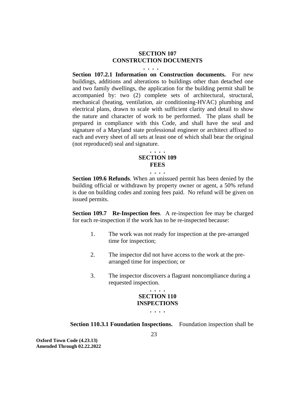# **SECTION 107 CONSTRUCTION DOCUMENTS**

 **. . . .**

**Section 107.2.1 Information on Construction documents.** For new buildings, additions and alterations to buildings other than detached one and two family dwellings, the application for the building permit shall be accompanied by: two (2) complete sets of architectural, structural, mechanical (heating, ventilation, air conditioning-HVAC) plumbing and electrical plans, drawn to scale with sufficient clarity and detail to show the nature and character of work to be performed. The plans shall be prepared in compliance with this Code, and shall have the seal and signature of a Maryland state professional engineer or architect affixed to each and every sheet of all sets at least one of which shall bear the original (not reproduced) seal and signature.

#### **. . . . SECTION 109 FEES**

**. . . .**

**Section 109.6 Refunds**. When an unissued permit has been denied by the building official or withdrawn by property owner or agent, a 50% refund is due on building codes and zoning fees paid. No refund will be given on issued permits.

**Section 109.7 Re-Inspection fees.** A re-inspection fee may be charged for each re-inspection if the work has to be re-inspected because:

- 1. The work was not ready for inspection at the pre-arranged time for inspection;
- 2. The inspector did not have access to the work at the prearranged time for inspection; or
- 3. The inspector discovers a flagrant noncompliance during a requested inspection.

# **. . . . SECTION 110 INSPECTIONS**

**. . . .**

**Section 110.3.1 Foundation Inspections.** Foundation inspection shall be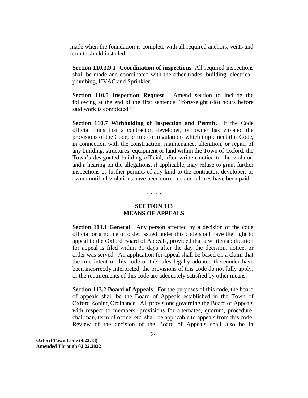made when the foundation is complete with all required anchors, vents and termite shield installed.

**Section 110.3.9.1 Coordination of inspections**. All required inspections shall be made and coordinated with the other trades, building, electrical, plumbing, HVAC and Sprinkler.

**Section 110.5 Inspection Request**. Amend section to include the following at the end of the first sentence: "forty-eight (48) hours before said work is completed."

**Section 110.7 Withholding of Inspection and Permit.** If the Code official finds that a contractor, developer, or owner has violated the provisions of the Code, or rules or regulations which implement this Code, in connection with the construction, maintenance, alteration, or repair of any building, structures, equipment or land within the Town of Oxford, the Town's designated building official, after written notice to the violator, and a hearing on the allegations, if applicable, may refuse to grant further inspections or further permits of any kind to the contractor, developer, or owner until all violations have been corrected and all fees have been paid.

**. . . .**

# **SECTION 113 MEANS OF APPEALS**

**Section 113.1 General.** Any person affected by a decision of the code official or a notice or order issued under this code shall have the right to appeal to the Oxford Board of Appeals, provided that a written application for appeal is filed within 30 days after the day the decision, notice, or order was served. An application for appeal shall be based on a claim that the true intent of this code or the rules legally adopted thereunder have been incorrectly interpreted, the provisions of this code do not fully apply, or the requirements of this code are adequately satisfied by other means.

**Section 113.2 Board of Appeals**. For the purposes of this code, the board of appeals shall be the Board of Appeals established in the Town of Oxford Zoning Ordinance. All provisions governing the Board of Appeals with respect to members, provisions for alternates, quorum, procedure, chairman, term of office, etc. shall be applicable to appeals from this code. Review of the decision of the Board of Appeals shall also be in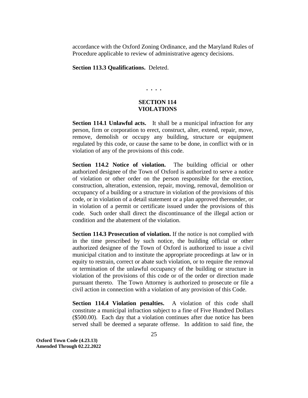accordance with the Oxford Zoning Ordinance, and the Maryland Rules of Procedure applicable to review of administrative agency decisions.

**Section 113.3 Qualifications.** Deleted.

# **. . . .**

# **SECTION 114 VIOLATIONS**

**Section 114.1 Unlawful acts.** It shall be a municipal infraction for any person, firm or corporation to erect, construct, alter, extend, repair, move, remove, demolish or occupy any building, structure or equipment regulated by this code, or cause the same to be done, in conflict with or in violation of any of the provisions of this code.

**Section 114.2 Notice of violation.** The building official or other authorized designee of the Town of Oxford is authorized to serve a notice of violation or other order on the person responsible for the erection, construction, alteration, extension, repair, moving, removal, demolition or occupancy of a building or a structure in violation of the provisions of this code, or in violation of a detail statement or a plan approved thereunder, or in violation of a permit or certificate issued under the provisions of this code. Such order shall direct the discontinuance of the illegal action or condition and the abatement of the violation.

**Section 114.3 Prosecution of violation.** If the notice is not complied with in the time prescribed by such notice, the building official or other authorized designee of the Town of Oxford is authorized to issue a civil municipal citation and to institute the appropriate proceedings at law or in equity to restrain, correct or abate such violation, or to require the removal or termination of the unlawful occupancy of the building or structure in violation of the provisions of this code or of the order or direction made pursuant thereto. The Town Attorney is authorized to prosecute or file a civil action in connection with a violation of any provision of this Code.

**Section 114.4 Violation penalties.** A violation of this code shall constitute a municipal infraction subject to a fine of Five Hundred Dollars (\$500.00). Each day that a violation continues after due notice has been served shall be deemed a separate offense. In addition to said fine, the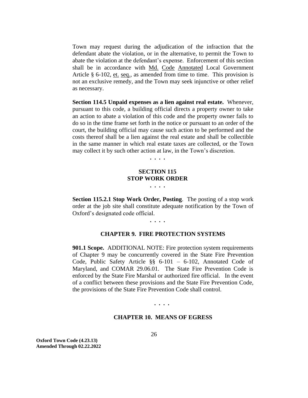Town may request during the adjudication of the infraction that the defendant abate the violation, or in the alternative, to permit the Town to abate the violation at the defendant's expense. Enforcement of this section shall be in accordance with Md. Code Annotated Local Government Article § 6-102, et. seq., as amended from time to time. This provision is not an exclusive remedy, and the Town may seek injunctive or other relief as necessary.

**Section 114.5 Unpaid expenses as a lien against real estate.** Whenever, pursuant to this code, a building official directs a property owner to take an action to abate a violation of this code and the property owner fails to do so in the time frame set forth in the notice or pursuant to an order of the court, the building official may cause such action to be performed and the costs thereof shall be a lien against the real estate and shall be collectible in the same manner in which real estate taxes are collected, or the Town may collect it by such other action at law, in the Town's discretion.

**. . . .**

# **SECTION 115 STOP WORK ORDER . . . .**

**Section 115.2.1 Stop Work Order, Posting**. The posting of a stop work order at the job site shall constitute adequate notification by the Town of Oxford's designated code official.

**. . . .**

#### **CHAPTER 9. FIRE PROTECTION SYSTEMS**

**901.1 Scope.** ADDITIONAL NOTE: Fire protection system requirements of Chapter 9 may be concurrently covered in the State Fire Prevention Code, Public Safety Article §§ 6-101 – 6-102, Annotated Code of Maryland, and COMAR 29.06.01. The State Fire Prevention Code is enforced by the State Fire Marshal or authorized fire official. In the event of a conflict between these provisions and the State Fire Prevention Code, the provisions of the State Fire Prevention Code shall control.

#### **. . . .**

#### **CHAPTER 10. MEANS OF EGRESS**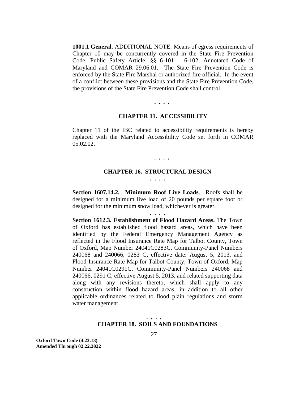**1001.1 General.** ADDITIONAL NOTE: Means of egress requirements of Chapter 10 may be concurrently covered in the State Fire Prevention Code, Public Safety Article, §§ 6-101 – 6-102, Annotated Code of Maryland and COMAR 29.06.01. The State Fire Prevention Code is enforced by the State Fire Marshal or authorized fire official. In the event of a conflict between these provisions and the State Fire Prevention Code, the provisions of the State Fire Prevention Code shall control.

# **. . . .**

#### **CHAPTER 11. ACCESSIBILITY**

Chapter 11 of the IBC related to accessibility requirements is hereby replaced with the Maryland Accessibility Code set forth in COMAR 05.02.02.

**. . . .**

#### **CHAPTER 16. STRUCTURAL DESIGN . . . .**

**Section 1607.14.2. Minimum Roof Live Loads**. Roofs shall be designed for a minimum live load of 20 pounds per square foot or designed for the minimum snow load, whichever is greater.

**. . . .**

**Section 1612.3. Establishment of Flood Hazard Areas.** The Town of Oxford has established flood hazard areas, which have been identified by the Federal Emergency Management Agency as reflected in the Flood Insurance Rate Map for Talbot County, Town of Oxford, Map Number 24041C0283C, Community-Panel Numbers 240068 and 240066, 0283 C, effective date: August 5, 2013, and Flood Insurance Rate Map for Talbot County, Town of Oxford, Map Number 24041C0291C, Community-Panel Numbers 240068 and 240066, 0291 C, effective August 5, 2013, and related supporting data along with any revisions thereto, which shall apply to any construction within flood hazard areas, in addition to all other applicable ordinances related to flood plain regulations and storm water management.

# **. . . . CHAPTER 18. SOILS AND FOUNDATIONS**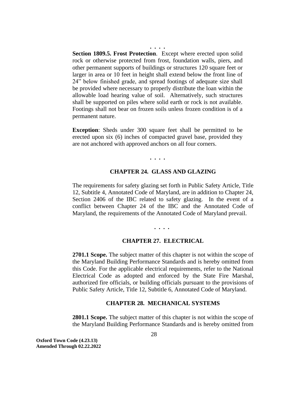**Section 1809.5. Frost Protection**. Except where erected upon solid rock or otherwise protected from frost, foundation walls, piers, and other permanent supports of buildings or structures 120 square feet or larger in area or 10 feet in height shall extend below the front line of 24" below finished grade, and spread footings of adequate size shall be provided where necessary to properly distribute the loan within the allowable load hearing value of soil. Alternatively, such structures shall be supported on piles where solid earth or rock is not available. Footings shall not bear on frozen soils unless frozen condition is of a permanent nature.

**. . . .**

**Exception**: Sheds under 300 square feet shall be permitted to be erected upon six (6) inches of compacted gravel base, provided they are not anchored with approved anchors on all four corners.

**. . . .**

#### **CHAPTER 24. GLASS AND GLAZING**

The requirements for safety glazing set forth in Public Safety Article, Title 12, Subtitle 4, Annotated Code of Maryland, are in addition to Chapter 24, Section 2406 of the IBC related to safety glazing. In the event of a conflict between Chapter 24 of the IBC and the Annotated Code of Maryland, the requirements of the Annotated Code of Maryland prevail.

**. . . .**

# **CHAPTER 27. ELECTRICAL**

**2701.1 Scope.** The subject matter of this chapter is not within the scope of the Maryland Building Performance Standards and is hereby omitted from this Code. For the applicable electrical requirements, refer to the National Electrical Code as adopted and enforced by the State Fire Marshal, authorized fire officials, or building officials pursuant to the provisions of Public Safety Article, Title 12, Subtitle 6, Annotated Code of Maryland.

#### **CHAPTER 28. MECHANICAL SYSTEMS**

**2801.1 Scope.** The subject matter of this chapter is not within the scope of the Maryland Building Performance Standards and is hereby omitted from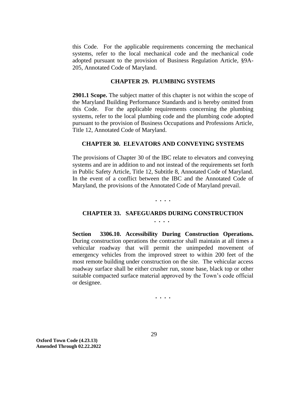this Code. For the applicable requirements concerning the mechanical systems, refer to the local mechanical code and the mechanical code adopted pursuant to the provision of Business Regulation Article, §9A-205, Annotated Code of Maryland.

#### **CHAPTER 29. PLUMBING SYSTEMS**

**2901.1 Scope.** The subject matter of this chapter is not within the scope of the Maryland Building Performance Standards and is hereby omitted from this Code. For the applicable requirements concerning the plumbing systems, refer to the local plumbing code and the plumbing code adopted pursuant to the provision of Business Occupations and Professions Article, Title 12, Annotated Code of Maryland.

# **CHAPTER 30. ELEVATORS AND CONVEYING SYSTEMS**

The provisions of Chapter 30 of the IBC relate to elevators and conveying systems and are in addition to and not instead of the requirements set forth in Public Safety Article, Title 12, Subtitle 8, Annotated Code of Maryland. In the event of a conflict between the IBC and the Annotated Code of Maryland, the provisions of the Annotated Code of Maryland prevail.

**. . . .**

# **CHAPTER 33. SAFEGUARDS DURING CONSTRUCTION**

**. . . .**

**Section 3306.10. Accessibility During Construction Operations.**  During construction operations the contractor shall maintain at all times a vehicular roadway that will permit the unimpeded movement of emergency vehicles from the improved street to within 200 feet of the most remote building under construction on the site. The vehicular access roadway surface shall be either crusher run, stone base, black top or other suitable compacted surface material approved by the Town's code official or designee.

**. . . .**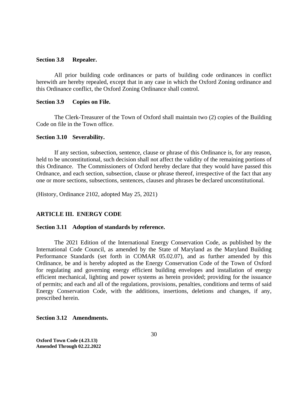#### <span id="page-30-0"></span>**Section 3.8 Repealer.**

All prior building code ordinances or parts of building code ordinances in conflict herewith are hereby repealed, except that in any case in which the Oxford Zoning ordinance and this Ordinance conflict, the Oxford Zoning Ordinance shall control.

#### <span id="page-30-1"></span>**Section 3.9 Copies on File.**

The Clerk-Treasurer of the Town of Oxford shall maintain two (2) copies of the Building Code on file in the Town office.

#### <span id="page-30-2"></span>**Section 3.10 Severability.**

If any section, subsection, sentence, clause or phrase of this Ordinance is, for any reason, held to be unconstitutional, such decision shall not affect the validity of the remaining portions of this Ordinance. The Commissioners of Oxford hereby declare that they would have passed this Ordnance, and each section, subsection, clause or phrase thereof, irrespective of the fact that any one or more sections, subsections, sentences, clauses and phrases be declared unconstitutional.

(History, Ordinance 2102, adopted May 25, 2021)

# <span id="page-30-3"></span>**ARTICLE III. ENERGY CODE**

#### <span id="page-30-4"></span>**Section 3.11 Adoption of standards by reference.**

The 2021 Edition of the International Energy Conservation Code, as published by the International Code Council, as amended by the State of Maryland as the Maryland Building Performance Standards (set forth in COMAR 05.02.07), and as further amended by this Ordinance, be and is hereby adopted as the Energy Conservation Code of the Town of Oxford for regulating and governing energy efficient building envelopes and installation of energy efficient mechanical, lighting and power systems as herein provided; providing for the issuance of permits; and each and all of the regulations, provisions, penalties, conditions and terms of said Energy Conservation Code, with the additions, insertions, deletions and changes, if any, prescribed herein.

<span id="page-30-5"></span>**Section 3.12 Amendments.**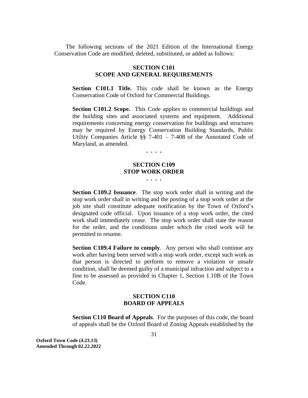The following sections of the 2021 Edition of the International Energy Conservation Code are modified, deleted, substituted, or added as follows:

# **SECTION C101 SCOPE AND GENERAL REQUIREMENTS**

**Section C101.1 Title.** This code shall be known as the Energy Conservation Code of Oxford for Commercial Buildings.

**Section C101.2 Scope.** This Code applies to commercial buildings and the building sites and associated systems and equipment. Additional requirements concerning energy conservation for buildings and structures may be required by Energy Conservation Building Standards, Public Utility Companies Article §§ 7-401 – 7-408 of the Annotated Code of Maryland, as amended.

**. . . .**

# **SECTION C109 STOP WORK ORDER**

**. . . .**

**Section C109.2 Issuance**. The stop work order shall in writing and the stop work order shall in writing and the posting of a stop work order at the job site shall constitute adequate notification by the Town of Oxford's designated code official. Upon issuance of a stop work order, the cited work shall immediately cease. The stop work order shall state the reason for the order, and the conditions under which the cited work will be permitted to resume.

**Section C109.4 Failure to comply.** Any person who shall continue any work after having been served with a stop work order, except such work as that person is directed to perform to remove a violation or unsafe condition, shall be deemed guilty of a municipal infraction and subject to a fine to be assessed as provided in Chapter 1, Section 1.10B of the Town Code.

# **SECTION C110 BOARD OF APPEALS**

**Section C110 Board of Appeals**. For the purposes of this code, the board of appeals shall be the Oxford Board of Zoning Appeals established by the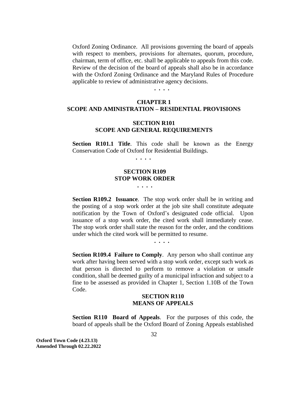Oxford Zoning Ordinance. All provisions governing the board of appeals with respect to members, provisions for alternates, quorum, procedure, chairman, term of office, etc. shall be applicable to appeals from this code. Review of the decision of the board of appeals shall also be in accordance with the Oxford Zoning Ordinance and the Maryland Rules of Procedure applicable to review of administrative agency decisions.

**. . . .**

# **CHAPTER 1 SCOPE AND AMINISTRATION – RESIDENTIAL PROVISIONS**

# **SECTION R101 SCOPE AND GENERAL REQUIREMENTS**

**Section R101.1 Title.** This code shall be known as the Energy Conservation Code of Oxford for Residential Buildings.

 **. . . .**

# **SECTION R109 STOP WORK ORDER**

**. . . .**

**Section R109.2** Issuance. The stop work order shall be in writing and the posting of a stop work order at the job site shall constitute adequate notification by the Town of Oxford's designated code official. Upon issuance of a stop work order, the cited work shall immediately cease. The stop work order shall state the reason for the order, and the conditions under which the cited work will be permitted to resume.

**. . . .**

**Section R109.4 Failure to Comply.** Any person who shall continue any work after having been served with a stop work order, except such work as that person is directed to perform to remove a violation or unsafe condition, shall be deemed guilty of a municipal infraction and subject to a fine to be assessed as provided in Chapter 1, Section 1.10B of the Town Code.

# **SECTION R110 MEANS OF APPEALS**

**Section R110 Board of Appeals**. For the purposes of this code, the board of appeals shall be the Oxford Board of Zoning Appeals established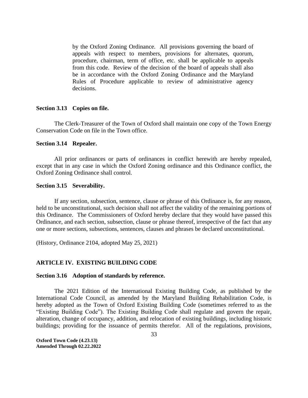by the Oxford Zoning Ordinance. All provisions governing the board of appeals with respect to members, provisions for alternates, quorum, procedure, chairman, term of office, etc. shall be applicable to appeals from this code. Review of the decision of the board of appeals shall also be in accordance with the Oxford Zoning Ordinance and the Maryland Rules of Procedure applicable to review of administrative agency decisions.

# <span id="page-33-0"></span>**Section 3.13 Copies on file.**

The Clerk-Treasurer of the Town of Oxford shall maintain one copy of the Town Energy Conservation Code on file in the Town office.

#### <span id="page-33-1"></span>**Section 3.14 Repealer.**

All prior ordinances or parts of ordinances in conflict herewith are hereby repealed, except that in any case in which the Oxford Zoning ordinance and this Ordinance conflict, the Oxford Zoning Ordinance shall control.

#### <span id="page-33-2"></span>**Section 3.15 Severability.**

If any section, subsection, sentence, clause or phrase of this Ordinance is, for any reason, held to be unconstitutional, such decision shall not affect the validity of the remaining portions of this Ordinance. The Commissioners of Oxford hereby declare that they would have passed this Ordinance, and each section, subsection, clause or phrase thereof, irrespective of the fact that any one or more sections, subsections, sentences, clauses and phrases be declared unconstitutional.

(History, Ordinance 2104, adopted May 25, 2021)

# <span id="page-33-3"></span>**ARTICLE IV. EXISTING BUILDING CODE**

#### <span id="page-33-4"></span>**Section 3.16 Adoption of standards by reference.**

The 2021 Edition of the International Existing Building Code, as published by the International Code Council, as amended by the Maryland Building Rehabilitation Code, is hereby adopted as the Town of Oxford Existing Building Code (sometimes referred to as the "Existing Building Code"). The Existing Building Code shall regulate and govern the repair, alteration, change of occupancy, addition, and relocation of existing buildings, including historic buildings; providing for the issuance of permits therefor. All of the regulations, provisions,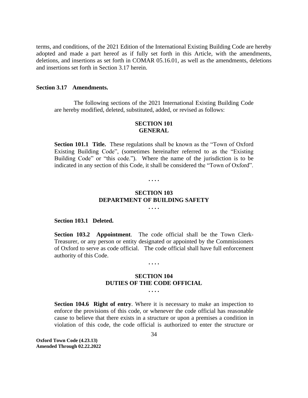terms, and conditions, of the 2021 Edition of the International Existing Building Code are hereby adopted and made a part hereof as if fully set forth in this Article, with the amendments, deletions, and insertions as set forth in COMAR 05.16.01, as well as the amendments, deletions and insertions set forth in Section 3.17 herein.

# <span id="page-34-0"></span>**Section 3.17 Amendments.**

The following sections of the 2021 International Existing Building Code are hereby modified, deleted, substituted, added, or revised as follows:

# **SECTION 101 GENERAL**

**Section 101.1 Title.** These regulations shall be known as the "Town of Oxford Existing Building Code", (sometimes hereinafter referred to as the "Existing Building Code" or "this code."). Where the name of the jurisdiction is to be indicated in any section of this Code, it shall be considered the "Town of Oxford".

#### **. . . .**

# **SECTION 103 DEPARTMENT OF BUILDING SAFETY**

**. . . .**

#### **Section 103.1 Deleted.**

**Section 103.2 Appointment**. The code official shall be the Town Clerk-Treasurer, or any person or entity designated or appointed by the Commissioners of Oxford to serve as code official. The code official shall have full enforcement authority of this Code.

#### **. . . .**

# **SECTION 104 DUTIES OF THE CODE OFFICIAL**

**. . . .**

**Section 104.6 Right of entry.** Where it is necessary to make an inspection to enforce the provisions of this code, or whenever the code official has reasonable cause to believe that there exists in a structure or upon a premises a condition in violation of this code, the code official is authorized to enter the structure or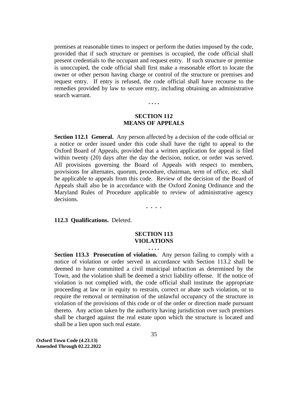premises at reasonable times to inspect or perform the duties imposed by the code, provided that if such structure or premises is occupied, the code official shall present credentials to the occupant and request entry. If such structure or premise is unoccupied, the code official shall first make a reasonable effort to locate the owner or other person having charge or control of the structure or premises and request entry. If entry is refused, the code official shall have recourse to the remedies provided by law to secure entry, including obtaining an administrative search warrant.

# **SECTION 112 MEANS OF APPEALS**

**. . . .**

**Section 112.1 General.** Any person affected by a decision of the code official or a notice or order issued under this code shall have the right to appeal to the Oxford Board of Appeals, provided that a written application for appeal is filed within twenty (20) days after the day the decision, notice, or order was served. All provisions governing the Board of Appeals with respect to members, provisions for alternates, quorum, procedure, chairman, term of office, etc. shall be applicable to appeals from this code. Review of the decision of the Board of Appeals shall also be in accordance with the Oxford Zoning Ordinance and the Maryland Rules of Procedure applicable to review of administrative agency decisions.

**. . . .**

**112.3 Qualifications.** Deleted.

# **SECTION 113 VIOLATIONS**

#### **. . . .**

**Section 113.3 Prosecution of violation.** Any person failing to comply with a notice of violation or order served in accordance with Section 113.2 shall be deemed to have committed a civil municipal infraction as determined by the Town, and the violation shall be deemed a strict liability offense. If the notice of violation is not complied with, the code official shall institute the appropriate proceeding at law or in equity to restrain, correct or abate such violation, or to require the removal or termination of the unlawful occupancy of the structure in violation of the provisions of this code or of the order or direction made pursuant thereto. Any action taken by the authority having jurisdiction over such premises shall be charged against the real estate upon which the structure is located and shall be a lien upon such real estate.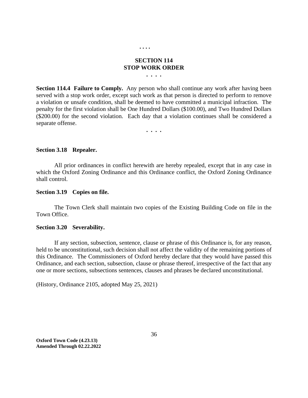#### **. . . .**

#### **SECTION 114 STOP WORK ORDER**

**. . . .**

**Section 114.4 Failure to Comply***.* Any person who shall continue any work after having been served with a stop work order, except such work as that person is directed to perform to remove a violation or unsafe condition, shall be deemed to have committed a municipal infraction. The penalty for the first violation shall be One Hundred Dollars (\$100.00), and Two Hundred Dollars (\$200.00) for the second violation. Each day that a violation continues shall be considered a separate offense.

**. . . .**

#### **Section 3.18 Repealer.**

All prior ordinances in conflict herewith are hereby repealed, except that in any case in which the Oxford Zoning Ordinance and this Ordinance conflict, the Oxford Zoning Ordinance shall control.

### **Section 3.19 Copies on file.**

The Town Clerk shall maintain two copies of the Existing Building Code on file in the Town Office.

#### **Section 3.20 Severability.**

If any section, subsection, sentence, clause or phrase of this Ordinance is, for any reason, held to be unconstitutional, such decision shall not affect the validity of the remaining portions of this Ordinance. The Commissioners of Oxford hereby declare that they would have passed this Ordinance, and each section, subsection, clause or phrase thereof, irrespective of the fact that any one or more sections, subsections sentences, clauses and phrases be declared unconstitutional.

(History, Ordinance 2105, adopted May 25, 2021)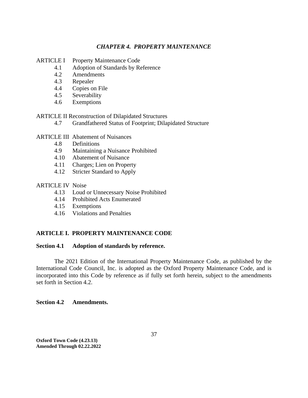### *CHAPTER 4. PROPERTY MAINTENANCE*

- ARTICLE I Property Maintenance Code
	- 4.1 Adoption of Standards by Reference
	- 4.2 Amendments
	- 4.3 Repealer
	- 4.4 Copies on File
	- 4.5 Severability
	- 4.6 Exemptions

ARTICLE II Reconstruction of Dilapidated Structures

- 4.7 Grandfathered Status of Footprint; Dilapidated Structure
- ARTICLE III Abatement of Nuisances
	- 4.8 Definitions
	- 4.9 Maintaining a Nuisance Prohibited
	- 4.10 Abatement of Nuisance
	- 4.11 Charges; Lien on Property
	- 4.12 Stricter Standard to Apply

## ARTICLE IV Noise

- 4.13 Loud or Unnecessary Noise Prohibited
- 4.14 Prohibited Acts Enumerated
- 4.15 Exemptions
- 4.16 Violations and Penalties

# **ARTICLE I. PROPERTY MAINTENANCE CODE**

# **Section 4.1 Adoption of standards by reference.**

The 2021 Edition of the International Property Maintenance Code, as published by the International Code Council, Inc. is adopted as the Oxford Property Maintenance Code, and is incorporated into this Code by reference as if fully set forth herein, subject to the amendments set forth in Section 4.2.

# **Section 4.2 Amendments.**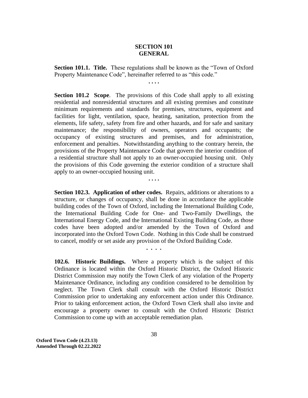# **SECTION 101 GENERAL**

**Section 101.1. Title.** These regulations shall be known as the "Town of Oxford Property Maintenance Code", hereinafter referred to as "this code." **. . . .**

**Section 101.2 Scope**. The provisions of this Code shall apply to all existing residential and nonresidential structures and all existing premises and constitute minimum requirements and standards for premises, structures, equipment and facilities for light, ventilation, space, heating, sanitation, protection from the elements, life safety, safety from fire and other hazards, and for safe and sanitary maintenance; the responsibility of owners, operators and occupants; the occupancy of existing structures and premises, and for administration, enforcement and penalties. Notwithstanding anything to the contrary herein, the provisions of the Property Maintenance Code that govern the interior condition of a residential structure shall not apply to an owner-occupied housing unit. Only the provisions of this Code governing the exterior condition of a structure shall apply to an owner-occupied housing unit.

**. . . .**

**Section 102.3. Application of other codes.** Repairs, additions or alterations to a structure, or changes of occupancy, shall be done in accordance the applicable building codes of the Town of Oxford, including the International Building Code, the International Building Code for One- and Two-Family Dwellings, the International Energy Code, and the International Existing Building Code, as those codes have been adopted and/or amended by the Town of Oxford and incorporated into the Oxford Town Code. Nothing in this Code shall be construed to cancel, modify or set aside any provision of the Oxford Building Code.

**. . . .**

**102.6. Historic Buildings.** Where a property which is the subject of this Ordinance is located within the Oxford Historic District, the Oxford Historic District Commission may notify the Town Clerk of any violation of the Property Maintenance Ordinance, including any condition considered to be demolition by neglect. The Town Clerk shall consult with the Oxford Historic District Commission prior to undertaking any enforcement action under this Ordinance. Prior to taking enforcement action, the Oxford Town Clerk shall also invite and encourage a property owner to consult with the Oxford Historic District Commission to come up with an acceptable remediation plan.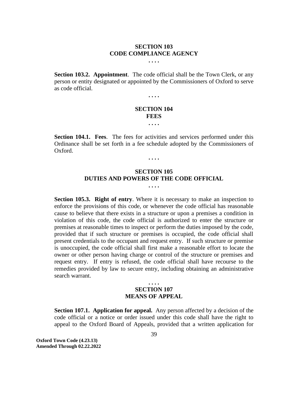#### **SECTION 103 CODE COMPLIANCE AGENCY . . . .**

**Section 103.2. Appointment**. The code official shall be the Town Clerk, or any person or entity designated or appointed by the Commissioners of Oxford to serve as code official.

**. . . .**

## **SECTION 104 FEES**

**. . . .**

**Section 104.1. Fees**. The fees for activities and services performed under this Ordinance shall be set forth in a fee schedule adopted by the Commissioners of Oxford.

**. . . .**

#### **SECTION 105 DUTIES AND POWERS OF THE CODE OFFICIAL . . . .**

**Section 105.3. Right of entry**. Where it is necessary to make an inspection to enforce the provisions of this code, or whenever the code official has reasonable cause to believe that there exists in a structure or upon a premises a condition in violation of this code, the code official is authorized to enter the structure or premises at reasonable times to inspect or perform the duties imposed by the code, provided that if such structure or premises is occupied, the code official shall present credentials to the occupant and request entry. If such structure or premise is unoccupied, the code official shall first make a reasonable effort to locate the owner or other person having charge or control of the structure or premises and request entry. If entry is refused, the code official shall have recourse to the remedies provided by law to secure entry, including obtaining an administrative search warrant.

# **. . . . SECTION 107 MEANS OF APPEAL**

**Section 107.1. Application for appeal.** Any person affected by a decision of the code official or a notice or order issued under this code shall have the right to appeal to the Oxford Board of Appeals, provided that a written application for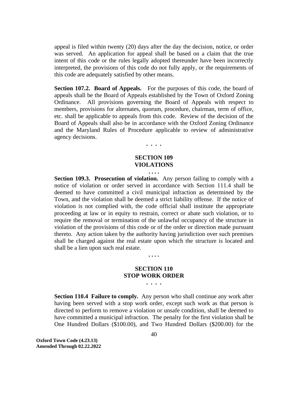appeal is filed within twenty (20) days after the day the decision, notice, or order was served. An application for appeal shall be based on a claim that the true intent of this code or the rules legally adopted thereunder have been incorrectly interpreted, the provisions of this code do not fully apply, or the requirements of this code are adequately satisfied by other means.

**Section 107.2. Board of Appeals.** For the purposes of this code, the board of appeals shall be the Board of Appeals established by the Town of Oxford Zoning Ordinance. All provisions governing the Board of Appeals with respect to members, provisions for alternates, quorum, procedure, chairman, term of office, etc. shall be applicable to appeals from this code. Review of the decision of the Board of Appeals shall also be in accordance with the Oxford Zoning Ordinance and the Maryland Rules of Procedure applicable to review of administrative agency decisions.

#### **SECTION 109 VIOLATIONS**

**. . . .**

#### **. . . .**

**Section 109.3. Prosecution of violation.** Any person failing to comply with a notice of violation or order served in accordance with Section 111.4 shall be deemed to have committed a civil municipal infraction as determined by the Town, and the violation shall be deemed a strict liability offense. If the notice of violation is not complied with, the code official shall institute the appropriate proceeding at law or in equity to restrain, correct or abate such violation, or to require the removal or termination of the unlawful occupancy of the structure in violation of the provisions of this code or of the order or direction made pursuant thereto. Any action taken by the authority having jurisdiction over such premises shall be charged against the real estate upon which the structure is located and shall be a lien upon such real estate.

#### **. . . .**

# **SECTION 110 STOP WORK ORDER**

**. . . .**

**Section 110.4 Failure to comply***.* Any person who shall continue any work after having been served with a stop work order, except such work as that person is directed to perform to remove a violation or unsafe condition, shall be deemed to have committed a municipal infraction. The penalty for the first violation shall be One Hundred Dollars (\$100.00), and Two Hundred Dollars (\$200.00) for the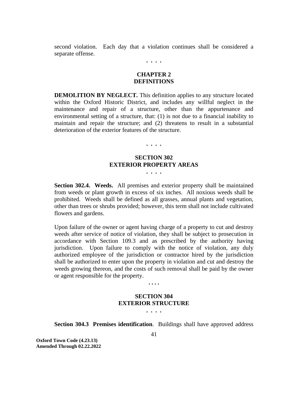second violation. Each day that a violation continues shall be considered a separate offense.

**. . . .**

#### **CHAPTER 2 DEFINITIONS**

**DEMOLITION BY NEGLECT.** This definition applies to any structure located within the Oxford Historic District, and includes any willful neglect in the maintenance and repair of a structure, other than the appurtenance and environmental setting of a structure, that: (1) is not due to a financial inability to maintain and repair the structure; and (2) threatens to result in a substantial deterioration of the exterior features of the structure.

**. . . .**

#### **SECTION 302 EXTERIOR PROPERTY AREAS . . . .**

**Section 302.4. Weeds.** All premises and exterior property shall be maintained from weeds or plant growth in excess of six inches. All noxious weeds shall be prohibited. Weeds shall be defined as all grasses, annual plants and vegetation, other than trees or shrubs provided; however, this term shall not include cultivated flowers and gardens.

Upon failure of the owner or agent having charge of a property to cut and destroy weeds after service of notice of violation, they shall be subject to prosecution in accordance with Section 109.3 and as prescribed by the authority having jurisdiction. Upon failure to comply with the notice of violation, any duly authorized employee of the jurisdiction or contractor hired by the jurisdiction shall be authorized to enter upon the property in violation and cut and destroy the weeds growing thereon, and the costs of such removal shall be paid by the owner or agent responsible for the property.

**. . . .**

# **SECTION 304 EXTERIOR STRUCTURE**

**. . . .**

**Section 304.3 Premises identification**. Buildings shall have approved address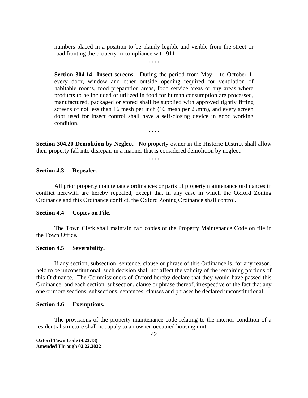numbers placed in a position to be plainly legible and visible from the street or road fronting the property in compliance with 911. **. . . .**

**Section 304.14 Insect screens**. During the period from May 1 to October 1, every door, window and other outside opening required for ventilation of habitable rooms, food preparation areas, food service areas or any areas where products to be included or utilized in food for human consumption are processed, manufactured, packaged or stored shall be supplied with approved tightly fitting screens of not less than 16 mesh per inch (16 mesh per 25mm), and every screen door used for insect control shall have a self-closing device in good working condition.

**. . . .**

**Section 304.20 Demolition by Neglect.** No property owner in the Historic District shall allow their property fall into disrepair in a manner that is considered demolition by neglect.

**. . . .**

#### **Section 4.3 Repealer.**

All prior property maintenance ordinances or parts of property maintenance ordinances in conflict herewith are hereby repealed, except that in any case in which the Oxford Zoning Ordinance and this Ordinance conflict, the Oxford Zoning Ordinance shall control.

#### **Section 4.4 Copies on File.**

The Town Clerk shall maintain two copies of the Property Maintenance Code on file in the Town Office.

#### **Section 4.5 Severability.**

If any section, subsection, sentence, clause or phrase of this Ordinance is, for any reason, held to be unconstitutional, such decision shall not affect the validity of the remaining portions of this Ordinance. The Commissioners of Oxford hereby declare that they would have passed this Ordinance, and each section, subsection, clause or phrase thereof, irrespective of the fact that any one or more sections, subsections, sentences, clauses and phrases be declared unconstitutional.

#### **Section 4.6 Exemptions.**

The provisions of the property maintenance code relating to the interior condition of a residential structure shall not apply to an owner-occupied housing unit.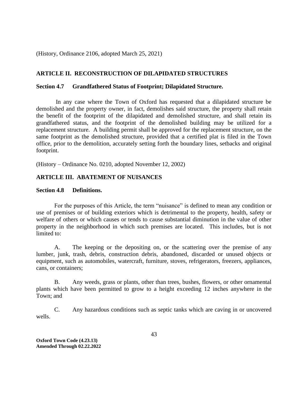(History, Ordinance 2106, adopted March 25, 2021)

# **ARTICLE II. RECONSTRUCTION OF DILAPIDATED STRUCTURES**

#### **Section 4.7 Grandfathered Status of Footprint; Dilapidated Structure.**

In any case where the Town of Oxford has requested that a dilapidated structure be demolished and the property owner, in fact, demolishes said structure, the property shall retain the benefit of the footprint of the dilapidated and demolished structure, and shall retain its grandfathered status, and the footprint of the demolished building may be utilized for a replacement structure. A building permit shall be approved for the replacement structure, on the same footprint as the demolished structure, provided that a certified plat is filed in the Town office, prior to the demolition, accurately setting forth the boundary lines, setbacks and original footprint.

(History – Ordinance No. 0210, adopted November 12, 2002)

# **ARTICLE III. ABATEMENT OF NUISANCES**

#### **Section 4.8 Definitions.**

For the purposes of this Article, the term "nuisance" is defined to mean any condition or use of premises or of building exteriors which is detrimental to the property, health, safety or welfare of others or which causes or tends to cause substantial diminution in the value of other property in the neighborhood in which such premises are located. This includes, but is not limited to:

A. The keeping or the depositing on, or the scattering over the premise of any lumber, junk, trash, debris, construction debris, abandoned, discarded or unused objects or equipment, such as automobiles, watercraft, furniture, stoves, refrigerators, freezers, appliances, cans, or containers;

B. Any weeds, grass or plants, other than trees, bushes, flowers, or other ornamental plants which have been permitted to grow to a height exceeding 12 inches anywhere in the Town; and

C. Any hazardous conditions such as septic tanks which are caving in or uncovered wells.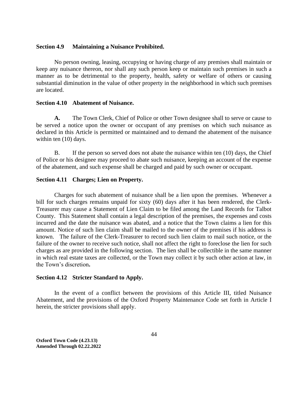#### **Section 4.9 Maintaining a Nuisance Prohibited.**

No person owning, leasing, occupying or having charge of any premises shall maintain or keep any nuisance thereon, nor shall any such person keep or maintain such premises in such a manner as to be detrimental to the property, health, safety or welfare of others or causing substantial diminution in the value of other property in the neighborhood in which such premises are located.

### **Section 4.10 Abatement of Nuisance.**

**A.** The Town Clerk, Chief of Police or other Town designee shall to serve or cause to be served a notice upon the owner or occupant of any premises on which such nuisance as declared in this Article is permitted or maintained and to demand the abatement of the nuisance within ten  $(10)$  days.

B. If the person so served does not abate the nuisance within ten (10) days, the Chief of Police or his designee may proceed to abate such nuisance, keeping an account of the expense of the abatement, and such expense shall be charged and paid by such owner or occupant.

# **Section 4.11 Charges; Lien on Property.**

Charges for such abatement of nuisance shall be a lien upon the premises. Whenever a bill for such charges remains unpaid for sixty (60) days after it has been rendered, the Clerk-Treasurer may cause a Statement of Lien Claim to be filed among the Land Records for Talbot County. This Statement shall contain a legal description of the premises, the expenses and costs incurred and the date the nuisance was abated, and a notice that the Town claims a lien for this amount. Notice of such lien claim shall be mailed to the owner of the premises if his address is known. The failure of the Clerk-Treasurer to record such lien claim to mail such notice, or the failure of the owner to receive such notice, shall not affect the right to foreclose the lien for such charges as are provided in the following section. The lien shall be collectible in the same manner in which real estate taxes are collected, or the Town may collect it by such other action at law, in the Town's discretion**.** 

#### **Section 4.12 Stricter Standard to Apply.**

In the event of a conflict between the provisions of this Article III, titled Nuisance Abatement, and the provisions of the Oxford Property Maintenance Code set forth in Article I herein, the stricter provisions shall apply.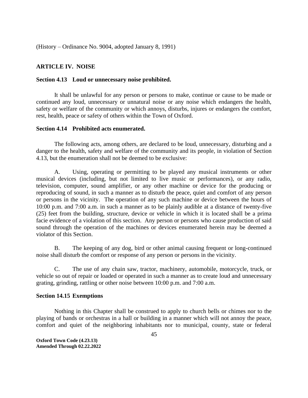(History – Ordinance No. 9004, adopted January 8, 1991)

#### **ARTICLE IV. NOISE**

#### **Section 4.13 Loud or unnecessary noise prohibited.**

It shall be unlawful for any person or persons to make, continue or cause to be made or continued any loud, unnecessary or unnatural noise or any noise which endangers the health, safety or welfare of the community or which annoys, disturbs, injures or endangers the comfort, rest, health, peace or safety of others within the Town of Oxford.

#### **Section 4.14 Prohibited acts enumerated.**

The following acts, among others, are declared to be loud, unnecessary, disturbing and a danger to the health, safety and welfare of the community and its people, in violation of Section 4.13, but the enumeration shall not be deemed to be exclusive:

A. Using, operating or permitting to be played any musical instruments or other musical devices (including, but not limited to live music or performances), or any radio, television, computer, sound amplifier, or any other machine or device for the producing or reproducing of sound, in such a manner as to disturb the peace, quiet and comfort of any person or persons in the vicinity. The operation of any such machine or device between the hours of 10:00 p.m. and 7:00 a.m. in such a manner as to be plainly audible at a distance of twenty-five (25) feet from the building, structure, device or vehicle in which it is located shall be a prima facie evidence of a violation of this section. Any person or persons who cause production of said sound through the operation of the machines or devices enumerated herein may be deemed a violator of this Section.

B. The keeping of any dog, bird or other animal causing frequent or long-continued noise shall disturb the comfort or response of any person or persons in the vicinity.

C. The use of any chain saw, tractor, machinery, automobile, motorcycle, truck, or vehicle so out of repair or loaded or operated in such a manner as to create loud and unnecessary grating, grinding, rattling or other noise between 10:00 p.m. and 7:00 a.m.

#### **Section 14.15 Exemptions**

Nothing in this Chapter shall be construed to apply to church bells or chimes nor to the playing of bands or orchestras in a hall or building in a manner which will not annoy the peace, comfort and quiet of the neighboring inhabitants nor to municipal, county, state or federal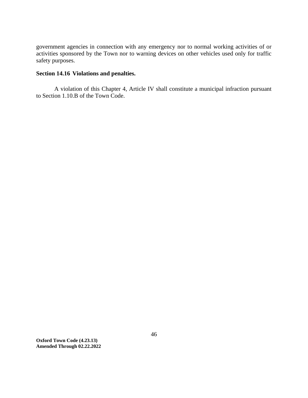government agencies in connection with any emergency nor to normal working activities of or activities sponsored by the Town nor to warning devices on other vehicles used only for traffic safety purposes.

# **Section 14.16 Violations and penalties.**

A violation of this Chapter 4, Article IV shall constitute a municipal infraction pursuant to Section 1.10.B of the Town Code.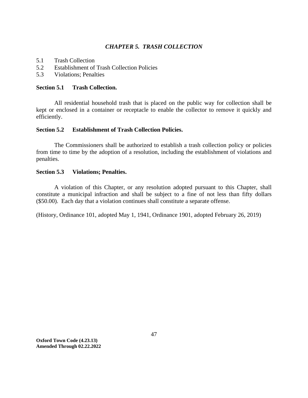# *CHAPTER 5. TRASH COLLECTION*

- 5.1 Trash Collection
- 5.2 Establishment of Trash Collection Policies
- 5.3 Violations; Penalties

### **Section 5.1 Trash Collection.**

All residential household trash that is placed on the public way for collection shall be kept or enclosed in a container or receptacle to enable the collector to remove it quickly and efficiently.

#### **Section 5.2 Establishment of Trash Collection Policies.**

The Commissioners shall be authorized to establish a trash collection policy or policies from time to time by the adoption of a resolution, including the establishment of violations and penalties.

### **Section 5.3 Violations; Penalties.**

A violation of this Chapter, or any resolution adopted pursuant to this Chapter, shall constitute a municipal infraction and shall be subject to a fine of not less than fifty dollars (\$50.00). Each day that a violation continues shall constitute a separate offense.

(History, Ordinance 101, adopted May 1, 1941, Ordinance 1901, adopted February 26, 2019)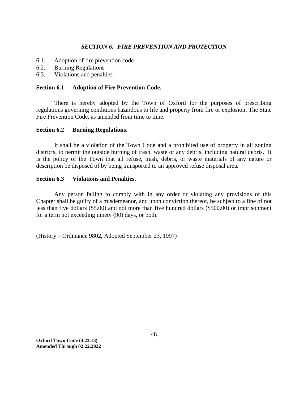# *SECTION 6. FIRE PREVENTION AND PROTECTION*

- 6.1. Adoption of fire prevention code
- 6.2. Burning Regulations
- 6.3. Violations and penalties

# **Section 6.1 Adoption of Fire Prevention Code.**

There is hereby adopted by the Town of Oxford for the purposes of prescribing regulations governing conditions hazardous to life and property from fire or explosion, The State Fire Prevention Code, as amended from time to time.

#### **Section 6.2 Burning Regulations.**

It shall be a violation of the Town Code and a prohibited use of property in all zoning districts, to permit the outside burning of trash, waste or any debris, including natural debris. It is the policy of the Town that all refuse, trash, debris, or waste materials of any nature or description be disposed of by being transported to an approved refuse disposal area.

# **Section 6.3 Violations and Penalties.**

Any person failing to comply with in any order or violating any provisions of this Chapter shall be guilty of a misdemeanor, and upon conviction thereof, be subject to a fine of not less than five dollars (\$5.00) and not more than five hundred dollars (\$500.00) or imprisonment for a term not exceeding ninety (90) days, or both.

(History – Ordinance 9802, Adopted September 23, 1997)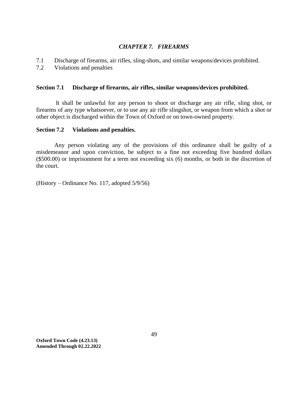# *CHAPTER 7. FIREARMS*

7.1 Discharge of firearms, air rifles, sling-shots, and similar weapons/devices prohibited.

7.2 Violations and penalties

# **Section 7.1 Discharge of firearms, air rifles, similar weapons/devices prohibited.**

It shall be unlawful for any person to shoot or discharge any air rifle, sling shot, or firearms of any type whatsoever, or to use any air rifle slingshot, or weapon from which a shot or other object is discharged within the Town of Oxford or on town-owned property.

# **Section 7.2 Violations and penalties.**

Any person violating any of the provisions of this ordinance shall be guilty of a misdemeanor and upon conviction, be subject to a fine not exceeding five hundred dollars (\$500.00) or imprisonment for a term not exceeding six (6) months, or both in the discretion of the court.

(History – Ordinance No. 117, adopted 5/9/56)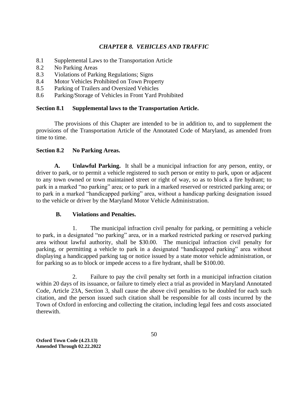# *CHAPTER 8. VEHICLES AND TRAFFIC*

- 8.1 Supplemental Laws to the Transportation Article
- 8.2 No Parking Areas
- 8.3 Violations of Parking Regulations; Signs
- 8.4 Motor Vehicles Prohibited on Town Property
- 8.5 Parking of Trailers and Oversized Vehicles
- 8.6 Parking/Storage of Vehicles in Front Yard Prohibited

# **Section 8.1 Supplemental laws to the Transportation Article.**

The provisions of this Chapter are intended to be in addition to, and to supplement the provisions of the Transportation Article of the Annotated Code of Maryland, as amended from time to time.

# **Section 8.2 No Parking Areas.**

**A. Unlawful Parking.** It shall be a municipal infraction for any person, entity, or driver to park, or to permit a vehicle registered to such person or entity to park, upon or adjacent to any town owned or town maintained street or right of way, so as to block a fire hydrant; to park in a marked "no parking" area; or to park in a marked reserved or restricted parking area; or to park in a marked "handicapped parking" area, without a handicap parking designation issued to the vehicle or driver by the Maryland Motor Vehicle Administration.

# **B. Violations and Penalties.**

1. The municipal infraction civil penalty for parking, or permitting a vehicle to park, in a designated "no parking" area, or in a marked restricted parking or reserved parking area without lawful authority, shall be \$30.00. The municipal infraction civil penalty for parking, or permitting a vehicle to park in a designated "handicapped parking" area without displaying a handicapped parking tag or notice issued by a state motor vehicle administration, or for parking so as to block or impede access to a fire hydrant, shall be \$100.00.

2. Failure to pay the civil penalty set forth in a municipal infraction citation within 20 days of its issuance, or failure to timely elect a trial as provided in Maryland Annotated Code, Article 23A, Section 3, shall cause the above civil penalties to be doubled for each such citation, and the person issued such citation shall be responsible for all costs incurred by the Town of Oxford in enforcing and collecting the citation, including legal fees and costs associated therewith.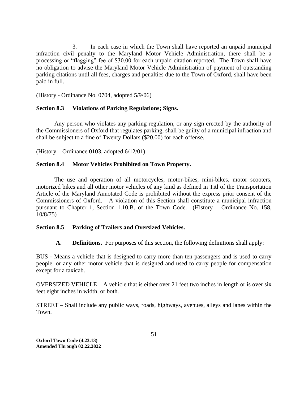3. In each case in which the Town shall have reported an unpaid municipal infraction civil penalty to the Maryland Motor Vehicle Administration, there shall be a processing or "flagging" fee of \$30.00 for each unpaid citation reported. The Town shall have no obligation to advise the Maryland Motor Vehicle Administration of payment of outstanding parking citations until all fees, charges and penalties due to the Town of Oxford, shall have been paid in full.

(History - Ordinance No. 0704, adopted 5/9/06)

# **Section 8.3 Violations of Parking Regulations; Signs.**

Any person who violates any parking regulation, or any sign erected by the authority of the Commissioners of Oxford that regulates parking, shall be guilty of a municipal infraction and shall be subject to a fine of Twenty Dollars (\$20.00) for each offense.

(History – Ordinance 0103, adopted 6/12/01)

# **Section 8.4 Motor Vehicles Prohibited on Town Property.**

The use and operation of all motorcycles, motor-bikes, mini-bikes, motor scooters, motorized bikes and all other motor vehicles of any kind as defined in Titl of the Transportation Article of the Maryland Annotated Code is prohibited without the express prior consent of the Commissioners of Oxford. A violation of this Section shall constitute a municipal infraction pursuant to Chapter 1, Section 1.10.B. of the Town Code. (History – Ordinance No. 158, 10/8/75)

# **Section 8.5 Parking of Trailers and Oversized Vehicles.**

# **A. Definitions.** For purposes of this section, the following definitions shall apply:

BUS - Means a vehicle that is designed to carry more than ten passengers and is used to carry people, or any other motor vehicle that is designed and used to carry people for compensation except for a taxicab.

OVERSIZED VEHICLE – A vehicle that is either over 21 feet two inches in length or is over six feet eight inches in width, or both.

STREET – Shall include any public ways, roads, highways, avenues, alleys and lanes within the Town.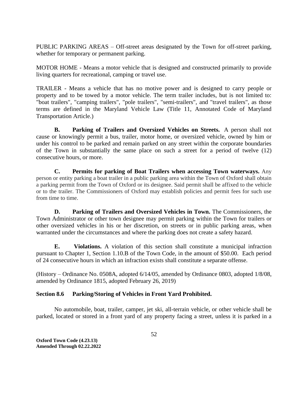PUBLIC PARKING AREAS – Off-street areas designated by the Town for off-street parking, whether for temporary or permanent parking.

MOTOR HOME - Means a motor vehicle that is designed and constructed primarily to provide living quarters for recreational, camping or travel use.

TRAILER - Means a vehicle that has no motive power and is designed to carry people or property and to be towed by a motor vehicle. The term trailer includes, but is not limited to: "boat trailers", "camping trailers", "pole trailers", "semi-trailers", and "travel trailers", as those terms are defined in the Maryland Vehicle Law (Title 11, Annotated Code of Maryland Transportation Article.)

**B. Parking of Trailers and Oversized Vehicles on Streets.** A person shall not cause or knowingly permit a bus, trailer, motor home, or oversized vehicle, owned by him or under his control to be parked and remain parked on any street within the corporate boundaries of the Town in substantially the same place on such a street for a period of twelve (12) consecutive hours, or more.

**C. Permits for parking of Boat Trailers when accessing Town waterways.** Any person or entity parking a boat trailer in a public parking area within the Town of Oxford shall obtain a parking permit from the Town of Oxford or its designee. Said permit shall be affixed to the vehicle or to the trailer. The Commissioners of Oxford may establish policies and permit fees for such use from time to time.

**D. Parking of Trailers and Oversized Vehicles in Town.** The Commissioners, the Town Administrator or other town designee may permit parking within the Town for trailers or other oversized vehicles in his or her discretion, on streets or in public parking areas, when warranted under the circumstances and where the parking does not create a safety hazard.

**E. Violations.** A violation of this section shall constitute a municipal infraction pursuant to Chapter 1, Section 1.10.B of the Town Code, in the amount of \$50.00. Each period of 24 consecutive hours in which an infraction exists shall constitute a separate offense.

(History – Ordinance No. 0508A, adopted 6/14/05, amended by Ordinance 0803, adopted 1/8/08, amended by Ordinance 1815, adopted February 26, 2019)

# **Section 8.6 Parking/Storing of Vehicles in Front Yard Prohibited.**

No automobile, boat, trailer, camper, jet ski, all-terrain vehicle, or other vehicle shall be parked, located or stored in a front yard of any property facing a street, unless it is parked in a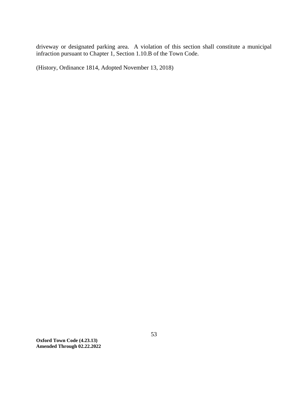driveway or designated parking area. A violation of this section shall constitute a municipal infraction pursuant to Chapter 1, Section 1.10.B of the Town Code.

(History, Ordinance 1814, Adopted November 13, 2018)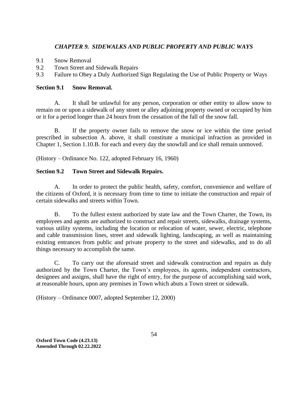# *CHAPTER 9. SIDEWALKS AND PUBLIC PROPERTY AND PUBLIC WAYS*

- 9.1 Snow Removal
- 9.2 Town Street and Sidewalk Repairs
- 9.3 Failure to Obey a Duly Authorized Sign Regulating the Use of Public Property or Ways

# **Section 9.1 Snow Removal.**

A. It shall be unlawful for any person, corporation or other entity to allow snow to remain on or upon a sidewalk of any street or alley adjoining property owned or occupied by him or it for a period longer than 24 hours from the cessation of the fall of the snow fall.

B. If the property owner fails to remove the snow or ice within the time period prescribed in subsection A. above, it shall constitute a municipal infraction as provided in Chapter 1, Section 1.10.B. for each and every day the snowfall and ice shall remain unmoved.

(History – Ordinance No. 122, adopted February 16, 1960)

# **Section 9.2 Town Street and Sidewalk Repairs.**

A. In order to protect the public health, safety, comfort, convenience and welfare of the citizens of Oxford, it is necessary from time to time to initiate the construction and repair of certain sidewalks and streets within Town.

B. To the fullest extent authorized by state law and the Town Charter, the Town, its employees and agents are authorized to construct and repair streets, sidewalks, drainage systems, various utility systems, including the location or relocation of water, sewer, electric, telephone and cable transmission lines, street and sidewalk lighting, landscaping, as well as maintaining existing entrances from public and private property to the street and sidewalks, and to do all things necessary to accomplish the same.

C. To carry out the aforesaid street and sidewalk construction and repairs as duly authorized by the Town Charter, the Town's employees, its agents, independent contractors, designees and assigns, shall have the right of entry, for the purpose of accomplishing said work, at reasonable hours, upon any premises in Town which abuts a Town street or sidewalk.

(History – Ordinance 0007, adopted September 12, 2000)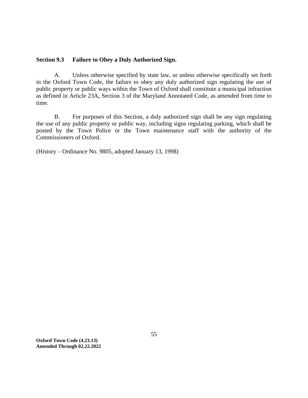#### **Section 9.3 Failure to Obey a Duly Authorized Sign.**

A. Unless otherwise specified by state law, or unless otherwise specifically set forth in the Oxford Town Code, the failure to obey any duly authorized sign regulating the use of public property or public ways within the Town of Oxford shall constitute a municipal infraction as defined in Article 23A, Section 3 of the Maryland Annotated Code, as amended from time to time.

B. For purposes of this Section, a duly authorized sign shall be any sign regulating the use of any public property or public way, including signs regulating parking, which shall be posted by the Town Police or the Town maintenance staff with the authority of the Commissioners of Oxford.

(History – Ordinance No. 9805, adopted January 13, 1998)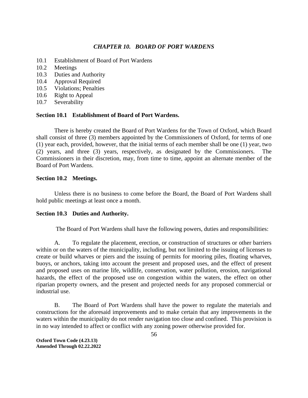# *CHAPTER 10. BOARD OF PORT WARDENS*

- 10.1 Establishment of Board of Port Wardens
- 10.2 Meetings
- 10.3 Duties and Authority
- 10.4 Approval Required
- 10.5 Violations; Penalties
- 10.6 Right to Appeal
- 10.7 Severability

# **Section 10.1 Establishment of Board of Port Wardens.**

There is hereby created the Board of Port Wardens for the Town of Oxford, which Board shall consist of three (3) members appointed by the Commissioners of Oxford, for terms of one (1) year each, provided, however, that the initial terms of each member shall be one (1) year, two (2) years, and three (3) years, respectively, as designated by the Commissioners. The Commissioners in their discretion, may, from time to time, appoint an alternate member of the Board of Port Wardens.

# **Section 10.2 Meetings.**

Unless there is no business to come before the Board, the Board of Port Wardens shall hold public meetings at least once a month.

# **Section 10.3 Duties and Authority.**

The Board of Port Wardens shall have the following powers, duties and responsibilities:

A. To regulate the placement, erection, or construction of structures or other barriers within or on the waters of the municipality, including, but not limited to the issuing of licenses to create or build wharves or piers and the issuing of permits for mooring piles, floating wharves, buoys, or anchors, taking into account the present and proposed uses, and the effect of present and proposed uses on marine life, wildlife, conservation, water pollution, erosion, navigational hazards, the effect of the proposed use on congestion within the waters, the effect on other riparian property owners, and the present and projected needs for any proposed commercial or industrial use.

B. The Board of Port Wardens shall have the power to regulate the materials and constructions for the aforesaid improvements and to make certain that any improvements in the waters within the municipality do not render navigation too close and confined. This provision is in no way intended to affect or conflict with any zoning power otherwise provided for.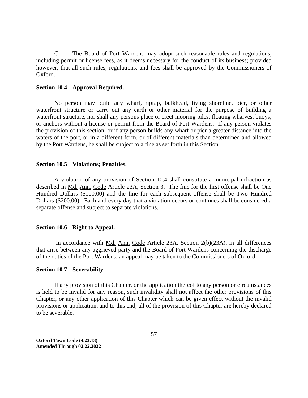C. The Board of Port Wardens may adopt such reasonable rules and regulations, including permit or license fees, as it deems necessary for the conduct of its business; provided however, that all such rules, regulations, and fees shall be approved by the Commissioners of Oxford.

#### **Section 10.4 Approval Required.**

No person may build any wharf, riprap, bulkhead, living shoreline, pier, or other waterfront structure or carry out any earth or other material for the purpose of building a waterfront structure, nor shall any persons place or erect mooring piles, floating wharves, buoys, or anchors without a license or permit from the Board of Port Wardens. If any person violates the provision of this section, or if any person builds any wharf or pier a greater distance into the waters of the port, or in a different form, or of different materials than determined and allowed by the Port Wardens, he shall be subject to a fine as set forth in this Section.

#### **Section 10.5 Violations; Penalties.**

A violation of any provision of Section 10.4 shall constitute a municipal infraction as described in Md. Ann. Code Article 23A, Section 3. The fine for the first offense shall be One Hundred Dollars (\$100.00) and the fine for each subsequent offense shall be Two Hundred Dollars (\$200.00). Each and every day that a violation occurs or continues shall be considered a separate offense and subject to separate violations.

#### **Section 10.6 Right to Appeal.**

In accordance with Md. Ann. Code Article 23A, Section 2(b)(23A), in all differences that arise between any aggrieved party and the Board of Port Wardens concerning the discharge of the duties of the Port Wardens, an appeal may be taken to the Commissioners of Oxford.

#### **Section 10.7 Severability.**

If any provision of this Chapter, or the application thereof to any person or circumstances is held to be invalid for any reason, such invalidity shall not affect the other provisions of this Chapter, or any other application of this Chapter which can be given effect without the invalid provisions or application, and to this end, all of the provision of this Chapter are hereby declared to be severable.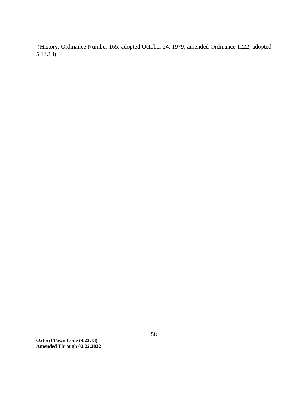(History, Ordinance Number 165, adopted October 24, 1979, amended Ordinance 1222, adopted 5.14.13)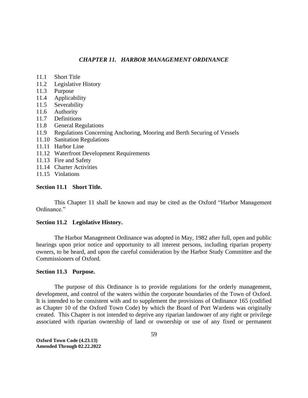# *CHAPTER 11. HARBOR MANAGEMENT ORDINANCE*

- 11.1 Short Title
- 11.2 Legislative History
- 11.3 Purpose
- 11.4 Applicability
- 11.5 Severability
- 11.6 Authority
- 11.7 Definitions
- 11.8 General Regulations
- 11.9 Regulations Concerning Anchoring, Mooring and Berth Securing of Vessels
- 11.10 Sanitation Regulations
- 11.11 Harbor Line
- 11.12 Waterfront Development Requirements
- 11.13 Fire and Safety
- 11.14 Charter Activities
- 11.15 Violations

### **Section 11.1 Short Title.**

This Chapter 11 shall be known and may be cited as the Oxford "Harbor Management Ordinance."

#### **Section 11.2 Legislative History.**

The Harbor Management Ordinance was adopted in May, 1982 after full, open and public hearings upon prior notice and opportunity to all interest persons, including riparian property owners, to be heard, and upon the careful consideration by the Harbor Study Committee and the Commissioners of Oxford.

#### **Section 11.3 Purpose.**

The purpose of this Ordinance is to provide regulations for the orderly management, development, and control of the waters within the corporate boundaries of the Town of Oxford. It is intended to be consistent with and to supplement the provisions of Ordinance 165 (codified as Chapter 10 of the Oxford Town Code) by which the Board of Port Wardens was originally created. This Chapter is not intended to deprive any riparian landowner of any right or privilege associated with riparian ownership of land or ownership or use of any fixed or permanent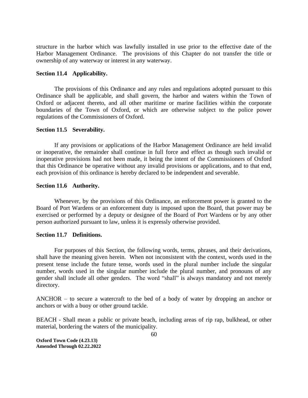structure in the harbor which was lawfully installed in use prior to the effective date of the Harbor Management Ordinance. The provisions of this Chapter do not transfer the title or ownership of any waterway or interest in any waterway.

#### **Section 11.4 Applicability.**

The provisions of this Ordinance and any rules and regulations adopted pursuant to this Ordinance shall be applicable, and shall govern, the harbor and waters within the Town of Oxford or adjacent thereto, and all other maritime or marine facilities within the corporate boundaries of the Town of Oxford, or which are otherwise subject to the police power regulations of the Commissioners of Oxford.

#### **Section 11.5 Severability.**

If any provisions or applications of the Harbor Management Ordinance are held invalid or inoperative, the remainder shall continue in full force and effect as though such invalid or inoperative provisions had not been made, it being the intent of the Commissioners of Oxford that this Ordinance be operative without any invalid provisions or applications, and to that end, each provision of this ordinance is hereby declared to be independent and severable.

#### **Section 11.6 Authority.**

Whenever, by the provisions of this Ordinance, an enforcement power is granted to the Board of Port Wardens or an enforcement duty is imposed upon the Board, that power may be exercised or performed by a deputy or designee of the Board of Port Wardens or by any other person authorized pursuant to law, unless it is expressly otherwise provided.

# **Section 11.7 Definitions.**

For purposes of this Section, the following words, terms, phrases, and their derivations, shall have the meaning given herein. When not inconsistent with the context, words used in the present tense include the future tense, words used in the plural number include the singular number, words used in the singular number include the plural number, and pronouns of any gender shall include all other genders. The word "shall" is always mandatory and not merely directory.

ANCHOR – to secure a watercraft to the bed of a body of water by dropping an anchor or anchors or with a buoy or other ground tackle.

BEACH - Shall mean a public or private beach, including areas of rip rap, bulkhead, or other material, bordering the waters of the municipality.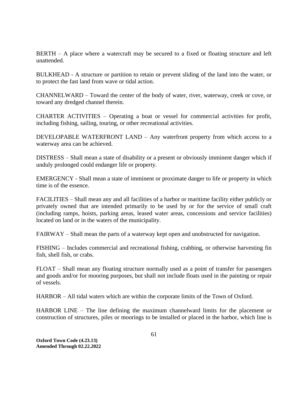BERTH – A place where a watercraft may be secured to a fixed or floating structure and left unattended.

BULKHEAD - A structure or partition to retain or prevent sliding of the land into the water, or to protect the fast land from wave or tidal action.

CHANNELWARD – Toward the center of the body of water, river, waterway, creek or cove, or toward any dredged channel therein.

CHARTER ACTIVITIES – Operating a boat or vessel for commercial activities for profit, including fishing, sailing, touring, or other recreational activities.

DEVELOPABLE WATERFRONT LAND – Any waterfront property from which access to a waterway area can be achieved.

DISTRESS – Shall mean a state of disability or a present or obviously imminent danger which if unduly prolonged could endanger life or property.

EMERGENCY - Shall mean a state of imminent or proximate danger to life or property in which time is of the essence.

FACILITIES – Shall mean any and all facilities of a harbor or maritime facility either publicly or privately owned that are intended primarily to be used by or for the service of small craft (including ramps, hoists, parking areas, leased water areas, concessions and service facilities) located on land or in the waters of the municipality.

FAIRWAY – Shall mean the parts of a waterway kept open and unobstructed for navigation.

FISHING – Includes commercial and recreational fishing, crabbing, or otherwise harvesting fin fish, shell fish, or crabs.

FLOAT – Shall mean any floating structure normally used as a point of transfer for passengers and goods and/or for mooring purposes, but shall not include floats used in the painting or repair of vessels.

HARBOR – All tidal waters which are within the corporate limits of the Town of Oxford.

HARBOR LINE – The line defining the maximum channelward limits for the placement or construction of structures, piles or moorings to be installed or placed in the harbor, which line is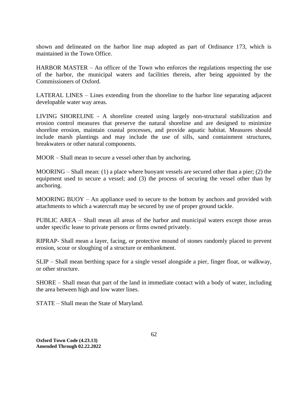shown and delineated on the harbor line map adopted as part of Ordinance 173, which is maintained in the Town Office.

HARBOR MASTER – An officer of the Town who enforces the regulations respecting the use of the harbor, the municipal waters and facilities therein, after being appointed by the Commissioners of Oxford.

LATERAL LINES – Lines extending from the shoreline to the harbor line separating adjacent developable water way areas.

LIVING SHORELINE - A shoreline created using largely non-structural stabilization and erosion control measures that preserve the natural shoreline and are designed to minimize shoreline erosion, maintain coastal processes, and provide aquatic habitat. Measures should include marsh plantings and may include the use of sills, sand containment structures, breakwaters or other natural components.

MOOR – Shall mean to secure a vessel other than by anchoring.

MOORING – Shall mean: (1) a place where buoyant vessels are secured other than a pier; (2) the equipment used to secure a vessel; and (3) the process of securing the vessel other than by anchoring.

MOORING BUOY – An appliance used to secure to the bottom by anchors and provided with attachments to which a watercraft may be secured by use of proper ground tackle.

PUBLIC AREA – Shall mean all areas of the harbor and municipal waters except those areas under specific lease to private persons or firms owned privately.

RIPRAP- Shall mean a layer, facing, or protective mound of stones randomly placed to prevent erosion, scour or sloughing of a structure or embankment.

SLIP – Shall mean berthing space for a single vessel alongside a pier, finger float, or walkway, or other structure.

SHORE – Shall mean that part of the land in immediate contact with a body of water, including the area between high and low water lines.

STATE – Shall mean the State of Maryland.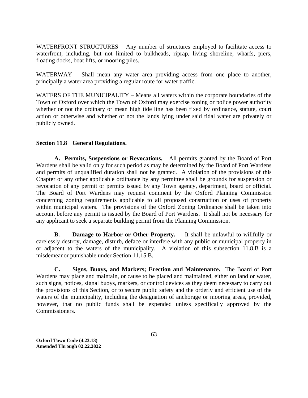WATERFRONT STRUCTURES – Any number of structures employed to facilitate access to waterfront, including, but not limited to bulkheads, riprap, living shoreline, wharfs, piers, floating docks, boat lifts, or mooring piles.

WATERWAY – Shall mean any water area providing access from one place to another, principally a water area providing a regular route for water traffic.

WATERS OF THE MUNICIPALITY – Means all waters within the corporate boundaries of the Town of Oxford over which the Town of Oxford may exercise zoning or police power authority whether or not the ordinary or mean high tide line has been fixed by ordinance, statute, court action or otherwise and whether or not the lands lying under said tidal water are privately or publicly owned.

# **Section 11.8 General Regulations.**

**A. Permits, Suspensions or Revocations.** All permits granted by the Board of Port Wardens shall be valid only for such period as may be determined by the Board of Port Wardens and permits of unqualified duration shall not be granted. A violation of the provisions of this Chapter or any other applicable ordinance by any permittee shall be grounds for suspension or revocation of any permit or permits issued by any Town agency, department, board or official. The Board of Port Wardens may request comment by the Oxford Planning Commission concerning zoning requirements applicable to all proposed construction or uses of property within municipal waters. The provisions of the Oxford Zoning Ordinance shall be taken into account before any permit is issued by the Board of Port Wardens. It shall not be necessary for any applicant to seek a separate building permit from the Planning Commission.

**B. Damage to Harbor or Other Property.** It shall be unlawful to willfully or carelessly destroy, damage, disturb, deface or interfere with any public or municipal property in or adjacent to the waters of the municipality. A violation of this subsection 11.8.B is a misdemeanor punishable under Section 11.15.B.

**C. Signs, Buoys, and Markers; Erection and Maintenance.** The Board of Port Wardens may place and maintain, or cause to be placed and maintained, either on land or water, such signs, notices, signal buoys, markers, or control devices as they deem necessary to carry out the provisions of this Section, or to secure public safety and the orderly and efficient use of the waters of the municipality, including the designation of anchorage or mooring areas, provided, however, that no public funds shall be expended unless specifically approved by the Commissioners.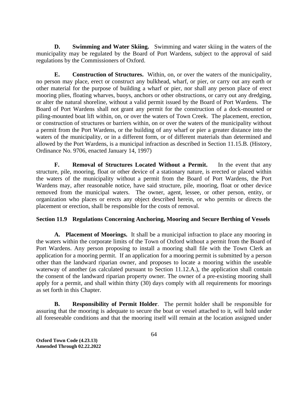**D. Swimming and Water Skiing.** Swimming and water skiing in the waters of the municipality may be regulated by the Board of Port Wardens, subject to the approval of said regulations by the Commissioners of Oxford.

**E. Construction of Structures.** Within, on, or over the waters of the municipality, no person may place, erect or construct any bulkhead, wharf, or pier, or carry out any earth or other material for the purpose of building a wharf or pier, nor shall any person place of erect mooring plies, floating wharves, buoys, anchors or other obstructions, or carry out any dredging, or alter the natural shoreline, without a valid permit issued by the Board of Port Wardens. The Board of Port Wardens shall not grant any permit for the construction of a dock-mounted or piling-mounted boat lift within, on, or over the waters of Town Creek. The placement, erection, or construction of structures or barriers within, on or over the waters of the municipality without a permit from the Port Wardens, or the building of any wharf or pier a greater distance into the waters of the municipality, or in a different form, or of different materials than determined and allowed by the Port Wardens, is a municipal infraction as described in Section 11.15.B. (History, Ordinance No. 9706, enacted January 14, 1997)

**F. Removal of Structures Located Without a Permit.** In the event that any structure, pile, mooring, float or other device of a stationary nature, is erected or placed within the waters of the municipality without a permit from the Board of Port Wardens, the Port Wardens may, after reasonable notice, have said structure, pile, mooring, float or other device removed from the municipal waters. The owner, agent, lessee, or other person, entity, or organization who places or erects any object described herein, or who permits or directs the placement or erection, shall be responsible for the costs of removal.

# **Section 11.9 Regulations Concerning Anchoring, Mooring and Secure Berthing of Vessels**

**A. Placement of Moorings.** It shall be a municipal infraction to place any mooring in the waters within the corporate limits of the Town of Oxford without a permit from the Board of Port Wardens. Any person proposing to install a mooring shall file with the Town Clerk an application for a mooring permit. If an application for a mooring permit is submitted by a person other than the landward riparian owner, and proposes to locate a mooring within the useable waterway of another (as calculated pursuant to Section 11.12.A.), the application shall contain the consent of the landward riparian property owner. The owner of a pre-existing mooring shall apply for a permit, and shall within thirty (30) days comply with all requirements for moorings as set forth in this Chapter.

**B. Responsibility of Permit Holder**. The permit holder shall be responsible for assuring that the mooring is adequate to secure the boat or vessel attached to it, will hold under all foreseeable conditions and that the mooring itself will remain at the location assigned under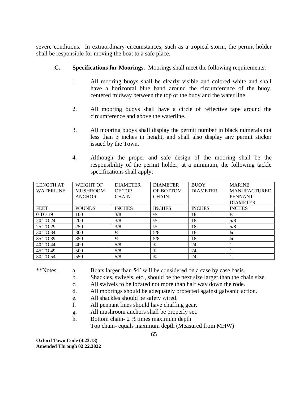severe conditions. In extraordinary circumstances, such as a tropical storm, the permit holder shall be responsible for moving the boat to a safe place.

- **C. Specifications for Moorings.** Moorings shall meet the following requirements:
	- 1. All mooring buoys shall be clearly visible and colored white and shall have a horizontal blue band around the circumference of the buoy, centered midway between the top of the buoy and the water line.
	- 2. All mooring buoys shall have a circle of reflective tape around the circumference and above the waterline.
	- 3. All mooring buoys shall display the permit number in black numerals not less than 3 inches in height, and shall also display any permit sticker issued by the Town.
	- 4. Although the proper and safe design of the mooring shall be the responsibility of the permit holder, at a minimum, the following tackle specifications shall apply:

| <b>LENGTH AT</b> | <b>WEIGHT OF</b> | <b>DIAMETER</b> | <b>DIAMETER</b> | <b>BUOY</b>     | <b>MARINE</b>       |
|------------------|------------------|-----------------|-----------------|-----------------|---------------------|
| <b>WATERLINE</b> | <b>MUSHROOM</b>  | <b>OF TOP</b>   | OF BOTTOM       | <b>DIAMETER</b> | <b>MANUFACTURED</b> |
|                  | <b>ANCHOR</b>    | <b>CHAIN</b>    | <b>CHAIN</b>    |                 | <b>PENNANT</b>      |
|                  |                  |                 |                 |                 | <b>DIAMETER</b>     |
| <b>FEET</b>      | <b>POUNDS</b>    | <b>INCHES</b>   | <b>INCHES</b>   | <b>INCHES</b>   | <b>INCHES</b>       |
| 0 TO 19          | 100              | 3/8             | $\frac{1}{2}$   | 18              | $\frac{1}{2}$       |
| 20 TO 24         | 200              | 3/8             | $\frac{1}{2}$   | 18              | 5/8                 |
| 25 TO 29         | 250              | 3/8             | $\frac{1}{2}$   | 18              | 5/8                 |
| 30 TO 34         | 300              | $\frac{1}{2}$   | 5/8             | 18              | $\frac{3}{4}$       |
| 35 TO 39         | 350              | $\frac{1}{2}$   | 5/8             | 18              | $\frac{3}{4}$       |
| 40 TO 44         | 400              | 5/8             | $\frac{3}{4}$   | 24              |                     |
| 45 TO 49         | 500              | 5/8             | $\frac{3}{4}$   | 24              |                     |
| 50 TO 54         | 550              | 5/8             | $\frac{3}{4}$   | 24              |                     |

\*\*Notes: a. Boats larger than 54' will be considered on a case by case basis.

- b. Shackles, swivels, etc., should be the next size larger than the chain size.
- c. All swivels to be located not more than half way down the rode.
- d. All moorings should be adequately protected against galvanic action.
- e. All shackles should be safety wired.
- f. All pennant lines should have chaffing gear.
- g. All mushroom anchors shall be properly set.
- h. Bottom chain- 2 ½ times maximum depth

Top chain- equals maximum depth (Measured from MHW)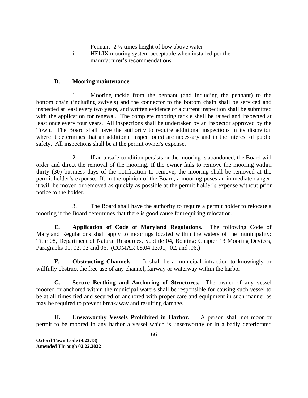Pennant- 2 ½ times height of bow above water

i. HELIX mooring system acceptable when installed per the manufacturer's recommendations

# **D. Mooring maintenance.**

1. Mooring tackle from the pennant (and including the pennant) to the bottom chain (including swivels) and the connector to the bottom chain shall be serviced and inspected at least every two years, and written evidence of a current inspection shall be submitted with the application for renewal. The complete mooring tackle shall be raised and inspected at least once every four years. All inspections shall be undertaken by an inspector approved by the Town. The Board shall have the authority to require additional inspections in its discretion where it determines that an additional inspection(s) are necessary and in the interest of public safety. All inspections shall be at the permit owner's expense.

2. If an unsafe condition persists or the mooring is abandoned, the Board will order and direct the removal of the mooring. If the owner fails to remove the mooring within thirty (30) business days of the notification to remove, the mooring shall be removed at the permit holder's expense. If, in the opinion of the Board, a mooring poses an immediate danger, it will be moved or removed as quickly as possible at the permit holder's expense without prior notice to the holder.

3. The Board shall have the authority to require a permit holder to relocate a mooring if the Board determines that there is good cause for requiring relocation.

**E. Application of Code of Maryland Regulations.** The following Code of Maryland Regulations shall apply to moorings located within the waters of the municipality: Title 08, Department of Natural Resources, Subtitle 04, Boating; Chapter 13 Mooring Devices, Paragraphs 01, 02, 03 and 06. (COMAR 08.04.13.01, .02, and .06.)

**F. Obstructing Channels.** It shall be a municipal infraction to knowingly or willfully obstruct the free use of any channel, fairway or waterway within the harbor.

**G. Secure Berthing and Anchoring of Structures.** The owner of any vessel moored or anchored within the municipal waters shall be responsible for causing such vessel to be at all times tied and secured or anchored with proper care and equipment in such manner as may be required to prevent breakaway and resulting damage.

**H. Unseaworthy Vessels Prohibited in Harbor.** A person shall not moor or permit to be moored in any harbor a vessel which is unseaworthy or in a badly deteriorated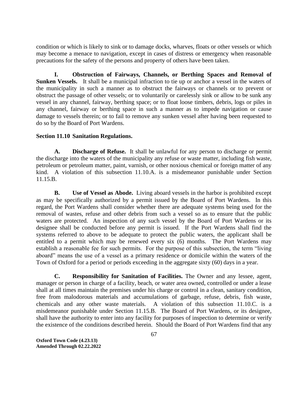condition or which is likely to sink or to damage docks, wharves, floats or other vessels or which may become a menace to navigation, except in cases of distress or emergency when reasonable precautions for the safety of the persons and property of others have been taken.

**I. Obstruction of Fairways, Channels, or Berthing Spaces and Removal of Sunken Vessels.** It shall be a municipal infraction to tie up or anchor a vessel in the waters of the municipality in such a manner as to obstruct the fairways or channels or to prevent or obstruct the passage of other vessels; or to voluntarily or carelessly sink or allow to be sunk any vessel in any channel, fairway, berthing space; or to float loose timbers, debris, logs or piles in any channel, fairway or berthing space in such a manner as to impede navigation or cause damage to vessels therein; or to fail to remove any sunken vessel after having been requested to do so by the Board of Port Wardens.

# **Section 11.10 Sanitation Regulations.**

**A. Discharge of Refuse.** It shall be unlawful for any person to discharge or permit the discharge into the waters of the municipality any refuse or waste matter, including fish waste, petroleum or petroleum matter, paint, varnish, or other noxious chemical or foreign matter of any kind. A violation of this subsection 11.10.A. is a misdemeanor punishable under Section 11.15.B.

**B. Use of Vessel as Abode.** Living aboard vessels in the harbor is prohibited except as may be specifically authorized by a permit issued by the Board of Port Wardens. In this regard, the Port Wardens shall consider whether there are adequate systems being used for the removal of wastes, refuse and other debris from such a vessel so as to ensure that the public waters are protected. An inspection of any such vessel by the Board of Port Wardens or its designee shall be conducted before any permit is issued. If the Port Wardens shall find the systems referred to above to be adequate to protect the public waters, the applicant shall be entitled to a permit which may be renewed every six (6) months. The Port Wardens may establish a reasonable fee for such permits. For the purpose of this subsection, the term "living aboard" means the use of a vessel as a primary residence or domicile within the waters of the Town of Oxford for a period or periods exceeding in the aggregate sixty (60) days in a year.

**C. Responsibility for Sanitation of Facilities.** The Owner and any lessee, agent, manager or person in charge of a facility, beach, or water area owned, controlled or under a lease shall at all times maintain the premises under his charge or control in a clean, sanitary condition, free from malodorous materials and accumulations of garbage, refuse, debris, fish waste, chemicals and any other waste materials. A violation of this subsection 11.10.C. is a misdemeanor punishable under Section 11.15.B. The Board of Port Wardens, or its designee, shall have the authority to enter into any facility for purposes of inspection to determine or verify the existence of the conditions described herein. Should the Board of Port Wardens find that any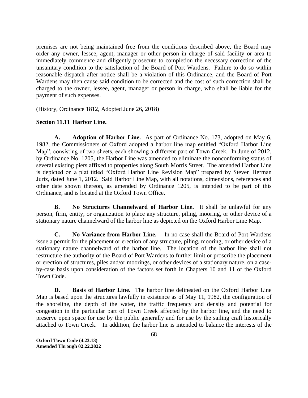premises are not being maintained free from the conditions described above, the Board may order any owner, lessee, agent, manager or other person in charge of said facility or area to immediately commence and diligently prosecute to completion the necessary correction of the unsanitary condition to the satisfaction of the Board of Port Wardens. Failure to do so within reasonable dispatch after notice shall be a violation of this Ordinance, and the Board of Port Wardens may then cause said condition to be corrected and the cost of such correction shall be charged to the owner, lessee, agent, manager or person in charge, who shall be liable for the payment of such expenses.

(History, Ordinance 1812, Adopted June 26, 2018)

# **Section 11.11 Harbor Line.**

**A. Adoption of Harbor Line.** As part of Ordinance No. 173, adopted on May 6, 1982, the Commissioners of Oxford adopted a harbor line map entitled "Oxford Harbor Line Map", consisting of two sheets, each showing a different part of Town Creek. In June of 2012, by Ordinance No. 1205, the Harbor Line was amended to eliminate the nonconforming status of several existing piers affixed to properties along South Morris Street. The amended Harbor Line is depicted on a plat titled "Oxford Harbor Line Revision Map" prepared by Steven Herman Juriz, dated June 1, 2012. Said Harbor Line Map, with all notations, dimensions, references and other date shown thereon, as amended by Ordinance 1205, is intended to be part of this Ordinance, and is located at the Oxford Town Office.

**B. No Structures Channelward of Harbor Line.** It shall be unlawful for any person, firm, entity, or organization to place any structure, piling, mooring, or other device of a stationary nature channelward of the harbor line as depicted on the Oxford Harbor Line Map.

**C. No Variance from Harbor Line.** In no case shall the Board of Port Wardens issue a permit for the placement or erection of any structure, piling, mooring, or other device of a stationary nature channelward of the harbor line. The location of the harbor line shall not restructure the authority of the Board of Port Wardens to further limit or proscribe the placement or erection of structures, piles and/or moorings, or other devices of a stationary nature, on a caseby-case basis upon consideration of the factors set forth in Chapters 10 and 11 of the Oxford Town Code.

**D. Basis of Harbor Line.** The harbor line delineated on the Oxford Harbor Line Map is based upon the structures lawfully in existence as of May 11, 1982, the configuration of the shoreline, the depth of the water, the traffic frequency and density and potential for congestion in the particular part of Town Creek affected by the harbor line, and the need to preserve open space for use by the public generally and for use by the sailing craft historically attached to Town Creek. In addition, the harbor line is intended to balance the interests of the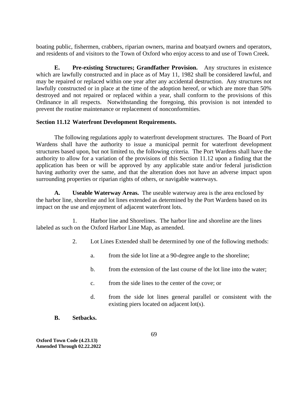boating public, fishermen, crabbers, riparian owners, marina and boatyard owners and operators, and residents of and visitors to the Town of Oxford who enjoy access to and use of Town Creek.

**E. Pre-existing Structures; Grandfather Provision.** Any structures in existence which are lawfully constructed and in place as of May 11, 1982 shall be considered lawful, and may be repaired or replaced within one year after any accidental destruction. Any structures not lawfully constructed or in place at the time of the adoption hereof, or which are more than 50% destroyed and not repaired or replaced within a year, shall conform to the provisions of this Ordinance in all respects. Notwithstanding the foregoing, this provision is not intended to prevent the routine maintenance or replacement of nonconformities.

# **Section 11.12 Waterfront Development Requirements.**

The following regulations apply to waterfront development structures. The Board of Port Wardens shall have the authority to issue a municipal permit for waterfront development structures based upon, but not limited to, the following criteria. The Port Wardens shall have the authority to allow for a variation of the provisions of this Section 11.12 upon a finding that the application has been or will be approved by any applicable state and/or federal jurisdiction having authority over the same, and that the alteration does not have an adverse impact upon surrounding properties or riparian rights of others, or navigable waterways.

**A. Useable Waterway Areas.** The useable waterway area is the area enclosed by the harbor line, shoreline and lot lines extended as determined by the Port Wardens based on its impact on the use and enjoyment of adjacent waterfront lots.

1. Harbor line and Shorelines. The harbor line and shoreline are the lines labeled as such on the Oxford Harbor Line Map, as amended.

- 2. Lot Lines Extended shall be determined by one of the following methods:
	- a. from the side lot line at a 90-degree angle to the shoreline;
	- b. from the extension of the last course of the lot line into the water;
	- c. from the side lines to the center of the cove; or
	- d. from the side lot lines general parallel or consistent with the existing piers located on adjacent lot(s).
- **B. Setbacks.**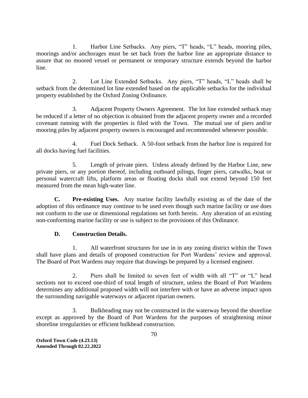1. Harbor Line Setbacks. Any piers, "T" heads, "L" heads, mooring piles, moorings and/or anchorages must be set back from the harbor line an appropriate distance to assure that no moored vessel or permanent or temporary structure extends beyond the harbor line.

2. Lot Line Extended Setbacks. Any piers, "T" heads, "L" heads shall be setback from the determined lot line extended based on the applicable setbacks for the individual property established by the Oxford Zoning Ordinance.

3. Adjacent Property Owners Agreement. The lot line extended setback may be reduced if a letter of no objection is obtained from the adjacent property owner and a recorded covenant running with the properties is filed with the Town. The mutual use of piers and/or mooring piles by adjacent property owners is encouraged and recommended whenever possible.

4. Fuel Dock Setback. A 50-foot setback from the harbor line is required for all docks having fuel facilities.

5. Length of private piers. Unless already defined by the Harbor Line, new private piers, or any portion thereof, including outboard pilings, finger piers, catwalks, boat or personal watercraft lifts, platform areas or floating docks shall not extend beyond 150 feet measured from the mean high-water line.

**C. Pre-existing Uses.** Any marine facility lawfully existing as of the date of the adoption of this ordinance may continue to be used even though such marine facility or use does not conform to the use or dimensional regulations set forth herein. Any alteration of an existing non-conforming marine facility or use is subject to the provisions of this Ordinance.

# **D. Construction Details.**

1. All waterfront structures for use in in any zoning district within the Town shall have plans and details of proposed construction for Port Wardens' review and approval. The Board of Port Wardens may require that drawings be prepared by a licensed engineer.

2. Piers shall be limited to seven feet of width with all "T" or "L" head sections not to exceed one-third of total length of structure, unless the Board of Port Wardens determines any additional proposed width will not interfere with or have an adverse impact upon the surrounding navigable waterways or adjacent riparian owners.

3. Bulkheading may not be constructed in the waterway beyond the shoreline except as approved by the Board of Port Wardens for the purposes of straightening minor shoreline irregularities or efficient bulkhead construction.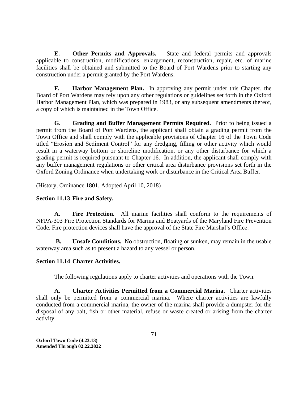**E. Other Permits and Approvals.** State and federal permits and approvals applicable to construction, modifications, enlargement, reconstruction, repair, etc. of marine facilities shall be obtained and submitted to the Board of Port Wardens prior to starting any construction under a permit granted by the Port Wardens.

**F. Harbor Management Plan.** In approving any permit under this Chapter, the Board of Port Wardens may rely upon any other regulations or guidelines set forth in the Oxford Harbor Management Plan, which was prepared in 1983, or any subsequent amendments thereof, a copy of which is maintained in the Town Office.

**G. Grading and Buffer Management Permits Required.** Prior to being issued a permit from the Board of Port Wardens, the applicant shall obtain a grading permit from the Town Office and shall comply with the applicable provisions of Chapter 16 of the Town Code titled "Erosion and Sediment Control" for any dredging, filling or other activity which would result in a waterway bottom or shoreline modification, or any other disturbance for which a grading permit is required pursuant to Chapter 16. In addition, the applicant shall comply with any buffer management regulations or other critical area disturbance provisions set forth in the Oxford Zoning Ordinance when undertaking work or disturbance in the Critical Area Buffer.

(History, Ordinance 1801, Adopted April 10, 2018)

### **Section 11.13 Fire and Safety.**

**A. Fire Protection.** All marine facilities shall conform to the requirements of NFPA-303 Fire Protection Standards for Marina and Boatyards of the Maryland Fire Prevention Code. Fire protection devices shall have the approval of the State Fire Marshal's Office.

**B. Unsafe Conditions.** No obstruction, floating or sunken, may remain in the usable waterway area such as to present a hazard to any vessel or person.

#### **Section 11.14 Charter Activities.**

The following regulations apply to charter activities and operations with the Town.

**A. Charter Activities Permitted from a Commercial Marina.** Charter activities shall only be permitted from a commercial marina. Where charter activities are lawfully conducted from a commercial marina, the owner of the marina shall provide a dumpster for the disposal of any bait, fish or other material, refuse or waste created or arising from the charter activity.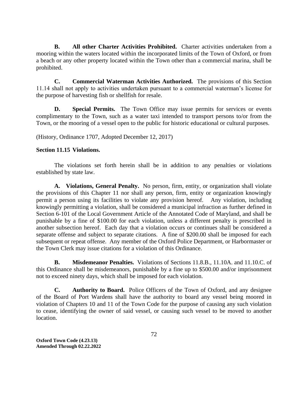**B. All other Charter Activities Prohibited.** Charter activities undertaken from a mooring within the waters located within the incorporated limits of the Town of Oxford, or from a beach or any other property located within the Town other than a commercial marina, shall be prohibited.

**C. Commercial Waterman Activities Authorized.** The provisions of this Section 11.14 shall not apply to activities undertaken pursuant to a commercial waterman's license for the purpose of harvesting fish or shellfish for resale.

**D. Special Permits.** The Town Office may issue permits for services or events complimentary to the Town, such as a water taxi intended to transport persons to/or from the Town, or the mooring of a vessel open to the public for historic educational or cultural purposes.

(History, Ordinance 1707, Adopted December 12, 2017)

# **Section 11.15 Violations.**

The violations set forth herein shall be in addition to any penalties or violations established by state law.

**A. Violations, General Penalty.** No person, firm, entity, or organization shall violate the provisions of this Chapter 11 nor shall any person, firm, entity or organization knowingly permit a person using its facilities to violate any provision hereof. Any violation, including knowingly permitting a violation, shall be considered a municipal infraction as further defined in Section 6-101 of the Local Government Article of the Annotated Code of Maryland, and shall be punishable by a fine of \$100.00 for each violation, unless a different penalty is prescribed in another subsection hereof. Each day that a violation occurs or continues shall be considered a separate offense and subject to separate citations. A fine of \$200.00 shall be imposed for each subsequent or repeat offense. Any member of the Oxford Police Department, or Harbormaster or the Town Clerk may issue citations for a violation of this Ordinance.

**B. Misdemeanor Penalties.** Violations of Sections 11.8.B., 11.10A. and 11.10.C. of this Ordinance shall be misdemeanors, punishable by a fine up to \$500.00 and/or imprisonment not to exceed ninety days, which shall be imposed for each violation.

**C. Authority to Board.** Police Officers of the Town of Oxford, and any designee of the Board of Port Wardens shall have the authority to board any vessel being moored in violation of Chapters 10 and 11 of the Town Code for the purpose of causing any such violation to cease, identifying the owner of said vessel, or causing such vessel to be moved to another location.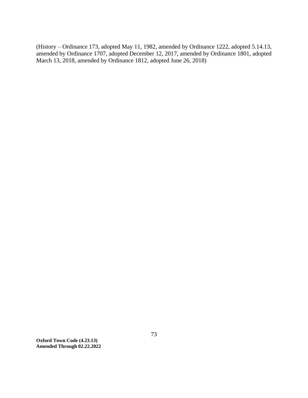(History – Ordinance 173, adopted May 11, 1982, amended by Ordinance 1222, adopted 5.14.13, amended by Ordinance 1707, adopted December 12, 2017, amended by Ordinance 1801, adopted March 13, 2018, amended by Ordinance 1812, adopted June 26, 2018)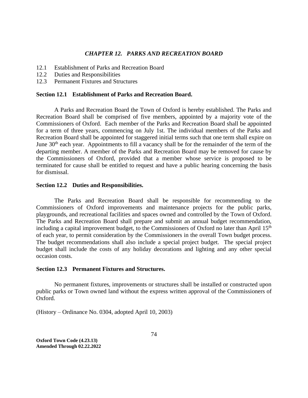### *CHAPTER 12. PARKS AND RECREATION BOARD*

- 12.1 Establishment of Parks and Recreation Board
- 12.2 Duties and Responsibilities
- 12.3 Permanent Fixtures and Structures

#### **Section 12.1 Establishment of Parks and Recreation Board.**

A Parks and Recreation Board the Town of Oxford is hereby established. The Parks and Recreation Board shall be comprised of five members, appointed by a majority vote of the Commissioners of Oxford. Each member of the Parks and Recreation Board shall be appointed for a term of three years, commencing on July 1st. The individual members of the Parks and Recreation Board shall be appointed for staggered initial terms such that one term shall expire on June 30<sup>th</sup> each year. Appointments to fill a vacancy shall be for the remainder of the term of the departing member. A member of the Parks and Recreation Board may be removed for cause by the Commissioners of Oxford, provided that a member whose service is proposed to be terminated for cause shall be entitled to request and have a public hearing concerning the basis for dismissal.

#### **Section 12.2 Duties and Responsibilities.**

The Parks and Recreation Board shall be responsible for recommending to the Commissioners of Oxford improvements and maintenance projects for the public parks, playgrounds, and recreational facilities and spaces owned and controlled by the Town of Oxford. The Parks and Recreation Board shall prepare and submit an annual budget recommendation, including a capital improvement budget, to the Commissioners of Oxford no later than April 15<sup>th</sup> of each year, to permit consideration by the Commissioners in the overall Town budget process. The budget recommendations shall also include a special project budget. The special project budget shall include the costs of any holiday decorations and lighting and any other special occasion costs.

# **Section 12.3 Permanent Fixtures and Structures.**

No permanent fixtures, improvements or structures shall be installed or constructed upon public parks or Town owned land without the express written approval of the Commissioners of Oxford.

(History – Ordinance No. 0304, adopted April 10, 2003)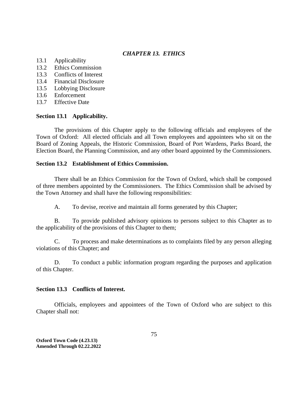# *CHAPTER 13. ETHICS*

- 13.1 Applicability
- 13.2 Ethics Commission
- 13.3 Conflicts of Interest
- 13.4 Financial Disclosure
- 13.5 Lobbying Disclosure
- 13.6 Enforcement
- 13.7 Effective Date

# **Section 13.1 Applicability.**

The provisions of this Chapter apply to the following officials and employees of the Town of Oxford: All elected officials and all Town employees and appointees who sit on the Board of Zoning Appeals, the Historic Commission, Board of Port Wardens, Parks Board, the Election Board, the Planning Commission, and any other board appointed by the Commissioners.

# **Section 13.2 Establishment of Ethics Commission.**

There shall be an Ethics Commission for the Town of Oxford, which shall be composed of three members appointed by the Commissioners. The Ethics Commission shall be advised by the Town Attorney and shall have the following responsibilities:

A. To devise, receive and maintain all forms generated by this Chapter;

B. To provide published advisory opinions to persons subject to this Chapter as to the applicability of the provisions of this Chapter to them;

C. To process and make determinations as to complaints filed by any person alleging violations of this Chapter; and

D. To conduct a public information program regarding the purposes and application of this Chapter.

# **Section 13.3 Conflicts of Interest.**

Officials, employees and appointees of the Town of Oxford who are subject to this Chapter shall not: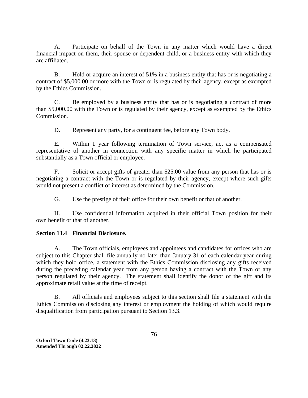A. Participate on behalf of the Town in any matter which would have a direct financial impact on them, their spouse or dependent child, or a business entity with which they are affiliated.

B. Hold or acquire an interest of 51% in a business entity that has or is negotiating a contract of \$5,000.00 or more with the Town or is regulated by their agency, except as exempted by the Ethics Commission.

C. Be employed by a business entity that has or is negotiating a contract of more than \$5,000.00 with the Town or is regulated by their agency, except as exempted by the Ethics Commission.

D. Represent any party, for a contingent fee, before any Town body.

E. Within 1 year following termination of Town service, act as a compensated representative of another in connection with any specific matter in which he participated substantially as a Town official or employee.

F. Solicit or accept gifts of greater than \$25.00 value from any person that has or is negotiating a contract with the Town or is regulated by their agency, except where such gifts would not present a conflict of interest as determined by the Commission.

G. Use the prestige of their office for their own benefit or that of another.

H. Use confidential information acquired in their official Town position for their own benefit or that of another.

# **Section 13.4 Financial Disclosure.**

A. The Town officials, employees and appointees and candidates for offices who are subject to this Chapter shall file annually no later than January 31 of each calendar year during which they hold office, a statement with the Ethics Commission disclosing any gifts received during the preceding calendar year from any person having a contract with the Town or any person regulated by their agency. The statement shall identify the donor of the gift and its approximate retail value at the time of receipt.

B. All officials and employees subject to this section shall file a statement with the Ethics Commission disclosing any interest or employment the holding of which would require disqualification from participation pursuant to Section 13.3.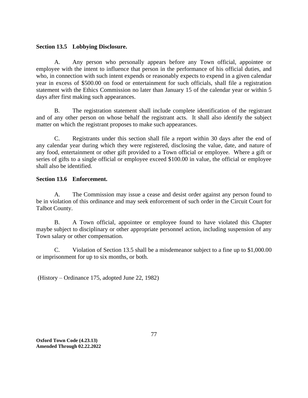# **Section 13.5 Lobbying Disclosure.**

A. Any person who personally appears before any Town official, appointee or employee with the intent to influence that person in the performance of his official duties, and who, in connection with such intent expends or reasonably expects to expend in a given calendar year in excess of \$500.00 on food or entertainment for such officials, shall file a registration statement with the Ethics Commission no later than January 15 of the calendar year or within 5 days after first making such appearances.

B. The registration statement shall include complete identification of the registrant and of any other person on whose behalf the registrant acts. It shall also identify the subject matter on which the registrant proposes to make such appearances.

C. Registrants under this section shall file a report within 30 days after the end of any calendar year during which they were registered, disclosing the value, date, and nature of any food, entertainment or other gift provided to a Town official or employee. Where a gift or series of gifts to a single official or employee exceed \$100.00 in value, the official or employee shall also be identified.

# **Section 13.6 Enforcement.**

A. The Commission may issue a cease and desist order against any person found to be in violation of this ordinance and may seek enforcement of such order in the Circuit Court for Talbot County.

B. A Town official, appointee or employee found to have violated this Chapter maybe subject to disciplinary or other appropriate personnel action, including suspension of any Town salary or other compensation.

C. Violation of Section 13.5 shall be a misdemeanor subject to a fine up to \$1,000.00 or imprisonment for up to six months, or both.

(History – Ordinance 175, adopted June 22, 1982)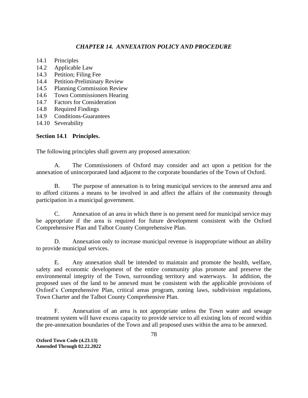# *CHAPTER 14. ANNEXATION POLICY AND PROCEDURE*

- 14.1 Principles
- 14.2 Applicable Law
- 14.3 Petition; Filing Fee
- 14.4 Petition-Preliminary Review
- 14.5 Planning Commission Review
- 14.6 Town Commissioners Hearing
- 14.7 Factors for Consideration
- 14.8 Required Findings
- 14.9 Conditions-Guarantees
- 14.10 Severability

# **Section 14.1 Principles.**

The following principles shall govern any proposed annexation:

A. The Commissioners of Oxford may consider and act upon a petition for the annexation of unincorporated land adjacent to the corporate boundaries of the Town of Oxford.

B. The purpose of annexation is to bring municipal services to the annexed area and to afford citizens a means to be involved in and affect the affairs of the community through participation in a municipal government.

C. Annexation of an area in which there is no present need for municipal service may be appropriate if the area is required for future development consistent with the Oxford Comprehensive Plan and Talbot County Comprehensive Plan.

D. Annexation only to increase municipal revenue is inappropriate without an ability to provide municipal services.

E. Any annexation shall be intended to maintain and promote the health, welfare, safety and economic development of the entire community plus promote and preserve the environmental integrity of the Town, surrounding territory and waterways. In addition, the proposed uses of the land to be annexed must be consistent with the applicable provisions of Oxford's Comprehensive Plan, critical areas program, zoning laws, subdivision regulations, Town Charter and the Talbot County Comprehensive Plan.

F. Annexation of an area is not appropriate unless the Town water and sewage treatment system will have excess capacity to provide service to all existing lots of record within the pre-annexation boundaries of the Town and all proposed uses within the area to be annexed.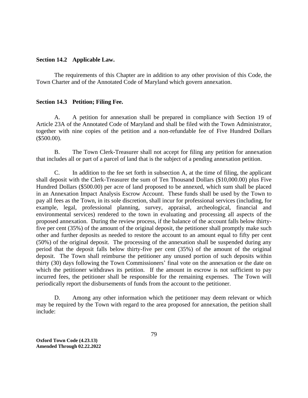#### **Section 14.2 Applicable Law.**

The requirements of this Chapter are in addition to any other provision of this Code, the Town Charter and of the Annotated Code of Maryland which govern annexation.

### **Section 14.3 Petition; Filing Fee.**

A. A petition for annexation shall be prepared in compliance with Section 19 of Article 23A of the Annotated Code of Maryland and shall be filed with the Town Administrator, together with nine copies of the petition and a non-refundable fee of Five Hundred Dollars (\$500.00).

B. The Town Clerk-Treasurer shall not accept for filing any petition for annexation that includes all or part of a parcel of land that is the subject of a pending annexation petition.

C. In addition to the fee set forth in subsection A, at the time of filing, the applicant shall deposit with the Clerk-Treasurer the sum of Ten Thousand Dollars (\$10,000.00) plus Five Hundred Dollars (\$500.00) per acre of land proposed to be annexed, which sum shall be placed in an Annexation Impact Analysis Escrow Account. These funds shall be used by the Town to pay all fees as the Town, in its sole discretion, shall incur for professional services (including, for example, legal, professional planning, survey, appraisal, archeological, financial and environmental services) rendered to the town in evaluating and processing all aspects of the proposed annexation. During the review process, if the balance of the account falls below thirtyfive per cent (35%) of the amount of the original deposit, the petitioner shall promptly make such other and further deposits as needed to restore the account to an amount equal to fifty per cent (50%) of the original deposit. The processing of the annexation shall be suspended during any period that the deposit falls below thirty-five per cent (35%) of the amount of the original deposit. The Town shall reimburse the petitioner any unused portion of such deposits within thirty (30) days following the Town Commissioners' final vote on the annexation or the date on which the petitioner withdraws its petition. If the amount in escrow is not sufficient to pay incurred fees, the petitioner shall be responsible for the remaining expenses. The Town will periodically report the disbursements of funds from the account to the petitioner.

D. Among any other information which the petitioner may deem relevant or which may be required by the Town with regard to the area proposed for annexation, the petition shall include: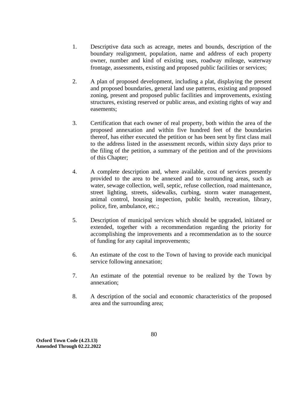- 1. Descriptive data such as acreage, metes and bounds, description of the boundary realignment, population, name and address of each property owner, number and kind of existing uses, roadway mileage, waterway frontage, assessments, existing and proposed public facilities or services;
- 2. A plan of proposed development, including a plat, displaying the present and proposed boundaries, general land use patterns, existing and proposed zoning, present and proposed public facilities and improvements, existing structures, existing reserved or public areas, and existing rights of way and easements;
- 3. Certification that each owner of real property, both within the area of the proposed annexation and within five hundred feet of the boundaries thereof, has either executed the petition or has been sent by first class mail to the address listed in the assessment records, within sixty days prior to the filing of the petition, a summary of the petition and of the provisions of this Chapter;
- 4. A complete description and, where available, cost of services presently provided to the area to be annexed and to surrounding areas, such as water, sewage collection, well, septic, refuse collection, road maintenance, street lighting, streets, sidewalks, curbing, storm water management, animal control, housing inspection, public health, recreation, library, police, fire, ambulance, etc.;
- 5. Description of municipal services which should be upgraded, initiated or extended, together with a recommendation regarding the priority for accomplishing the improvements and a recommendation as to the source of funding for any capital improvements;
- 6. An estimate of the cost to the Town of having to provide each municipal service following annexation;
- 7. An estimate of the potential revenue to be realized by the Town by annexation;
- 8. A description of the social and economic characteristics of the proposed area and the surrounding area;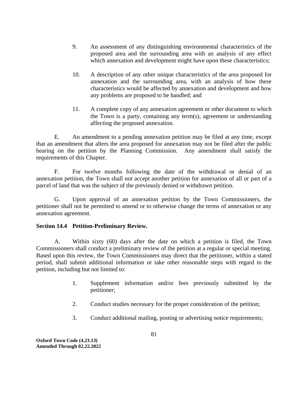- 9. An assessment of any distinguishing environmental characteristics of the proposed area and the surrounding area with an analysis of any effect which annexation and development might have upon these characteristics;
- 10. A description of any other unique characteristics of the area proposed for annexation and the surrounding area, with an analysis of how these characteristics would be affected by annexation and development and how any problems are proposed to be handled; and
- 11. A complete copy of any annexation agreement or other document to which the Town is a party, containing any term(s), agreement or understanding affecting the proposed annexation.

E. An amendment to a pending annexation petition may be filed at any time, except that an amendment that alters the area proposed for annexation may not be filed after the public hearing on the petition by the Planning Commission. Any amendment shall satisfy the requirements of this Chapter.

F. For twelve months following the date of the withdrawal or denial of an annexation petition, the Town shall not accept another petition for annexation of all or part of a parcel of land that was the subject of the previously denied or withdrawn petition.

G. Upon approval of an annexation petition by the Town Commissioners, the petitioner shall not be permitted to amend or to otherwise change the terms of annexation or any annexation agreement.

# **Section 14.4 Petition-Preliminary Review.**

A. Within sixty (60) days after the date on which a petition is filed, the Town Commissioners shall conduct a preliminary review of the petition at a regular or special meeting. Based upon this review, the Town Commissioners may direct that the petitioner, within a stated period, shall submit additional information or take other reasonable steps with regard to the petition, including but not limited to:

- 1. Supplement information and/or fees previously submitted by the petitioner;
- 2. Conduct studies necessary for the proper consideration of the petition;
- 3. Conduct additional mailing, posting or advertising notice requirements;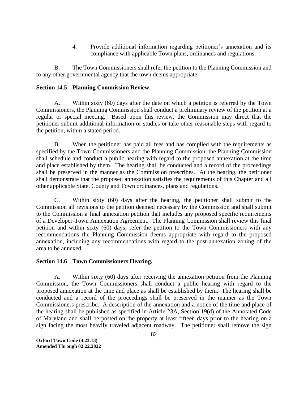4. Provide additional information regarding petitioner's annexation and its compliance with applicable Town plans, ordinances and regulations.

B. The Town Commissioners shall refer the petition to the Planning Commission and to any other governmental agency that the town deems appropriate.

# **Section 14.5 Planning Commission Review.**

A. Within sixty (60) days after the date on which a petition is referred by the Town Commissioners, the Planning Commission shall conduct a preliminary review of the petition at a regular or special meeting. Based upon this review, the Commission may direct that the petitioner submit additional information or studies or take other reasonable steps with regard to the petition, within a stated period.

B. When the petitioner has paid all fees and has complied with the requirements as specified by the Town Commissioners and the Planning Commission, the Planning Commission shall schedule and conduct a public hearing with regard to the proposed annexation at the time and place established by them. The hearing shall be conducted and a record of the proceedings shall be preserved in the manner as the Commission prescribes. At the hearing, the petitioner shall demonstrate that the proposed annexation satisfies the requirements of this Chapter and all other applicable State, County and Town ordinances, plans and regulations.

C. Within sixty (60) days after the hearing, the petitioner shall submit to the Commission all revisions to the petition deemed necessary by the Commission and shall submit to the Commission a final annexation petition that includes any proposed specific requirements of a Developer-Town Annexation Agreement. The Planning Commission shall review this final petition and within sixty (60) days, refer the petition to the Town Commissioners with any recommendations the Planning Commission deems appropriate with regard to the proposed annexation, including any recommendations with regard to the post-annexation zoning of the area to be annexed.

# **Section 14.6 Town Commissioners Hearing.**

A. Within sixty (60) days after receiving the annexation petition from the Planning Commission, the Town Commissioners shall conduct a public hearing with regard to the proposed annexation at the time and place as shall be established by them. The hearing shall be conducted and a record of the proceedings shall be preserved in the manner as the Town Commissioners prescribe. A description of the annexation and a notice of the time and place of the hearing shall be published as specified in Article 23A, Section 19(d) of the Annotated Code of Maryland and shall be posted on the property at least fifteen days prior to the hearing on a sign facing the most heavily traveled adjacent roadway. The petitioner shall remove the sign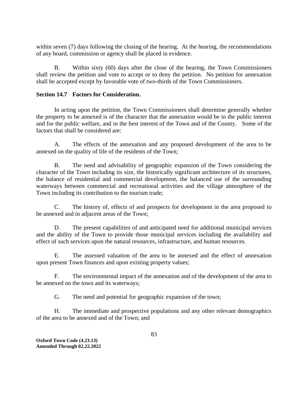within seven (7) days following the closing of the hearing. At the hearing, the recommendations of any board, commission or agency shall be placed in evidence.

B. Within sixty (60) days after the close of the hearing, the Town Commissioners shall review the petition and vote to accept or to deny the petition. No petition for annexation shall be accepted except by favorable vote of two-thirds of the Town Commissioners.

# **Section 14.7 Factors for Consideration.**

In acting upon the petition, the Town Commissioners shall determine generally whether the property to be annexed is of the character that the annexation would be in the public interest and for the public welfare, and in the best interest of the Town and of the County. Some of the factors that shall be considered are:

A. The effects of the annexation and any proposed development of the area to be annexed on the quality of life of the residents of the Town;

B. The need and advisability of geographic expansion of the Town considering the character of the Town including its size, the historically significant architecture of its structures, the balance of residential and commercial development, the balanced use of the surrounding waterways between commercial and recreational activities and the village atmosphere of the Town including its contribution to the tourism trade;

C. The history of, effects of and prospects for development in the area proposed to be annexed and in adjacent areas of the Town;

D. The present capabilities of and anticipated need for additional municipal services and the ability of the Town to provide those municipal services including the availability and effect of such services upon the natural resources, infrastructure, and human resources.

E. The assessed valuation of the area to be annexed and the effect of annexation upon present Town finances and upon existing property values;

F. The environmental impact of the annexation and of the development of the area to be annexed on the town and its waterways;

G. The need and potential for geographic expansion of the town;

H. The immediate and prospective populations and any other relevant demographics of the area to be annexed and of the Town; and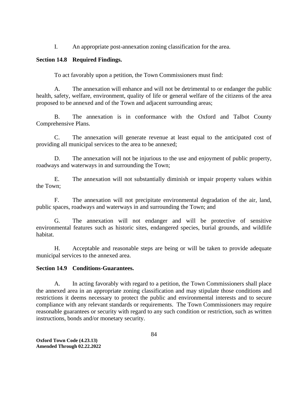I. An appropriate post-annexation zoning classification for the area.

# **Section 14.8 Required Findings.**

To act favorably upon a petition, the Town Commissioners must find:

A. The annexation will enhance and will not be detrimental to or endanger the public health, safety, welfare, environment, quality of life or general welfare of the citizens of the area proposed to be annexed and of the Town and adjacent surrounding areas;

B. The annexation is in conformance with the Oxford and Talbot County Comprehensive Plans.

C. The annexation will generate revenue at least equal to the anticipated cost of providing all municipal services to the area to be annexed;

D. The annexation will not be injurious to the use and enjoyment of public property, roadways and waterways in and surrounding the Town;

E. The annexation will not substantially diminish or impair property values within the Town;

F. The annexation will not precipitate environmental degradation of the air, land, public spaces, roadways and waterways in and surrounding the Town; and

G. The annexation will not endanger and will be protective of sensitive environmental features such as historic sites, endangered species, burial grounds, and wildlife habitat.

H. Acceptable and reasonable steps are being or will be taken to provide adequate municipal services to the annexed area.

# **Section 14.9 Conditions-Guarantees.**

A. In acting favorably with regard to a petition, the Town Commissioners shall place the annexed area in an appropriate zoning classification and may stipulate those conditions and restrictions it deems necessary to protect the public and environmental interests and to secure compliance with any relevant standards or requirements. The Town Commissioners may require reasonable guarantees or security with regard to any such condition or restriction, such as written instructions, bonds and/or monetary security.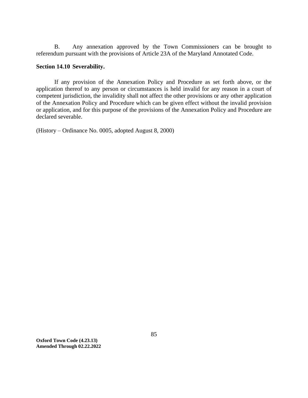B. Any annexation approved by the Town Commissioners can be brought to referendum pursuant with the provisions of Article 23A of the Maryland Annotated Code.

### **Section 14.10 Severability.**

If any provision of the Annexation Policy and Procedure as set forth above, or the application thereof to any person or circumstances is held invalid for any reason in a court of competent jurisdiction, the invalidity shall not affect the other provisions or any other application of the Annexation Policy and Procedure which can be given effect without the invalid provision or application, and for this purpose of the provisions of the Annexation Policy and Procedure are declared severable.

(History – Ordinance No. 0005, adopted August 8, 2000)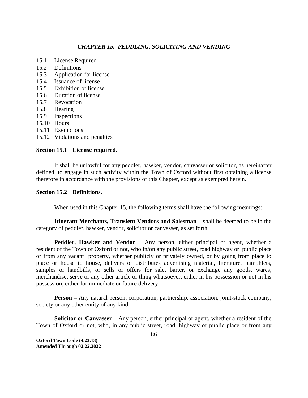### *CHAPTER 15. PEDDLING, SOLICITING AND VENDING*

- 15.1 License Required
- 15.2 Definitions
- 15.3 Application for license
- 15.4 Issuance of license
- 15.5 Exhibition of license
- 15.6 Duration of license
- 15.7 Revocation
- 15.8 Hearing
- 15.9 Inspections
- 15.10 Hours
- 15.11 Exemptions
- 15.12 Violations and penalties

#### **Section 15.1 License required.**

It shall be unlawful for any peddler, hawker, vendor, canvasser or solicitor, as hereinafter defined, to engage in such activity within the Town of Oxford without first obtaining a license therefore in accordance with the provisions of this Chapter, except as exempted herein.

### **Section 15.2 Definitions.**

When used in this Chapter 15, the following terms shall have the following meanings:

**Itinerant Merchants, Transient Vendors and Salesman** – shall be deemed to be in the category of peddler, hawker, vendor, solicitor or canvasser, as set forth.

**Peddler, Hawker and Vendor** – Any person, either principal or agent, whether a resident of the Town of Oxford or not, who in/on any public street, road highway or public place or from any vacant property, whether publicly or privately owned, or by going from place to place or house to house, delivers or distributes advertising material, literature, pamphlets, samples or handbills, or sells or offers for sale, barter, or exchange any goods, wares, merchandise, serve or any other article or thing whatsoever, either in his possession or not in his possession, either for immediate or future delivery.

**Person** – Any natural person, corporation, partnership, association, joint-stock company, society or any other entity of any kind.

**Solicitor or Canvasser** – Any person, either principal or agent, whether a resident of the Town of Oxford or not, who, in any public street, road, highway or public place or from any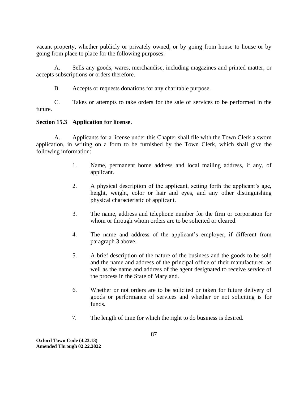vacant property, whether publicly or privately owned, or by going from house to house or by going from place to place for the following purposes:

A. Sells any goods, wares, merchandise, including magazines and printed matter, or accepts subscriptions or orders therefore.

B. Accepts or requests donations for any charitable purpose.

C. Takes or attempts to take orders for the sale of services to be performed in the future.

# **Section 15.3 Application for license.**

A. Applicants for a license under this Chapter shall file with the Town Clerk a sworn application, in writing on a form to be furnished by the Town Clerk, which shall give the following information:

- 1. Name, permanent home address and local mailing address, if any, of applicant.
- 2. A physical description of the applicant, setting forth the applicant's age, height, weight, color or hair and eyes, and any other distinguishing physical characteristic of applicant.
- 3. The name, address and telephone number for the firm or corporation for whom or through whom orders are to be solicited or cleared.
- 4. The name and address of the applicant's employer, if different from paragraph 3 above.
- 5. A brief description of the nature of the business and the goods to be sold and the name and address of the principal office of their manufacturer, as well as the name and address of the agent designated to receive service of the process in the State of Maryland.
- 6. Whether or not orders are to be solicited or taken for future delivery of goods or performance of services and whether or not soliciting is for funds.
- 7. The length of time for which the right to do business is desired.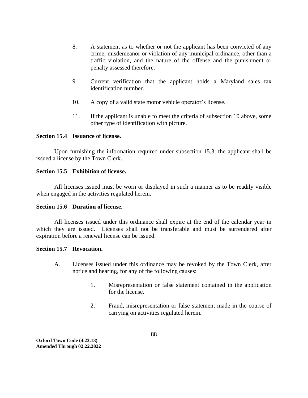- 8. A statement as to whether or not the applicant has been convicted of any crime, misdemeanor or violation of any municipal ordinance, other than a traffic violation, and the nature of the offense and the punishment or penalty assessed therefore.
- 9. Current verification that the applicant holds a Maryland sales tax identification number.
- 10. A copy of a valid state motor vehicle operator's license.
- 11. If the applicant is unable to meet the criteria of subsection 10 above, some other type of identification with picture.

# **Section 15.4 Issuance of license.**

Upon furnishing the information required under subsection 15.3, the applicant shall be issued a license by the Town Clerk.

### **Section 15.5 Exhibition of license.**

All licenses issued must be worn or displayed in such a manner as to be readily visible when engaged in the activities regulated herein.

# **Section 15.6 Duration of license.**

All licenses issued under this ordinance shall expire at the end of the calendar year in which they are issued. Licenses shall not be transferable and must be surrendered after expiration before a renewal license can be issued.

### **Section 15.7 Revocation.**

- A. Licenses issued under this ordinance may be revoked by the Town Clerk, after notice and hearing, for any of the following causes:
	- 1. Misrepresentation or false statement contained in the application for the license.
	- 2. Fraud, misrepresentation or false statement made in the course of carrying on activities regulated herein.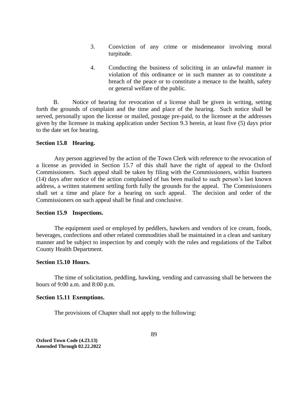- 3. Conviction of any crime or misdemeanor involving moral turpitude.
- 4. Conducting the business of soliciting in an unlawful manner in violation of this ordinance or in such manner as to constitute a breach of the peace or to constitute a menace to the health, safety or general welfare of the public.

B. Notice of hearing for revocation of a license shall be given in writing, setting forth the grounds of complaint and the time and place of the hearing. Such notice shall be served, personally upon the license or mailed, postage pre-paid, to the licensee at the addresses given by the licensee in making application under Section 9.3 herein, at least five (5) days prior to the date set for hearing.

#### **Section 15.8 Hearing.**

Any person aggrieved by the action of the Town Clerk with reference to the revocation of a license as provided in Section 15.7 of this shall have the right of appeal to the Oxford Commissioners. Such appeal shall be taken by filing with the Commissioners, within fourteen (14) days after notice of the action complained of has been mailed to such person's last known address, a written statement settling forth fully the grounds for the appeal. The Commissioners shall set a time and place for a hearing on such appeal. The decision and order of the Commissioners on such appeal shall be final and conclusive.

#### **Section 15.9 Inspections.**

The equipment used or employed by peddlers, hawkers and vendors of ice cream, foods, beverages, confections and other related commodities shall be maintained in a clean and sanitary manner and be subject to inspection by and comply with the rules and regulations of the Talbot County Health Department.

#### **Section 15.10 Hours.**

The time of solicitation, peddling, hawking, vending and canvassing shall be between the hours of 9:00 a.m. and 8:00 p.m.

#### **Section 15.11 Exemptions.**

The provisions of Chapter shall not apply to the following: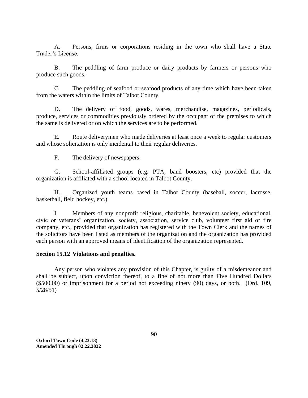A. Persons, firms or corporations residing in the town who shall have a State Trader's License.

B. The peddling of farm produce or dairy products by farmers or persons who produce such goods.

C. The peddling of seafood or seafood products of any time which have been taken from the waters within the limits of Talbot County.

D. The delivery of food, goods, wares, merchandise, magazines, periodicals, produce, services or commodities previously ordered by the occupant of the premises to which the same is delivered or on which the services are to be performed.

E. Route deliverymen who made deliveries at least once a week to regular customers and whose solicitation is only incidental to their regular deliveries.

F. The delivery of newspapers.

G. School-affiliated groups (e.g. PTA, band boosters, etc) provided that the organization is affiliated with a school located in Talbot County.

H. Organized youth teams based in Talbot County (baseball, soccer, lacrosse, basketball, field hockey, etc.).

I. Members of any nonprofit religious, charitable, benevolent society, educational, civic or veterans' organization, society, association, service club, volunteer first aid or fire company, etc., provided that organization has registered with the Town Clerk and the names of the solicitors have been listed as members of the organization and the organization has provided each person with an approved means of identification of the organization represented.

# **Section 15.12 Violations and penalties.**

Any person who violates any provision of this Chapter, is guilty of a misdemeanor and shall be subject, upon conviction thereof, to a fine of not more than Five Hundred Dollars (\$500.00) or imprisonment for a period not exceeding ninety (90) days, or both. (Ord. 109, 5/28/51)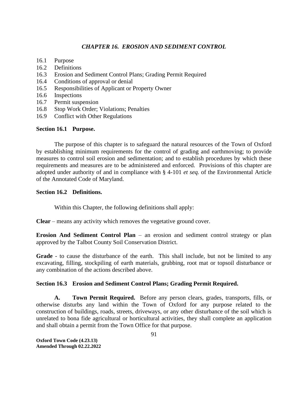# *CHAPTER 16. EROSION AND SEDIMENT CONTROL*

- 16.1 Purpose
- 16.2 Definitions
- 16.3 Erosion and Sediment Control Plans; Grading Permit Required
- 16.4 Conditions of approval or denial
- 16.5 Responsibilities of Applicant or Property Owner
- 16.6 Inspections
- 16.7 Permit suspension
- 16.8 Stop Work Order; Violations; Penalties
- 16.9 Conflict with Other Regulations

# **Section 16.1 Purpose.**

The purpose of this chapter is to safeguard the natural resources of the Town of Oxford by establishing minimum requirements for the control of grading and earthmoving; to provide measures to control soil erosion and sedimentation; and to establish procedures by which these requirements and measures are to be administered and enforced. Provisions of this chapter are adopted under authority of and in compliance with § 4-101 *et seq.* of the Environmental Article of the Annotated Code of Maryland.

# **Section 16.2 Definitions.**

Within this Chapter, the following definitions shall apply:

**Clear** – means any activity which removes the vegetative ground cover.

**Erosion And Sediment Control Plan** – an erosion and sediment control strategy or plan approved by the Talbot County Soil Conservation District.

**Grade** - to cause the disturbance of the earth. This shall include, but not be limited to any excavating, filling, stockpiling of earth materials, grubbing, root mat or topsoil disturbance or any combination of the actions described above.

# **Section 16.3 Erosion and Sediment Control Plans; Grading Permit Required.**

**A. Town Permit Required.** Before any person clears, grades, transports, fills, or otherwise disturbs any land within the Town of Oxford for any purpose related to the construction of buildings, roads, streets, driveways, or any other disturbance of the soil which is unrelated to bona fide agricultural or horticultural activities, they shall complete an application and shall obtain a permit from the Town Office for that purpose.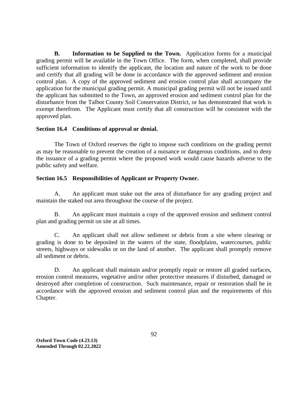**B. Information to be Supplied to the Town.** Application forms for a municipal grading permit will be available in the Town Office. The form, when completed, shall provide sufficient information to identify the applicant, the location and nature of the work to be done and certify that all grading will be done in accordance with the approved sediment and erosion control plan. A copy of the approved sediment and erosion control plan shall accompany the application for the municipal grading permit. A municipal grading permit will not be issued until the applicant has submitted to the Town, an approved erosion and sediment control plan for the disturbance from the Talbot County Soil Conservation District, or has demonstrated that work is exempt therefrom. The Applicant must certify that all construction will be consistent with the approved plan.

# **Section 16.4 Conditions of approval or denial.**

The Town of Oxford reserves the right to impose such conditions on the grading permit as may be reasonable to prevent the creation of a nuisance or dangerous conditions, and to deny the issuance of a grading permit where the proposed work would cause hazards adverse to the public safety and welfare.

# **Section 16.5 Responsibilities of Applicant or Property Owner.**

A. An applicant must stake out the area of disturbance for any grading project and maintain the staked out area throughout the course of the project.

B. An applicant must maintain a copy of the approved erosion and sediment control plan and grading permit on site at all times.

C. An applicant shall not allow sediment or debris from a site where clearing or grading is done to be deposited in the waters of the state, floodplains, watercourses, public streets, highways or sidewalks or on the land of another. The applicant shall promptly remove all sediment or debris.

D. An applicant shall maintain and/or promptly repair or restore all graded surfaces, erosion control measures, vegetative and/or other protective measures if disturbed, damaged or destroyed after completion of construction. Such maintenance, repair or restoration shall be in accordance with the approved erosion and sediment control plan and the requirements of this Chapter.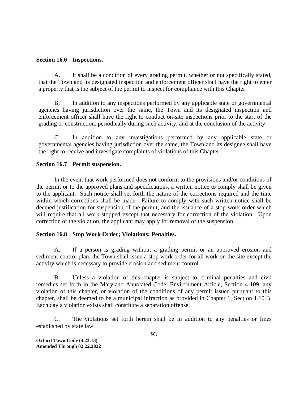#### **Section 16.6 Inspections.**

A. It shall be a condition of every grading permit, whether or not specifically stated, that the Town and its designated inspection and enforcement officer shall have the right to enter a property that is the subject of the permit to inspect for compliance with this Chapter.

B. In addition to any inspections performed by any applicable state or governmental agencies having jurisdiction over the same, the Town and its designated inspection and enforcement officer shall have the right to conduct on-site inspections prior to the start of the grading or construction, periodically during such activity, and at the conclusion of the activity.

C. In addition to any investigations performed by any applicable state or governmental agencies having jurisdiction over the same, the Town and its designee shall have the right to receive and investigate complaints of violations of this Chapter.

### **Section 16.7 Permit suspension.**

In the event that work performed does not conform to the provisions and/or conditions of the permit or to the approved plans and specifications, a written notice to comply shall be given to the applicant. Such notice shall set forth the nature of the corrections required and the time within which corrections shall be made. Failure to comply with such written notice shall be deemed justification for suspension of the permit, and the issuance of a stop work order which will require that all work stopped except that necessary for correction of the violation. Upon correction of the violation, the applicant may apply for removal of the suspension.

# **Section 16.8 Stop Work Order; Violations; Penalties.**

A. If a person is grading without a grading permit or an approved erosion and sediment control plan, the Town shall issue a stop work order for all work on the site except the activity which is necessary to provide erosion and sediment control.

B. Unless a violation of this chapter is subject to criminal penalties and civil remedies set forth in the Maryland Annotated Code, Environment Article, Section 4-109, any violation of this chapter, or violation of the conditions of any permit issued pursuant to this chapter, shall be deemed to be a municipal infraction as provided in Chapter 1, Section 1.10.B. Each day a violation exists shall constitute a separation offense.

C. The violations set forth herein shall be in addition to any penalties or fines established by state law.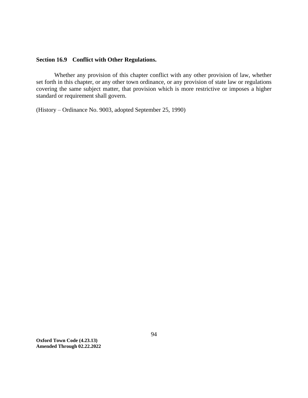# **Section 16.9 Conflict with Other Regulations.**

Whether any provision of this chapter conflict with any other provision of law, whether set forth in this chapter, or any other town ordinance, or any provision of state law or regulations covering the same subject matter, that provision which is more restrictive or imposes a higher standard or requirement shall govern.

(History – Ordinance No. 9003, adopted September 25, 1990)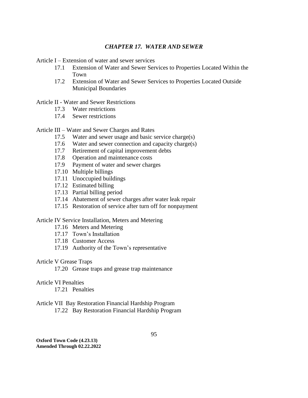### *CHAPTER 17. WATER AND SEWER*

Article I – Extension of water and sewer services

- 17.1 Extension of Water and Sewer Services to Properties Located Within the Town
- 17.2 Extension of Water and Sewer Services to Properties Located Outside Municipal Boundaries

#### Article II - Water and Sewer Restrictions

- 17.3 Water restrictions
- 17.4 Sewer restrictions

#### Article III – Water and Sewer Charges and Rates

- 17.5 Water and sewer usage and basic service charge(s)
- 17.6 Water and sewer connection and capacity charge(s)
- 17.7 Retirement of capital improvement debts
- 17.8 Operation and maintenance costs
- 17.9 Payment of water and sewer charges
- 17.10 Multiple billings
- 17.11 Unoccupied buildings
- 17.12 Estimated billing
- 17.13 Partial billing period
- 17.14 Abatement of sewer charges after water leak repair
- 17.15 Restoration of service after turn off for nonpayment

#### Article IV Service Installation, Meters and Metering

- 17.16 Meters and Metering
- 17.17 Town's Installation
- 17.18 Customer Access
- 17.19 Authority of the Town's representative

### Article V Grease Traps

17.20 Grease traps and grease trap maintenance

# Article VI Penalties

17.21 Penalties

#### Article VII Bay Restoration Financial Hardship Program 17.22 Bay Restoration Financial Hardship Program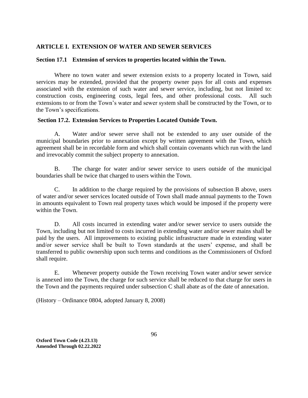# **ARTICLE I. EXTENSION OF WATER AND SEWER SERVICES**

### **Section 17.1 Extension of services to properties located within the Town.**

Where no town water and sewer extension exists to a property located in Town, said services may be extended, provided that the property owner pays for all costs and expenses associated with the extension of such water and sewer service, including, but not limited to: construction costs, engineering costs, legal fees, and other professional costs. All such extensions to or from the Town's water and sewer system shall be constructed by the Town, or to the Town's specifications.

### **Section 17.2. Extension Services to Properties Located Outside Town.**

A. Water and/or sewer serve shall not be extended to any user outside of the municipal boundaries prior to annexation except by written agreement with the Town, which agreement shall be in recordable form and which shall contain covenants which run with the land and irrevocably commit the subject property to annexation.

B. The charge for water and/or sewer service to users outside of the municipal boundaries shall be twice that charged to users within the Town.

C. In addition to the charge required by the provisions of subsection B above, users of water and/or sewer services located outside of Town shall made annual payments to the Town in amounts equivalent to Town real property taxes which would be imposed if the property were within the Town.

D. All costs incurred in extending water and/or sewer service to users outside the Town, including but not limited to costs incurred in extending water and/or sewer mains shall be paid by the users. All improvements to existing public infrastructure made in extending water and/or sewer service shall be built to Town standards at the users' expense, and shall be transferred to public ownership upon such terms and conditions as the Commissioners of Oxford shall require.

E. Whenever property outside the Town receiving Town water and/or sewer service is annexed into the Town, the charge for such service shall be reduced to that charge for users in the Town and the payments required under subsection C shall abate as of the date of annexation.

(History – Ordinance 0804, adopted January 8, 2008)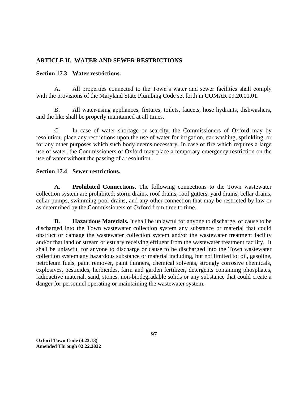# **ARTICLE II. WATER AND SEWER RESTRICTIONS**

# **Section 17.3 Water restrictions.**

A. All properties connected to the Town's water and sewer facilities shall comply with the provisions of the Maryland State Plumbing Code set forth in COMAR 09.20.01.01.

B. All water-using appliances, fixtures, toilets, faucets, hose hydrants, dishwashers, and the like shall be properly maintained at all times.

C. In case of water shortage or scarcity, the Commissioners of Oxford may by resolution, place any restrictions upon the use of water for irrigation, car washing, sprinkling, or for any other purposes which such body deems necessary. In case of fire which requires a large use of water, the Commissioners of Oxford may place a temporary emergency restriction on the use of water without the passing of a resolution.

# **Section 17.4 Sewer restrictions.**

**A. Prohibited Connections.** The following connections to the Town wastewater collection system are prohibited: storm drains, roof drains, roof gutters, yard drains, cellar drains, cellar pumps, swimming pool drains, and any other connection that may be restricted by law or as determined by the Commissioners of Oxford from time to time.

**B. Hazardous Materials.** It shall be unlawful for anyone to discharge, or cause to be discharged into the Town wastewater collection system any substance or material that could obstruct or damage the wastewater collection system and/or the wastewater treatment facility and/or that land or stream or estuary receiving effluent from the wastewater treatment facility. It shall be unlawful for anyone to discharge or cause to be discharged into the Town wastewater collection system any hazardous substance or material including, but not limited to: oil, gasoline, petroleum fuels, paint remover, paint thinners, chemical solvents, strongly corrosive chemicals, explosives, pesticides, herbicides, farm and garden fertilizer, detergents containing phosphates, radioactive material, sand, stones, non-biodegradable solids or any substance that could create a danger for personnel operating or maintaining the wastewater system.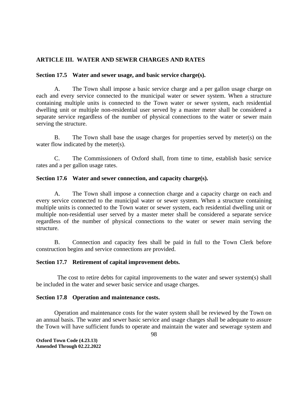# **ARTICLE III. WATER AND SEWER CHARGES AND RATES**

# **Section 17.5 Water and sewer usage, and basic service charge(s).**

A. The Town shall impose a basic service charge and a per gallon usage charge on each and every service connected to the municipal water or sewer system. When a structure containing multiple units is connected to the Town water or sewer system, each residential dwelling unit or multiple non-residential user served by a master meter shall be considered a separate service regardless of the number of physical connections to the water or sewer main serving the structure.

B. The Town shall base the usage charges for properties served by meter(s) on the water flow indicated by the meter(s).

C. The Commissioners of Oxford shall, from time to time, establish basic service rates and a per gallon usage rates.

# **Section 17.6 Water and sewer connection, and capacity charge(s).**

A. The Town shall impose a connection charge and a capacity charge on each and every service connected to the municipal water or sewer system. When a structure containing multiple units is connected to the Town water or sewer system, each residential dwelling unit or multiple non-residential user served by a master meter shall be considered a separate service regardless of the number of physical connections to the water or sewer main serving the structure.

B. Connection and capacity fees shall be paid in full to the Town Clerk before construction begins and service connections are provided.

# **Section 17.7 Retirement of capital improvement debts.**

 The cost to retire debts for capital improvements to the water and sewer system(s) shall be included in the water and sewer basic service and usage charges.

# **Section 17.8 Operation and maintenance costs.**

Operation and maintenance costs for the water system shall be reviewed by the Town on an annual basis. The water and sewer basic service and usage charges shall be adequate to assure the Town will have sufficient funds to operate and maintain the water and sewerage system and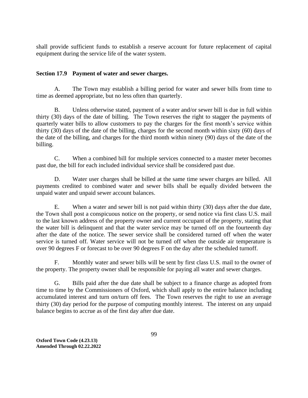shall provide sufficient funds to establish a reserve account for future replacement of capital equipment during the service life of the water system.

# **Section 17.9 Payment of water and sewer charges.**

A. The Town may establish a billing period for water and sewer bills from time to time as deemed appropriate, but no less often than quarterly.

B. Unless otherwise stated, payment of a water and/or sewer bill is due in full within thirty (30) days of the date of billing. The Town reserves the right to stagger the payments of quarterly water bills to allow customers to pay the charges for the first month's service within thirty (30) days of the date of the billing, charges for the second month within sixty (60) days of the date of the billing, and charges for the third month within ninety (90) days of the date of the billing.

C. When a combined bill for multiple services connected to a master meter becomes past due, the bill for each included individual service shall be considered past due.

D. Water user charges shall be billed at the same time sewer charges are billed. All payments credited to combined water and sewer bills shall be equally divided between the unpaid water and unpaid sewer account balances.

E. When a water and sewer bill is not paid within thirty (30) days after the due date, the Town shall post a conspicuous notice on the property, or send notice via first class U.S. mail to the last known address of the property owner and current occupant of the property, stating that the water bill is delinquent and that the water service may be turned off on the fourteenth day after the date of the notice. The sewer service shall be considered turned off when the water service is turned off. Water service will not be turned off when the outside air temperature is over 90 degrees F or forecast to be over 90 degrees F on the day after the scheduled turnoff.

F. Monthly water and sewer bills will be sent by first class U.S. mail to the owner of the property. The property owner shall be responsible for paying all water and sewer charges.

G. Bills paid after the due date shall be subject to a finance charge as adopted from time to time by the Commissioners of Oxford, which shall apply to the entire balance including accumulated interest and turn on/turn off fees. The Town reserves the right to use an average thirty (30) day period for the purpose of computing monthly interest. The interest on any unpaid balance begins to accrue as of the first day after due date.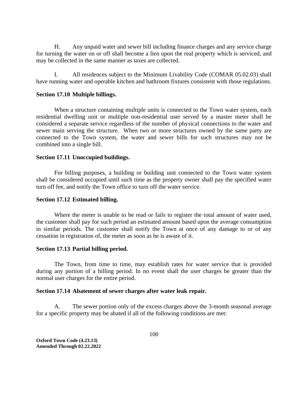H. Any unpaid water and sewer bill including finance charges and any service charge for turning the water on or off shall become a lien upon the real property which is serviced, and may be collected in the same manner as taxes are collected.

I. All residences subject to the Minimum Livability Code (COMAR 05.02.03) shall have running water and operable kitchen and bathroom fixtures consistent with those regulations.

#### **Section 17.10 Multiple billings.**

When a structure containing multiple units is connected to the Town water system, each residential dwelling unit or multiple non-residential user served by a master meter shall be considered a separate service regardless of the number of physical connections to the water and sewer main serving the structure. When two or more structures owned by the same party are connected to the Town system, the water and sewer bills for such structures may not be combined into a single bill.

#### **Section 17.11 Unoccupied buildings.**

For billing purposes, a building or building unit connected to the Town water system shall be considered occupied until such time as the property owner shall pay the specified water turn off fee, and notify the Town office to turn off the water service.

#### **Section 17.12 Estimated billing.**

Where the meter is unable to be read or fails to register the total amount of water used, the customer shall pay for such period an estimated amount based upon the average consumption in similar periods. The customer shall notify the Town at once of any damage to or of any cessation in registration of, the meter as soon as he is aware of it.

### **Section 17.13 Partial billing period.**

The Town, from time to time, may establish rates for water service that is provided during any portion of a billing period. In no event shall the user charges be greater than the normal user charges for the entire period.

#### **Section 17.14 Abatement of sewer charges after water leak repair.**

A. The sewer portion only of the excess charges above the 3-month seasonal average for a specific property may be abated if all of the following conditions are met: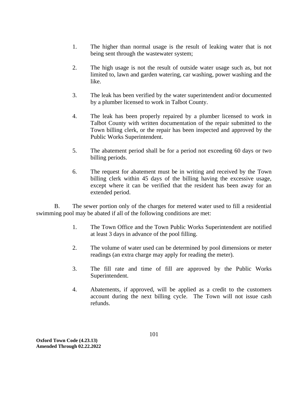- 1. The higher than normal usage is the result of leaking water that is not being sent through the wastewater system;
- 2. The high usage is not the result of outside water usage such as, but not limited to, lawn and garden watering, car washing, power washing and the like.
- 3. The leak has been verified by the water superintendent and/or documented by a plumber licensed to work in Talbot County.
- 4. The leak has been properly repaired by a plumber licensed to work in Talbot County with written documentation of the repair submitted to the Town billing clerk, or the repair has been inspected and approved by the Public Works Superintendent.
- 5. The abatement period shall be for a period not exceeding 60 days or two billing periods.
- 6. The request for abatement must be in writing and received by the Town billing clerk within 45 days of the billing having the excessive usage, except where it can be verified that the resident has been away for an extended period.

B. The sewer portion only of the charges for metered water used to fill a residential swimming pool may be abated if all of the following conditions are met:

- 1. The Town Office and the Town Public Works Superintendent are notified at least 3 days in advance of the pool filling.
- 2. The volume of water used can be determined by pool dimensions or meter readings (an extra charge may apply for reading the meter).
- 3. The fill rate and time of fill are approved by the Public Works Superintendent.
- 4. Abatements, if approved, will be applied as a credit to the customers account during the next billing cycle. The Town will not issue cash refunds.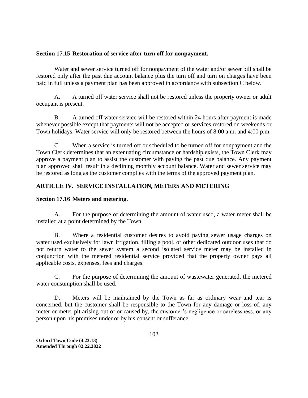# **Section 17.15 Restoration of service after turn off for nonpayment.**

Water and sewer service turned off for nonpayment of the water and/or sewer bill shall be restored only after the past due account balance plus the turn off and turn on charges have been paid in full unless a payment plan has been approved in accordance with subsection C below.

A. A turned off water service shall not be restored unless the property owner or adult occupant is present.

B. A turned off water service will be restored within 24 hours after payment is made whenever possible except that payments will not be accepted or services restored on weekends or Town holidays. Water service will only be restored between the hours of 8:00 a.m. and 4:00 p.m.

C. When a service is turned off or scheduled to be turned off for nonpayment and the Town Clerk determines that an extenuating circumstance or hardship exists, the Town Clerk may approve a payment plan to assist the customer with paying the past due balance. Any payment plan approved shall result in a declining monthly account balance. Water and sewer service may be restored as long as the customer complies with the terms of the approved payment plan.

# **ARTICLE IV. SERVICE INSTALLATION, METERS AND METERING**

# **Section 17.16 Meters and metering.**

A. For the purpose of determining the amount of water used, a water meter shall be installed at a point determined by the Town.

B. Where a residential customer desires to avoid paying sewer usage charges on water used exclusively for lawn irrigation, filling a pool, or other dedicated outdoor uses that do not return water to the sewer system a second isolated service meter may be installed in conjunction with the metered residential service provided that the property owner pays all applicable costs, expenses, fees and charges.

C. For the purpose of determining the amount of wastewater generated, the metered water consumption shall be used.

D. Meters will be maintained by the Town as far as ordinary wear and tear is concerned, but the customer shall be responsible to the Town for any damage or loss of, any meter or meter pit arising out of or caused by, the customer's negligence or carelessness, or any person upon his premises under or by his consent or sufferance.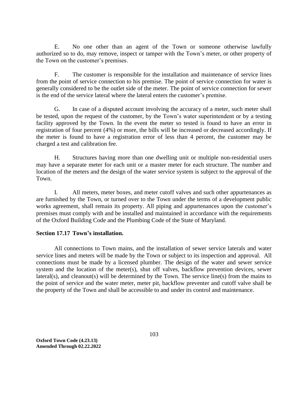E. No one other than an agent of the Town or someone otherwise lawfully authorized so to do, may remove, inspect or tamper with the Town's meter, or other property of the Town on the customer's premises.

F. The customer is responsible for the installation and maintenance of service lines from the point of service connection to his premise. The point of service connection for water is generally considered to be the outlet side of the meter. The point of service connection for sewer is the end of the service lateral where the lateral enters the customer's premise.

G. In case of a disputed account involving the accuracy of a meter, such meter shall be tested, upon the request of the customer, by the Town's water superintendent or by a testing facility approved by the Town. In the event the meter so tested is found to have an error in registration of four percent (4%) or more, the bills will be increased or decreased accordingly. If the meter is found to have a registration error of less than 4 percent, the customer may be charged a test and calibration fee.

H. Structures having more than one dwelling unit or multiple non-residential users may have a separate meter for each unit or a master meter for each structure. The number and location of the meters and the design of the water service system is subject to the approval of the Town.

I. All meters, meter boxes, and meter cutoff valves and such other appurtenances as are furnished by the Town, or turned over to the Town under the terms of a development public works agreement, shall remain its property. All piping and appurtenances upon the customer's premises must comply with and be installed and maintained in accordance with the requirements of the Oxford Building Code and the Plumbing Code of the State of Maryland.

# **Section 17.17 Town's installation.**

All connections to Town mains, and the installation of sewer service laterals and water service lines and meters will be made by the Town or subject to its inspection and approval. All connections must be made by a licensed plumber. The design of the water and sewer service system and the location of the meter(s), shut off valves, backflow prevention devices, sewer lateral(s), and cleanout(s) will be determined by the Town. The service line(s) from the mains to the point of service and the water meter, meter pit, backflow preventer and cutoff valve shall be the property of the Town and shall be accessible to and under its control and maintenance.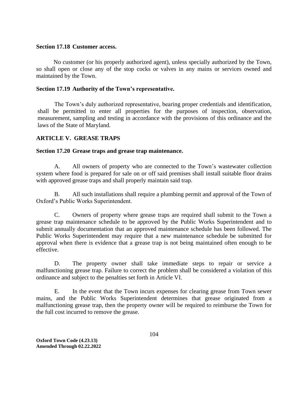#### **Section 17.18 Customer access.**

 No customer (or his properly authorized agent), unless specially authorized by the Town, so shall open or close any of the stop cocks or valves in any mains or services owned and maintained by the Town.

### **Section 17.19 Authority of the Town's representative.**

The Town's duly authorized representative, bearing proper credentials and identification, shall be permitted to enter all properties for the purposes of inspection, observation, measurement, sampling and testing in accordance with the provisions of this ordinance and the laws of the State of Maryland.

# **ARTICLE V. GREASE TRAPS**

### **Section 17.20 Grease traps and grease trap maintenance.**

A. All owners of property who are connected to the Town's wastewater collection system where food is prepared for sale on or off said premises shall install suitable floor drains with approved grease traps and shall properly maintain said trap.

B. All such installations shall require a plumbing permit and approval of the Town of Oxford's Public Works Superintendent.

C. Owners of property where grease traps are required shall submit to the Town a grease trap maintenance schedule to be approved by the Public Works Superintendent and to submit annually documentation that an approved maintenance schedule has been followed. The Public Works Superintendent may require that a new maintenance schedule be submitted for approval when there is evidence that a grease trap is not being maintained often enough to be effective.

D. The property owner shall take immediate steps to repair or service a malfunctioning grease trap. Failure to correct the problem shall be considered a violation of this ordinance and subject to the penalties set forth in Article VI.

E. In the event that the Town incurs expenses for clearing grease from Town sewer mains, and the Public Works Superintendent determines that grease originated from a malfunctioning grease trap, then the property owner will be required to reimburse the Town for the full cost incurred to remove the grease.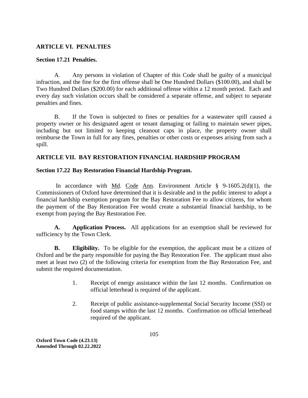# **ARTICLE VI. PENALTIES**

# **Section 17.21 Penalties.**

A. Any persons in violation of Chapter of this Code shall be guilty of a municipal infraction, and the fine for the first offense shall be One Hundred Dollars (\$100.00), and shall be Two Hundred Dollars (\$200.00) for each additional offense within a 12 month period. Each and every day such violation occurs shall be considered a separate offense, and subject to separate penalties and fines.

B. If the Town is subjected to fines or penalties for a wastewater spill caused a property owner or his designated agent or tenant damaging or failing to maintain sewer pipes, including but not limited to keeping cleanout caps in place, the property owner shall reimburse the Town in full for any fines, penalties or other costs or expenses arising from such a spill.

# **ARTICLE VII. BAY RESTORATION FINANCIAL HARDSHIP PROGRAM**

# **Section 17.22 Bay Restoration Financial Hardship Program.**

In accordance with Md. Code Ann. Environment Article  $\S$  9-1605.2(d)(1), the Commissioners of Oxford have determined that it is desirable and in the public interest to adopt a financial hardship exemption program for the Bay Restoration Fee to allow citizens, for whom the payment of the Bay Restoration Fee would create a substantial financial hardship, to be exempt from paying the Bay Restoration Fee.

**A. Application Process.** All applications for an exemption shall be reviewed for sufficiency by the Town Clerk.

**B. Eligibility.** To be eligible for the exemption, the applicant must be a citizen of Oxford and be the party responsible for paying the Bay Restoration Fee. The applicant must also meet at least two (2) of the following criteria for exemption from the Bay Restoration Fee, and submit the required documentation.

- 1. Receipt of energy assistance within the last 12 months. Confirmation on official letterhead is required of the applicant.
- 2. Receipt of public assistance-supplemental Social Security Income (SSI) or food stamps within the last 12 months. Confirmation on official letterhead required of the applicant.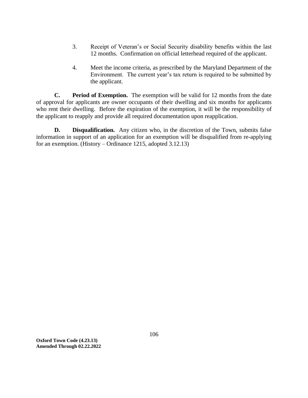- 3. Receipt of Veteran's or Social Security disability benefits within the last 12 months. Confirmation on official letterhead required of the applicant.
- 4. Meet the income criteria, as prescribed by the Maryland Department of the Environment. The current year's tax return is required to be submitted by the applicant.

**C. Period of Exemption.** The exemption will be valid for 12 months from the date of approval for applicants are owner occupants of their dwelling and six months for applicants who rent their dwelling. Before the expiration of the exemption, it will be the responsibility of the applicant to reapply and provide all required documentation upon reapplication.

**D. Disqualification.** Any citizen who, in the discretion of the Town, submits false information in support of an application for an exemption will be disqualified from re-applying for an exemption. (History – Ordinance 1215, adopted 3.12.13)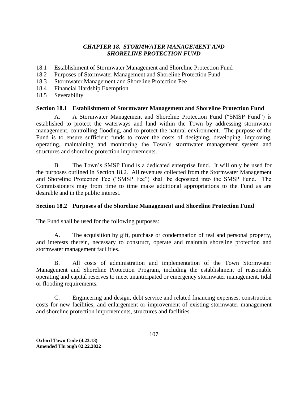# *CHAPTER 18. STORMWATER MANAGEMENT AND SHORELINE PROTECTION FUND*

- 18.1 Establishment of Stormwater Management and Shoreline Protection Fund
- 18.2 Purposes of Stormwater Management and Shoreline Protection Fund
- 18.3 Stormwater Management and Shoreline Protection Fee
- 18.4 Financial Hardship Exemption
- 18.5 Severability

### **Section 18.1 Establishment of Stormwater Management and Shoreline Protection Fund**

A. A Stormwater Management and Shoreline Protection Fund ("SMSP Fund") is established to protect the waterways and land within the Town by addressing stormwater management, controlling flooding, and to protect the natural environment. The purpose of the Fund is to ensure sufficient funds to cover the costs of designing, developing, improving, operating, maintaining and monitoring the Town's stormwater management system and structures and shoreline protection improvements.

B. The Town's SMSP Fund is a dedicated enterprise fund. It will only be used for the purposes outlined in Section 18.2. All revenues collected from the Stormwater Management and Shoreline Protection Fee ("SMSP Fee") shall be deposited into the SMSP Fund. The Commissioners may from time to time make additional appropriations to the Fund as are desirable and in the public interest.

# **Section 18.2 Purposes of the Shoreline Management and Shoreline Protection Fund**

The Fund shall be used for the following purposes:

A. The acquisition by gift, purchase or condemnation of real and personal property, and interests therein, necessary to construct, operate and maintain shoreline protection and stormwater management facilities.

B. All costs of administration and implementation of the Town Stormwater Management and Shoreline Protection Program, including the establishment of reasonable operating and capital reserves to meet unanticipated or emergency stormwater management, tidal or flooding requirements.

C. Engineering and design, debt service and related financing expenses, construction costs for new facilities, and enlargement or improvement of existing stormwater management and shoreline protection improvements, structures and facilities.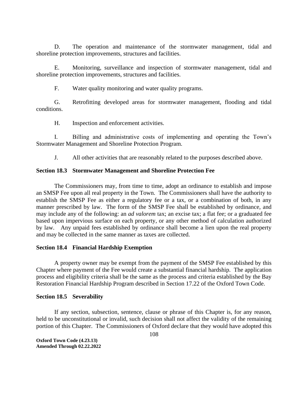D. The operation and maintenance of the stormwater management, tidal and shoreline protection improvements, structures and facilities.

E. Monitoring, surveillance and inspection of stormwater management, tidal and shoreline protection improvements, structures and facilities.

F. Water quality monitoring and water quality programs.

G. Retrofitting developed areas for stormwater management, flooding and tidal conditions.

H. Inspection and enforcement activities.

I. Billing and administrative costs of implementing and operating the Town's Stormwater Management and Shoreline Protection Program.

J. All other activities that are reasonably related to the purposes described above.

### **Section 18.3 Stormwater Management and Shoreline Protection Fee**

The Commissioners may, from time to time, adopt an ordinance to establish and impose an SMSP Fee upon all real property in the Town. The Commissioners shall have the authority to establish the SMSP Fee as either a regulatory fee or a tax, or a combination of both, in any manner prescribed by law. The form of the SMSP Fee shall be established by ordinance, and may include any of the following: an *ad valorem* tax; an excise tax; a flat fee; or a graduated fee based upon impervious surface on each property, or any other method of calculation authorized by law. Any unpaid fees established by ordinance shall become a lien upon the real property and may be collected in the same manner as taxes are collected.

## **Section 18.4 Financial Hardship Exemption**

A property owner may be exempt from the payment of the SMSP Fee established by this Chapter where payment of the Fee would create a substantial financial hardship. The application process and eligibility criteria shall be the same as the process and criteria established by the Bay Restoration Financial Hardship Program described in Section 17.22 of the Oxford Town Code.

#### **Section 18.5 Severability**

If any section, subsection, sentence, clause or phrase of this Chapter is, for any reason, held to be unconstitutional or invalid, such decision shall not affect the validity of the remaining portion of this Chapter. The Commissioners of Oxford declare that they would have adopted this

**Oxford Town Code (4.23.13) Amended Through 02.22.2022**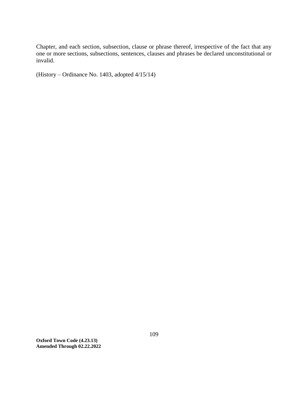Chapter, and each section, subsection, clause or phrase thereof, irrespective of the fact that any one or more sections, subsections, sentences, clauses and phrases be declared unconstitutional or invalid.

(History – Ordinance No. 1403, adopted 4/15/14)

**Oxford Town Code (4.23.13) Amended Through 02.22.2022**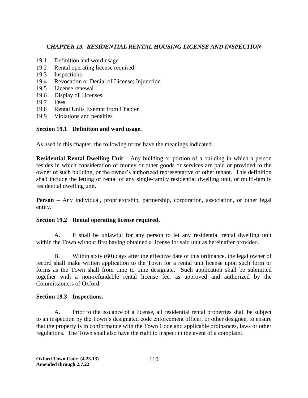# *CHAPTER 19. RESIDENTIAL RENTAL HOUSING LICENSE AND INSPECTION*

- 19.1 Definition and word usage
- 19.2 Rental operating license required
- 19.3 Inspections
- 19.4 Revocation or Denial of License; Injunction
- 19.5 License renewal
- 19.6 Display of Licenses
- 19.7 Fees
- 19.8 Rental Units Exempt from Chapter
- 19.9 Violations and penalties

# **Section 19.1 Definition and word usage.**

As used in this chapter, the following terms have the meanings indicated.

**Residential Rental Dwelling Unit** – Any building or portion of a building in which a person resides in which consideration of money or other goods or services are paid or provided to the owner of such building, or the owner's authorized representative or other tenant. This definition shall include the letting or rental of any single-family residential dwelling unit, or multi-family residential dwelling unit.

**Person** – Any individual, proprietorship, partnership, corporation, association, or other legal entity.

# **Section 19.2 Rental operating license required.**

A. It shall be unlawful for any person to let any residential rental dwelling unit within the Town without first having obtained a license for said unit as hereinafter provided.

B. Within sixty (60) days after the effective date of this ordinance, the legal owner of record shall make written application to the Town for a rental unit license upon such form or forms as the Town shall from time to time designate. Such application shall be submitted together with a non-refundable rental license fee, as approved and authorized by the Commissioners of Oxford.

# **Section 19.3 Inspections.**

A. Prior to the issuance of a license, all residential rental properties shall be subject to an inspection by the Town's designated code enforcement officer, or other designee, to ensure that the property is in conformance with the Town Code and applicable ordinances, laws or other regulations. The Town shall also have the right to inspect in the event of a complaint.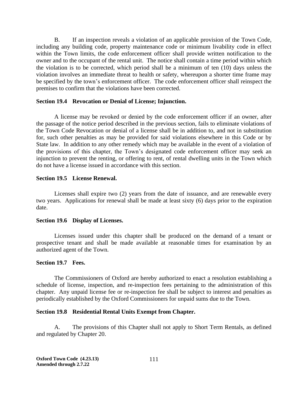B. If an inspection reveals a violation of an applicable provision of the Town Code, including any building code, property maintenance code or minimum livability code in effect within the Town limits, the code enforcement officer shall provide written notification to the owner and to the occupant of the rental unit. The notice shall contain a time period within which the violation is to be corrected, which period shall be a minimum of ten (10) days unless the violation involves an immediate threat to health or safety, whereupon a shorter time frame may be specified by the town's enforcement officer. The code enforcement officer shall reinspect the premises to confirm that the violations have been corrected.

### **Section 19.4 Revocation or Denial of License; Injunction.**

A license may be revoked or denied by the code enforcement officer if an owner, after the passage of the notice period described in the previous section, fails to eliminate violations of the Town Code Revocation or denial of a license shall be in addition to, and not in substitution for, such other penalties as may be provided for said violations elsewhere in this Code or by State law. In addition to any other remedy which may be available in the event of a violation of the provisions of this chapter, the Town's designated code enforcement officer may seek an injunction to prevent the renting, or offering to rent, of rental dwelling units in the Town which do not have a license issued in accordance with this section.

### **Section 19.5 License Renewal.**

Licenses shall expire two (2) years from the date of issuance, and are renewable every two years. Applications for renewal shall be made at least sixty (6) days prior to the expiration date.

## **Section 19.6 Display of Licenses.**

Licenses issued under this chapter shall be produced on the demand of a tenant or prospective tenant and shall be made available at reasonable times for examination by an authorized agent of the Town.

## **Section 19.7 Fees.**

The Commissioners of Oxford are hereby authorized to enact a resolution establishing a schedule of license, inspection, and re-inspection fees pertaining to the administration of this chapter. Any unpaid license fee or re-inspection fee shall be subject to interest and penalties as periodically established by the Oxford Commissioners for unpaid sums due to the Town.

## **Section 19.8 Residential Rental Units Exempt from Chapter.**

A. The provisions of this Chapter shall not apply to Short Term Rentals, as defined and regulated by Chapter 20.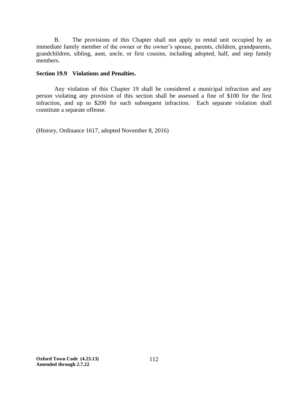B. The provisions of this Chapter shall not apply to rental unit occupied by an immediate family member of the owner or the owner's spouse, parents, children, grandparents, grandchildren, sibling, aunt, uncle, or first cousins, including adopted, half, and step family members.

## **Section 19.9 Violations and Penalties.**

Any violation of this Chapter 19 shall be considered a municipal infraction and any person violating any provision of this section shall be assessed a fine of \$100 for the first infraction, and up to \$200 for each subsequent infraction. Each separate violation shall constitute a separate offense.

(History, Ordinance 1617, adopted November 8, 2016)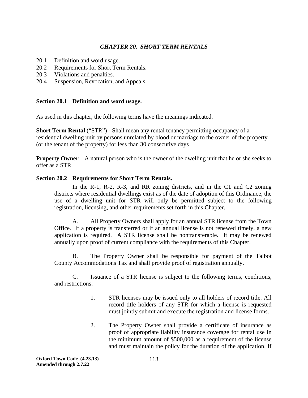# *CHAPTER 20. SHORT TERM RENTALS*

- 20.1 Definition and word usage.
- 20.2 Requirements for Short Term Rentals.
- 20.3 Violations and penalties.
- 20.4 Suspension, Revocation, and Appeals.

## **Section 20.1 Definition and word usage.**

As used in this chapter, the following terms have the meanings indicated.

**Short Term Rental** ("STR") - Shall mean any rental tenancy permitting occupancy of a residential dwelling unit by persons unrelated by blood or marriage to the owner of the property (or the tenant of the property) for less than 30 consecutive days

**Property Owner** – A natural person who is the owner of the dwelling unit that he or she seeks to offer as a STR.

## **Section 20.2 Requirements for Short Term Rentals.**

In the R-1, R-2, R-3, and RR zoning districts, and in the C1 and C2 zoning districts where residential dwellings exist as of the date of adoption of this Ordinance, the use of a dwelling unit for STR will only be permitted subject to the following registration, licensing, and other requirements set forth in this Chapter.

A. All Property Owners shall apply for an annual STR license from the Town Office. If a property is transferred or if an annual license is not renewed timely, a new application is required. A STR license shall be nontransferable. It may be renewed annually upon proof of current compliance with the requirements of this Chapter.

B. The Property Owner shall be responsible for payment of the Talbot County Accommodations Tax and shall provide proof of registration annually.

C. Issuance of a STR license is subject to the following terms, conditions, and restrictions:

- 1. STR licenses may be issued only to all holders of record title. All record title holders of any STR for which a license is requested must jointly submit and execute the registration and license forms.
- 2. The Property Owner shall provide a certificate of insurance as proof of appropriate liability insurance coverage for rental use in the minimum amount of \$500,000 as a requirement of the license and must maintain the policy for the duration of the application. If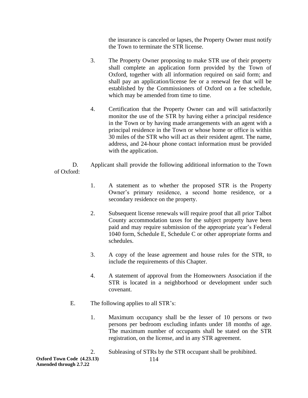the insurance is canceled or lapses, the Property Owner must notify the Town to terminate the STR license.

- 3. The Property Owner proposing to make STR use of their property shall complete an application form provided by the Town of Oxford, together with all information required on said form; and shall pay an application/license fee or a renewal fee that will be established by the Commissioners of Oxford on a fee schedule, which may be amended from time to time.
- 4. Certification that the Property Owner can and will satisfactorily monitor the use of the STR by having either a principal residence in the Town or by having made arrangements with an agent with a principal residence in the Town or whose home or office is within 30 miles of the STR who will act as their resident agent. The name, address, and 24-hour phone contact information must be provided with the application.

D. Applicant shall provide the following additional information to the Town of Oxford:

- 1. A statement as to whether the proposed STR is the Property Owner's primary residence, a second home residence, or a secondary residence on the property.
- 2. Subsequent license renewals will require proof that all prior Talbot County accommodation taxes for the subject property have been paid and may require submission of the appropriate year's Federal 1040 form, Schedule E, Schedule C or other appropriate forms and schedules.
- 3. A copy of the lease agreement and house rules for the STR, to include the requirements of this Chapter.
- 4. A statement of approval from the Homeowners Association if the STR is located in a neighborhood or development under such covenant.
- E. The following applies to all STR's:
	- 1. Maximum occupancy shall be the lesser of 10 persons or two persons per bedroom excluding infants under 18 months of age. The maximum number of occupants shall be stated on the STR registration, on the license, and in any STR agreement.

2. Subleasing of STRs by the STR occupant shall be prohibited.

**Oxford Town Code (4.23.13) Amended through 2.7.22**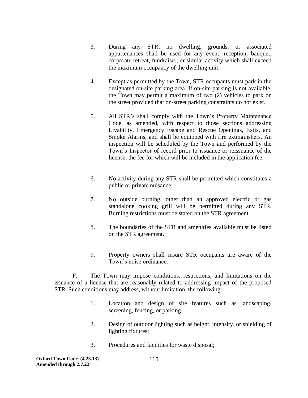- 3. During any STR, no dwelling, grounds, or associated appurtenances shall be used for any event, reception, banquet, corporate retreat, fundraiser, or similar activity which shall exceed the maximum occupancy of the dwelling unit.
- 4. Except as permitted by the Town, STR occupants must park in the designated on-site parking area. If on-site parking is not available, the Town may permit a maximum of two (2) vehicles to park on the street provided that on-street parking constraints do not exist.
- 5. All STR's shall comply with the Town's Property Maintenance Code, as amended, with respect to those sections addressing Livability, Emergency Escape and Rescue Openings, Exits, and Smoke Alarms, and shall be equipped with fire extinguishers. An inspection will be scheduled by the Town and performed by the Town's Inspector of record prior to issuance or reissuance of the license, the fee for which will be included in the application fee.
- 6. No activity during any STR shall be permitted which constitutes a public or private nuisance.
- 7. No outside burning, other than an approved electric or gas standalone cooking grill will be permitted during any STR. Burning restrictions must be stated on the STR agreement.
- 8. The boundaries of the STR and amenities available must be listed on the STR agreement.
- 9. Property owners shall insure STR occupants are aware of the Town's noise ordinance.

F. The Town may impose conditions, restrictions, and limitations on the issuance of a license that are reasonably related to addressing impact of the proposed STR. Such conditions may address, without limitation, the following:

- 1. Location and design of site features such as landscaping, screening, fencing, or parking.
- 2. Design of outdoor lighting such as height, intensity, or shielding of lighting fixtures;
- 3. Procedures and facilities for waste disposal;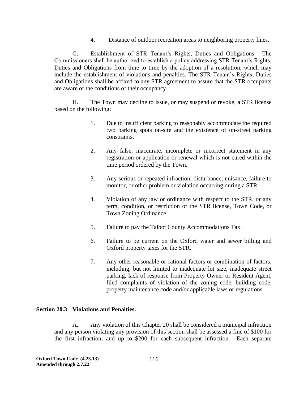4. Distance of outdoor recreation areas to neighboring property lines.

G. Establishment of STR Tenant's Rights, Duties and Obligations. The Commissioners shall be authorized to establish a policy addressing STR Tenant's Rights, Duties and Obligations from time to time by the adoption of a resolution, which may include the establishment of violations and penalties. The STR Tenant's Rights, Duties and Obligations shall be affixed to any STR agreement to assure that the STR occupants are aware of the conditions of their occupancy.

H. The Town may decline to issue, or may suspend or revoke, a STR license based on the following:

- 1. Due to insufficient parking to reasonably accommodate the required two parking spots on-site and the existence of on-street parking constraints.
- 2. Any false, inaccurate, incomplete or incorrect statement in any registration or application or renewal which is not cured within the time period ordered by the Town.
- 3. Any serious or repeated infraction, disturbance, nuisance, failure to monitor, or other problem or violation occurring during a STR.
- 4. Violation of any law or ordinance with respect to the STR, or any term, condition, or restriction of the STR license, Town Code, or Town Zoning Ordinance
- 5. Failure to pay the Talbot County Accommodations Tax.
- 6. Failure to be current on the Oxford water and sewer billing and Oxford property taxes for the STR.
- 7. Any other reasonable or rational factors or combination of factors, including, but not limited to inadequate lot size, inadequate street parking, lack of response from Property Owner or Resident Agent, filed complaints of violation of the zoning code, building code, property maintenance code and/or applicable laws or regulations.

## **Section 20.3 Violations and Penalties.**

 A.Any violation of this Chapter 20 shall be considered a municipal infraction and any person violating any provision of this section shall be assessed a fine of \$100 for the first infraction, and up to \$200 for each subsequent infraction. Each separate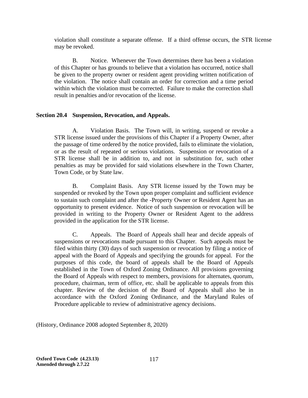violation shall constitute a separate offense. If a third offense occurs, the STR license may be revoked.

B. Notice. Whenever the Town determines there has been a violation of this Chapter or has grounds to believe that a violation has occurred, notice shall be given to the property owner or resident agent providing written notification of the violation. The notice shall contain an order for correction and a time period within which the violation must be corrected. Failure to make the correction shall result in penalties and/or revocation of the license.

## **Section 20.4 Suspension, Revocation, and Appeals.**

A. Violation Basis. The Town will, in writing, suspend or revoke a STR license issued under the provisions of this Chapter if a Property Owner, after the passage of time ordered by the notice provided, fails to eliminate the violation, or as the result of repeated or serious violations. Suspension or revocation of a STR license shall be in addition to, and not in substitution for, such other penalties as may be provided for said violations elsewhere in the Town Charter, Town Code, or by State law.

B. Complaint Basis. Any STR license issued by the Town may be suspended or revoked by the Town upon proper complaint and sufficient evidence to sustain such complaint and after the -Property Owner or Resident Agent has an opportunity to present evidence. Notice of such suspension or revocation will be provided in writing to the Property Owner or Resident Agent to the address provided in the application for the STR license.

C. Appeals. The Board of Appeals shall hear and decide appeals of suspensions or revocations made pursuant to this Chapter. Such appeals must be filed within thirty (30) days of such suspension or revocation by filing a notice of appeal with the Board of Appeals and specifying the grounds for appeal. For the purposes of this code, the board of appeals shall be the Board of Appeals established in the Town of Oxford Zoning Ordinance. All provisions governing the Board of Appeals with respect to members, provisions for alternates, quorum, procedure, chairman, term of office, etc. shall be applicable to appeals from this chapter. Review of the decision of the Board of Appeals shall also be in accordance with the Oxford Zoning Ordinance, and the Maryland Rules of Procedure applicable to review of administrative agency decisions.

(History, Ordinance 2008 adopted September 8, 2020)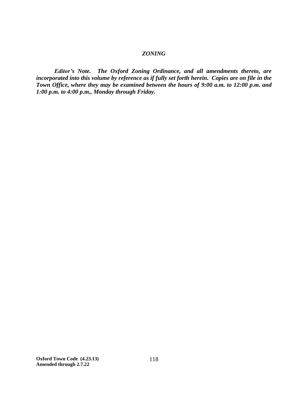## *ZONING*

*Editor's Note. The Oxford Zoning Ordinance, and all amendments thereto, are incorporated into this volume by reference as if fully set forth herein. Copies are on file in the Town Office, where they may be examined between the hours of 9:00 a.m. to 12:00 p.m. and 1:00 p.m. to 4:00 p.m., Monday through Friday.*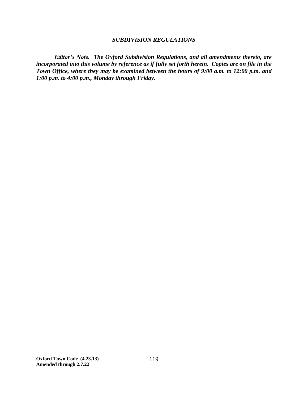#### *SUBDIVISION REGULATIONS*

*Editor's Note. The Oxford Subdivision Regulations, and all amendments thereto, are incorporated into this volume by reference as if fully set forth herein. Copies are on file in the Town Office, where they may be examined between the hours of 9:00 a.m. to 12:00 p.m. and 1:00 p.m. to 4:00 p.m., Monday through Friday.*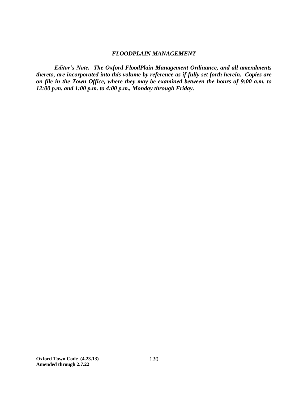### *FLOODPLAIN MANAGEMENT*

*Editor's Note. The Oxford FloodPlain Management Ordinance, and all amendments thereto, are incorporated into this volume by reference as if fully set forth herein. Copies are on file in the Town Office, where they may be examined between the hours of 9:00 a.m. to 12:00 p.m. and 1:00 p.m. to 4:00 p.m., Monday through Friday.*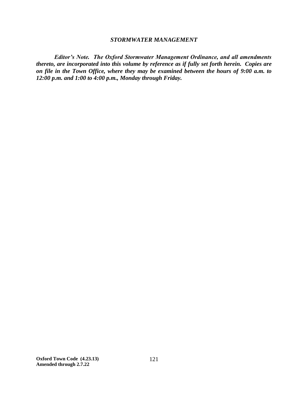#### *STORMWATER MANAGEMENT*

*Editor's Note. The Oxford Stormwater Management Ordinance, and all amendments thereto, are incorporated into this volume by reference as if fully set forth herein. Copies are on file in the Town Office, where they may be examined between the hours of 9:00 a.m. to 12:00 p.m. and 1:00 to 4:00 p.m., Monday through Friday.*